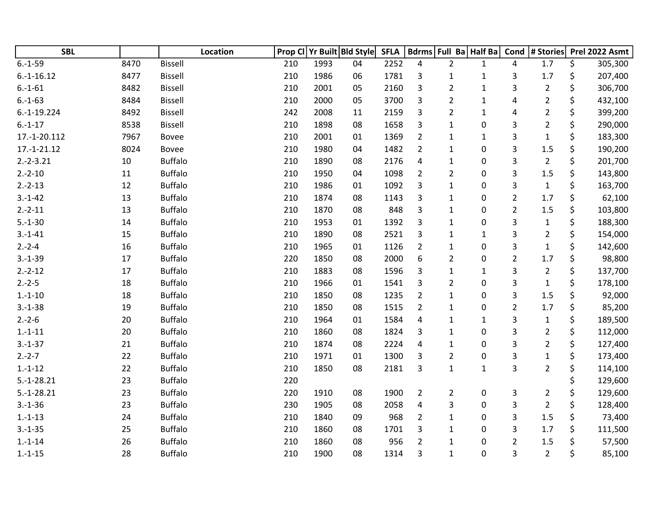| <b>SBL</b>    |      | Location       | Prop Cl |      | Yr Built Bld Style | <b>SFLA</b> |                |                | Bdrms Full Ba Half Ba | Cond           | # Stories      | Prel 2022 Asmt |
|---------------|------|----------------|---------|------|--------------------|-------------|----------------|----------------|-----------------------|----------------|----------------|----------------|
| $6.-1-59$     | 8470 | <b>Bissell</b> | 210     | 1993 | 04                 | 2252        | 4              | $\overline{2}$ | $\mathbf{1}$          | 4              | 1.7            | \$<br>305,300  |
| $6.-1-16.12$  | 8477 | <b>Bissell</b> | 210     | 1986 | 06                 | 1781        | 3              | $\mathbf{1}$   | $\mathbf{1}$          | 3              | $1.7\,$        | \$<br>207,400  |
| $6.-1-61$     | 8482 | <b>Bissell</b> | 210     | 2001 | 05                 | 2160        | 3              | $\overline{2}$ | $\mathbf{1}$          | 3              | $\overline{2}$ | \$<br>306,700  |
| $6.-1-63$     | 8484 | <b>Bissell</b> | 210     | 2000 | 05                 | 3700        | 3              | $\overline{2}$ | 1                     | 4              | $\overline{2}$ | \$<br>432,100  |
| $6.-1-19.224$ | 8492 | <b>Bissell</b> | 242     | 2008 | 11                 | 2159        | 3              | $\overline{2}$ | $\mathbf{1}$          | 4              | $\overline{2}$ | \$<br>399,200  |
| $6.-1-17$     | 8538 | <b>Bissell</b> | 210     | 1898 | 08                 | 1658        | 3              | $\mathbf{1}$   | 0                     | 3              | $\overline{2}$ | \$<br>290,000  |
| 17.-1-20.112  | 7967 | <b>Bovee</b>   | 210     | 2001 | 01                 | 1369        | $\overline{2}$ | $\mathbf{1}$   | $\mathbf{1}$          | 3              | $\mathbf 1$    | \$<br>183,300  |
| $17.-1-21.12$ | 8024 | Bovee          | 210     | 1980 | 04                 | 1482        | $\overline{2}$ | $\mathbf{1}$   | $\boldsymbol{0}$      | 3              | 1.5            | \$<br>190,200  |
| $2.-2-3.21$   | 10   | <b>Buffalo</b> | 210     | 1890 | 08                 | 2176        | 4              | $\mathbf{1}$   | $\boldsymbol{0}$      | 3              | $\overline{2}$ | \$<br>201,700  |
| $2.-2-10$     | 11   | <b>Buffalo</b> | 210     | 1950 | 04                 | 1098        | $\overline{2}$ | $\overline{2}$ | 0                     | 3              | $1.5\,$        | \$<br>143,800  |
| $2.-2-13$     | 12   | <b>Buffalo</b> | 210     | 1986 | 01                 | 1092        | 3              | $\mathbf{1}$   | 0                     | 3              | $\mathbf{1}$   | \$<br>163,700  |
| $3.-1-42$     | 13   | <b>Buffalo</b> | 210     | 1874 | 08                 | 1143        | 3              | $\mathbf{1}$   | 0                     | $\overline{2}$ | 1.7            | \$<br>62,100   |
| $2.-2-11$     | 13   | <b>Buffalo</b> | 210     | 1870 | 08                 | 848         | 3              | $\mathbf{1}$   | $\boldsymbol{0}$      | $\overline{2}$ | $1.5\,$        | \$<br>103,800  |
| $5.-1-30$     | 14   | <b>Buffalo</b> | 210     | 1953 | 01                 | 1392        | 3              | $\mathbf{1}$   | $\boldsymbol{0}$      | 3              | $\mathbf{1}$   | \$<br>188,300  |
| $3.-1-41$     | 15   | <b>Buffalo</b> | 210     | 1890 | 08                 | 2521        | 3              | $\mathbf{1}$   | $\mathbf{1}$          | 3              | $\overline{2}$ | \$<br>154,000  |
| $2.-2-4$      | 16   | <b>Buffalo</b> | 210     | 1965 | 01                 | 1126        | $\overline{2}$ | $\mathbf{1}$   | 0                     | 3              | $\mathbf 1$    | \$<br>142,600  |
| $3.-1-39$     | 17   | <b>Buffalo</b> | 220     | 1850 | 08                 | 2000        | 6              | $\overline{2}$ | 0                     | $\overline{2}$ | 1.7            | \$<br>98,800   |
| $2.-2-12$     | 17   | <b>Buffalo</b> | 210     | 1883 | 08                 | 1596        | 3              | $\mathbf{1}$   | $\mathbf{1}$          | 3              | $\overline{2}$ | \$<br>137,700  |
| $2.-2-5$      | 18   | <b>Buffalo</b> | 210     | 1966 | 01                 | 1541        | 3              | $\overline{2}$ | $\pmb{0}$             | 3              | $\mathbf{1}$   | \$<br>178,100  |
| $1.-1-10$     | 18   | <b>Buffalo</b> | 210     | 1850 | 08                 | 1235        | $\overline{2}$ | $\mathbf{1}$   | 0                     | 3              | 1.5            | \$<br>92,000   |
| $3.-1-38$     | 19   | <b>Buffalo</b> | 210     | 1850 | 08                 | 1515        | $\overline{2}$ | $\mathbf{1}$   | 0                     | $\overline{c}$ | 1.7            | \$<br>85,200   |
| $2.-2-6$      | 20   | <b>Buffalo</b> | 210     | 1964 | 01                 | 1584        | 4              | $\mathbf{1}$   | $\mathbf{1}$          | 3              | $\mathbf{1}$   | \$<br>189,500  |
| $1.-1-11$     | 20   | <b>Buffalo</b> | 210     | 1860 | 08                 | 1824        | 3              | $\mathbf{1}$   | $\boldsymbol{0}$      | 3              | $\overline{2}$ | \$<br>112,000  |
| $3.-1-37$     | 21   | <b>Buffalo</b> | 210     | 1874 | 08                 | 2224        | 4              | $\mathbf{1}$   | $\boldsymbol{0}$      | 3              | $\overline{2}$ | \$<br>127,400  |
| $2.-2-7$      | 22   | <b>Buffalo</b> | 210     | 1971 | 01                 | 1300        | 3              | $\overline{2}$ | 0                     | 3              | $\mathbf 1$    | \$<br>173,400  |
| $1.-1-12$     | 22   | <b>Buffalo</b> | 210     | 1850 | 08                 | 2181        | 3              | $\mathbf{1}$   | $\mathbf{1}$          | 3              | $\overline{2}$ | \$<br>114,100  |
| $5.-1-28.21$  | 23   | <b>Buffalo</b> | 220     |      |                    |             |                |                |                       |                |                | \$<br>129,600  |
| $5.-1-28.21$  | 23   | <b>Buffalo</b> | 220     | 1910 | 08                 | 1900        | $\overline{2}$ | $\overline{2}$ | 0                     | 3              | $\overline{2}$ | \$<br>129,600  |
| $3.-1-36$     | 23   | <b>Buffalo</b> | 230     | 1905 | 08                 | 2058        | 4              | 3              | 0                     | 3              | $\overline{2}$ | \$<br>128,400  |
| $1.-1-13$     | 24   | <b>Buffalo</b> | 210     | 1840 | 09                 | 968         | $\overline{2}$ | $\mathbf{1}$   | 0                     | 3              | 1.5            | \$<br>73,400   |
| $3.-1-35$     | 25   | <b>Buffalo</b> | 210     | 1860 | 08                 | 1701        | 3              | $\mathbf{1}$   | 0                     | 3              | 1.7            | \$<br>111,500  |
| $1.-1-14$     | 26   | <b>Buffalo</b> | 210     | 1860 | 08                 | 956         | $\overline{2}$ | $\mathbf{1}$   | $\mathbf 0$           | $\overline{2}$ | 1.5            | \$<br>57,500   |
| $1.-1-15$     | 28   | <b>Buffalo</b> | 210     | 1900 | 08                 | 1314        | 3              | $\mathbf{1}$   | 0                     | 3              | $\overline{2}$ | \$<br>85,100   |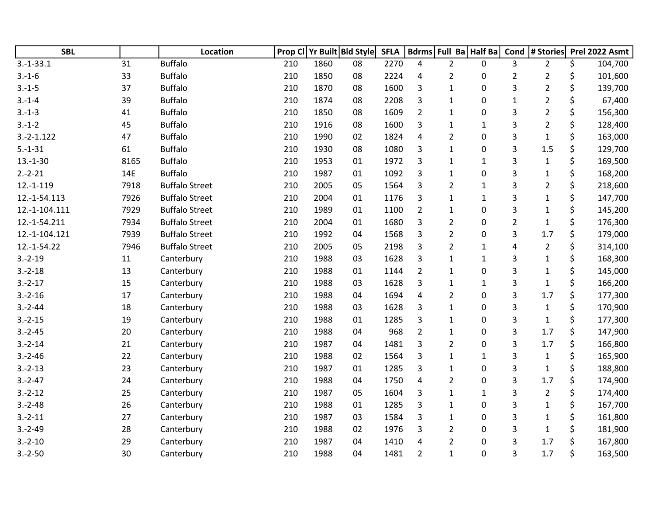| <b>SBL</b>    |      | Location              | Prop Cl |      | Yr Built Bld Style | <b>SFLA</b> |                | Bdrms Full Ba Half Ba |                  | Cond           | # Stories      |    | Prel 2022 Asmt |
|---------------|------|-----------------------|---------|------|--------------------|-------------|----------------|-----------------------|------------------|----------------|----------------|----|----------------|
| $3.-1-33.1$   | 31   | <b>Buffalo</b>        | 210     | 1860 | 08                 | 2270        | 4              | $\overline{2}$        | 0                | 3              | $\overline{2}$ | \$ | 104,700        |
| $3.-1-6$      | 33   | <b>Buffalo</b>        | 210     | 1850 | 08                 | 2224        | 4              | $\overline{2}$        | 0                | 2              | $\overline{2}$ | \$ | 101,600        |
| $3.-1-5$      | 37   | <b>Buffalo</b>        | 210     | 1870 | 08                 | 1600        | 3              | $\mathbf{1}$          | 0                | 3              | $\overline{2}$ | \$ | 139,700        |
| $3.-1-4$      | 39   | <b>Buffalo</b>        | 210     | 1874 | 08                 | 2208        | 3              | $\mathbf{1}$          | 0                | $\mathbf{1}$   | $\overline{2}$ | \$ | 67,400         |
| $3.-1-3$      | 41   | <b>Buffalo</b>        | 210     | 1850 | 08                 | 1609        | $\overline{2}$ | $\mathbf{1}$          | 0                | 3              | $\overline{2}$ | \$ | 156,300        |
| $3.-1-2$      | 45   | <b>Buffalo</b>        | 210     | 1916 | 08                 | 1600        | 3              | $\mathbf{1}$          | $\mathbf{1}$     | 3              | $\overline{2}$ | \$ | 128,400        |
| $3.-2-1.122$  | 47   | <b>Buffalo</b>        | 210     | 1990 | 02                 | 1824        | 4              | $\overline{2}$        | 0                | 3              | $\mathbf{1}$   | \$ | 163,000        |
| $5.-1-31$     | 61   | <b>Buffalo</b>        | 210     | 1930 | 08                 | 1080        | 3              | $\mathbf{1}$          | 0                | 3              | 1.5            | \$ | 129,700        |
| $13.-1-30$    | 8165 | <b>Buffalo</b>        | 210     | 1953 | 01                 | 1972        | 3              | 1                     | $\mathbf{1}$     | 3              | $\mathbf{1}$   | \$ | 169,500        |
| $2.-2-21$     | 14E  | <b>Buffalo</b>        | 210     | 1987 | 01                 | 1092        | 3              | $\mathbf{1}$          | 0                | 3              | $\mathbf{1}$   | \$ | 168,200        |
| $12.-1-119$   | 7918 | <b>Buffalo Street</b> | 210     | 2005 | 05                 | 1564        | 3              | $\overline{2}$        | $\mathbf{1}$     | 3              | $\overline{2}$ | \$ | 218,600        |
| 12.-1-54.113  | 7926 | <b>Buffalo Street</b> | 210     | 2004 | 01                 | 1176        | 3              | $\mathbf{1}$          | $\mathbf{1}$     | 3              | $\mathbf{1}$   | \$ | 147,700        |
| 12.-1-104.111 | 7929 | <b>Buffalo Street</b> | 210     | 1989 | 01                 | 1100        | $\overline{2}$ | $\mathbf{1}$          | $\mathbf 0$      | 3              | $\mathbf{1}$   | \$ | 145,200        |
| 12.-1-54.211  | 7934 | <b>Buffalo Street</b> | 210     | 2004 | 01                 | 1680        | 3              | $\overline{2}$        | 0                | $\overline{2}$ | $\mathbf{1}$   | \$ | 176,300        |
| 12.-1-104.121 | 7939 | <b>Buffalo Street</b> | 210     | 1992 | 04                 | 1568        | 3              | $\overline{2}$        | 0                | 3              | 1.7            | \$ | 179,000        |
| 12.-1-54.22   | 7946 | <b>Buffalo Street</b> | 210     | 2005 | 05                 | 2198        | 3              | $\overline{2}$        | $\mathbf{1}$     | 4              | $\overline{2}$ | \$ | 314,100        |
| $3.-2-19$     | 11   | Canterbury            | 210     | 1988 | 03                 | 1628        | 3              | $\mathbf{1}$          | $\mathbf{1}$     | 3              | $\mathbf{1}$   | \$ | 168,300        |
| $3.-2-18$     | 13   | Canterbury            | 210     | 1988 | 01                 | 1144        | $\overline{2}$ | $\mathbf{1}$          | 0                | 3              | $\mathbf{1}$   | \$ | 145,000        |
| $3.-2-17$     | 15   | Canterbury            | 210     | 1988 | 03                 | 1628        | 3              | 1                     | $\mathbf{1}$     | 3              | $\mathbf{1}$   | \$ | 166,200        |
| $3.-2-16$     | 17   | Canterbury            | 210     | 1988 | 04                 | 1694        | 4              | $\overline{2}$        | 0                | 3              | 1.7            | \$ | 177,300        |
| $3.-2-44$     | 18   | Canterbury            | 210     | 1988 | 03                 | 1628        | 3              | $\mathbf{1}$          | $\mathbf{0}$     | 3              | $\mathbf{1}$   | \$ | 170,900        |
| $3.-2-15$     | 19   | Canterbury            | 210     | 1988 | 01                 | 1285        | 3              | $\mathbf{1}$          | 0                | 3              | $\mathbf{1}$   | \$ | 177,300        |
| $3.-2-45$     | 20   | Canterbury            | 210     | 1988 | 04                 | 968         | $\overline{2}$ | $\mathbf{1}$          | $\boldsymbol{0}$ | 3              | 1.7            | \$ | 147,900        |
| $3.-2-14$     | 21   | Canterbury            | 210     | 1987 | 04                 | 1481        | 3              | $\overline{2}$        | 0                | 3              | 1.7            | \$ | 166,800        |
| $3.-2-46$     | 22   | Canterbury            | 210     | 1988 | 02                 | 1564        | 3              | $\mathbf{1}$          | $\mathbf{1}$     | 3              | $\mathbf{1}$   | \$ | 165,900        |
| $3.-2-13$     | 23   | Canterbury            | 210     | 1987 | 01                 | 1285        | 3              | $\mathbf{1}$          | 0                | 3              | $\mathbf{1}$   | \$ | 188,800        |
| $3.-2-47$     | 24   | Canterbury            | 210     | 1988 | 04                 | 1750        | 4              | $\overline{2}$        | 0                | 3              | 1.7            | \$ | 174,900        |
| $3.-2-12$     | 25   | Canterbury            | 210     | 1987 | 05                 | 1604        | 3              | $\mathbf{1}$          | $1\,$            | 3              | $\overline{2}$ | \$ | 174,400        |
| $3.-2-48$     | 26   | Canterbury            | 210     | 1988 | 01                 | 1285        | 3              | 1                     | 0                | 3              | $\mathbf{1}$   | \$ | 167,700        |
| $3.-2-11$     | 27   | Canterbury            | 210     | 1987 | 03                 | 1584        | 3              | $\mathbf{1}$          | 0                | 3              | $\mathbf{1}$   | \$ | 161,800        |
| $3.-2-49$     | 28   | Canterbury            | 210     | 1988 | 02                 | 1976        | 3              | $\overline{2}$        | 0                | 3              | $\mathbf 1$    | \$ | 181,900        |
| $3.-2-10$     | 29   | Canterbury            | 210     | 1987 | 04                 | 1410        | 4              | $\overline{2}$        | 0                | 3              | 1.7            | Ś. | 167,800        |
| $3.-2-50$     | 30   | Canterbury            | 210     | 1988 | 04                 | 1481        | 2              | $\mathbf{1}$          | 0                | 3              | 1.7            | \$ | 163,500        |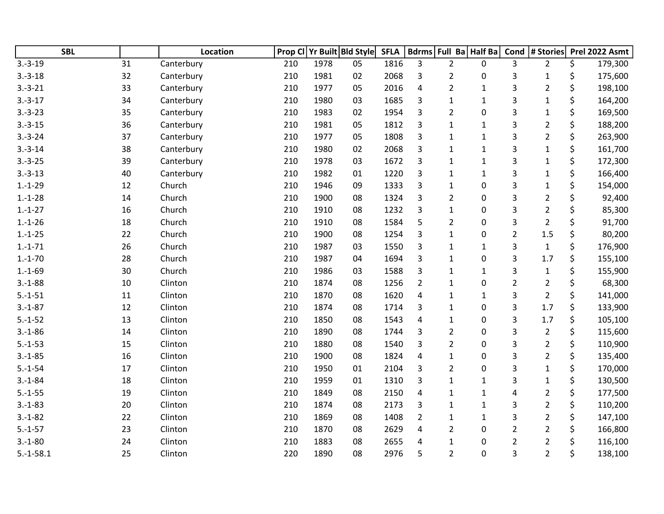| <b>SBL</b>  |    | Location   | Prop CI |      | Yr Built Bld Style | <b>SFLA</b> |                |                | Bdrms Full Ba Half Ba | Cond                      | # Stories      | Prel 2022 Asmt |
|-------------|----|------------|---------|------|--------------------|-------------|----------------|----------------|-----------------------|---------------------------|----------------|----------------|
| $3.-3-19$   | 31 | Canterbury | 210     | 1978 | 05                 | 1816        | 3              | $\overline{2}$ | $\mathbf{0}$          | 3                         | $\overline{2}$ | \$<br>179,300  |
| $3.-3-18$   | 32 | Canterbury | 210     | 1981 | 02                 | 2068        | 3              | $\overline{2}$ | 0                     | 3                         | $\mathbf{1}$   | \$<br>175,600  |
| $3.-3-21$   | 33 | Canterbury | 210     | 1977 | 05                 | 2016        | 4              | $\overline{2}$ | $\mathbf{1}$          | 3                         | $\overline{2}$ | \$<br>198,100  |
| $3.-3-17$   | 34 | Canterbury | 210     | 1980 | 03                 | 1685        | 3              | 1              | $\mathbf 1$           | $\ensuremath{\mathsf{3}}$ | $\mathbf{1}$   | \$<br>164,200  |
| $3.-3-23$   | 35 | Canterbury | 210     | 1983 | 02                 | 1954        | 3              | $\overline{2}$ | 0                     | 3                         | $\mathbf{1}$   | \$<br>169,500  |
| $3.-3-15$   | 36 | Canterbury | 210     | 1981 | 05                 | 1812        | 3              | $\mathbf{1}$   | $\mathbf{1}$          | 3                         | $\overline{2}$ | \$<br>188,200  |
| $3.-3-24$   | 37 | Canterbury | 210     | 1977 | 05                 | 1808        | 3              | $\mathbf{1}$   | $\mathbf{1}$          | 3                         | $\overline{2}$ | \$<br>263,900  |
| $3.-3-14$   | 38 | Canterbury | 210     | 1980 | 02                 | 2068        | 3              | $\mathbf{1}$   | $\mathbf 1$           | 3                         | $\mathbf{1}$   | \$<br>161,700  |
| $3.-3-25$   | 39 | Canterbury | 210     | 1978 | 03                 | 1672        | 3              | $\mathbf{1}$   | $\mathbf 1$           | 3                         | $\mathbf{1}$   | \$<br>172,300  |
| $3.-3-13$   | 40 | Canterbury | 210     | 1982 | 01                 | 1220        | 3              | $\mathbf{1}$   | $\mathbf{1}$          | 3                         | $\mathbf{1}$   | \$<br>166,400  |
| $1.-1-29$   | 12 | Church     | 210     | 1946 | 09                 | 1333        | 3              | $\mathbf{1}$   | 0                     | 3                         | $\mathbf{1}$   | \$<br>154,000  |
| $1.-1-28$   | 14 | Church     | 210     | 1900 | 08                 | 1324        | 3              | $\overline{2}$ | 0                     | 3                         | $\overline{2}$ | \$<br>92,400   |
| $1.-1-27$   | 16 | Church     | 210     | 1910 | 08                 | 1232        | 3              | $\mathbf{1}$   | 0                     | 3                         | $\overline{2}$ | \$<br>85,300   |
| $1.-1-26$   | 18 | Church     | 210     | 1910 | 08                 | 1584        | 5              | $\overline{2}$ | 0                     | 3                         | $\overline{2}$ | \$<br>91,700   |
| $1.-1-25$   | 22 | Church     | 210     | 1900 | 08                 | 1254        | $\overline{3}$ | $\mathbf{1}$   | 0                     | $\overline{2}$            | 1.5            | \$<br>80,200   |
| $1.-1-71$   | 26 | Church     | 210     | 1987 | 03                 | 1550        | 3              | $\mathbf{1}$   | $\mathbf{1}$          | 3                         | $\mathbf{1}$   | \$<br>176,900  |
| $1.-1-70$   | 28 | Church     | 210     | 1987 | 04                 | 1694        | 3              | $\mathbf{1}$   | 0                     | 3                         | 1.7            | \$<br>155,100  |
| $1.-1-69$   | 30 | Church     | 210     | 1986 | 03                 | 1588        | 3              | $\mathbf{1}$   | $\mathbf{1}$          | 3                         | $\mathbf{1}$   | \$<br>155,900  |
| $3.-1-88$   | 10 | Clinton    | 210     | 1874 | 08                 | 1256        | $\overline{2}$ | $\mathbf{1}$   | $\mathbf 0$           | $\overline{2}$            | $\overline{2}$ | \$<br>68,300   |
| $5.-1-51$   | 11 | Clinton    | 210     | 1870 | 08                 | 1620        | $\overline{4}$ | $\mathbf{1}$   | $\mathbf{1}$          | 3                         | $\overline{2}$ | \$<br>141,000  |
| $3.-1-87$   | 12 | Clinton    | 210     | 1874 | 08                 | 1714        | 3              | $\mathbf{1}$   | 0                     | 3                         | 1.7            | \$<br>133,900  |
| $5.-1-52$   | 13 | Clinton    | 210     | 1850 | 08                 | 1543        | 4              | $\mathbf{1}$   | 0                     | 3                         | 1.7            | \$<br>105,100  |
| $3.-1-86$   | 14 | Clinton    | 210     | 1890 | 08                 | 1744        | 3              | $\overline{2}$ | 0                     | 3                         | $\overline{2}$ | \$<br>115,600  |
| $5.-1-53$   | 15 | Clinton    | 210     | 1880 | 08                 | 1540        | 3              | $\overline{2}$ | 0                     | 3                         | $\overline{2}$ | \$<br>110,900  |
| $3.-1-85$   | 16 | Clinton    | 210     | 1900 | 08                 | 1824        | $\overline{4}$ | $\mathbf{1}$   | 0                     | 3                         | $\overline{2}$ | \$<br>135,400  |
| $5.-1-54$   | 17 | Clinton    | 210     | 1950 | 01                 | 2104        | 3              | $\overline{2}$ | 0                     | 3                         | $\mathbf{1}$   | \$<br>170,000  |
| $3.-1-84$   | 18 | Clinton    | 210     | 1959 | 01                 | 1310        | 3              | $\mathbf{1}$   | $\mathbf{1}$          | 3                         | $\mathbf{1}$   | \$<br>130,500  |
| $5.-1-55$   | 19 | Clinton    | 210     | 1849 | 08                 | 2150        | 4              | $\mathbf{1}$   | $\mathbf{1}$          | 4                         | $\overline{2}$ | \$<br>177,500  |
| $3.-1-83$   | 20 | Clinton    | 210     | 1874 | 08                 | 2173        | 3              | $\mathbf{1}$   | $\mathbf{1}$          | 3                         | $\overline{2}$ | \$<br>110,200  |
| $3.-1-82$   | 22 | Clinton    | 210     | 1869 | 08                 | 1408        | $\overline{2}$ | $\mathbf{1}$   | $\mathbf{1}$          | 3                         | $\overline{2}$ | \$<br>147,100  |
| $5.-1-57$   | 23 | Clinton    | 210     | 1870 | 08                 | 2629        | 4              | $\overline{2}$ | 0                     | $\overline{2}$            | $\overline{2}$ | \$<br>166,800  |
| $3.-1-80$   | 24 | Clinton    | 210     | 1883 | 08                 | 2655        | 4              | 1              | 0                     | $\overline{2}$            | $\overline{2}$ | \$<br>116,100  |
| $5.-1-58.1$ | 25 | Clinton    | 220     | 1890 | 08                 | 2976        | 5              | $\overline{2}$ | 0                     | 3                         | $\overline{2}$ | \$<br>138,100  |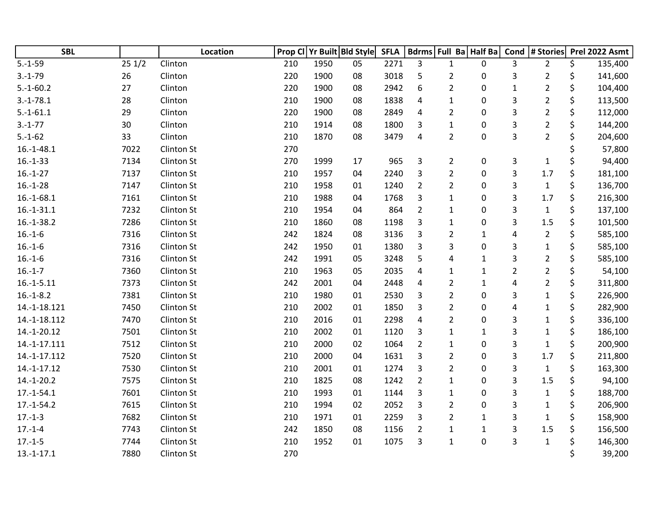| <b>SBL</b>   |       | Location          |     |      | Prop CI Yr Built Bld Style | <b>SFLA</b> |                |                | Bdrms Full Ba Half Ba |              | Cond  # Stories | Prel 2022 Asmt |
|--------------|-------|-------------------|-----|------|----------------------------|-------------|----------------|----------------|-----------------------|--------------|-----------------|----------------|
| $5.-1-59$    | 251/2 | Clinton           | 210 | 1950 | 05                         | 2271        | 3              | $\mathbf{1}$   | 0                     | 3            | $\overline{2}$  | \$<br>135,400  |
| $3.-1-79$    | 26    | Clinton           | 220 | 1900 | 08                         | 3018        | 5              | $\overline{2}$ | 0                     | 3            | $\overline{2}$  | \$<br>141,600  |
| $5.-1-60.2$  | 27    | Clinton           | 220 | 1900 | 08                         | 2942        | 6              | $\overline{2}$ | 0                     | $\mathbf 1$  | $\overline{2}$  | \$<br>104,400  |
| $3.-1-78.1$  | 28    | Clinton           | 210 | 1900 | 08                         | 1838        | 4              | $\mathbf{1}$   | 0                     | $\mathsf{3}$ | $\overline{2}$  | \$<br>113,500  |
| $5.-1-61.1$  | 29    | Clinton           | 220 | 1900 | 08                         | 2849        | $\overline{4}$ | $\overline{2}$ | 0                     | 3            | $\mathbf 2$     | \$<br>112,000  |
| $3.-1-77$    | 30    | Clinton           | 210 | 1914 | 08                         | 1800        | 3              | $\mathbf 1$    | 0                     | 3            | $\overline{2}$  | \$<br>144,200  |
| $5.-1-62$    | 33    | Clinton           | 210 | 1870 | 08                         | 3479        | 4              | $\overline{2}$ | $\mathbf 0$           | 3            | $\overline{2}$  | \$<br>204,600  |
| $16.-1-48.1$ | 7022  | Clinton St        | 270 |      |                            |             |                |                |                       |              |                 | 57,800         |
| $16.-1-33$   | 7134  | <b>Clinton St</b> | 270 | 1999 | 17                         | 965         | 3              | $\overline{2}$ | 0                     | 3            | $\mathbf{1}$    | \$<br>94,400   |
| $16.-1-27$   | 7137  | Clinton St        | 210 | 1957 | 04                         | 2240        | 3              | $\overline{2}$ | $\mathbf 0$           | 3            | 1.7             | \$<br>181,100  |
| $16.-1-28$   | 7147  | Clinton St        | 210 | 1958 | 01                         | 1240        | $\overline{2}$ | $\overline{2}$ | 0                     | 3            | $\mathbf{1}$    | \$<br>136,700  |
| $16.-1-68.1$ | 7161  | Clinton St        | 210 | 1988 | 04                         | 1768        | 3              | $\mathbf{1}$   | 0                     | 3            | 1.7             | \$<br>216,300  |
| $16.-1-31.1$ | 7232  | Clinton St        | 210 | 1954 | 04                         | 864         | $\overline{2}$ | $\mathbf{1}$   | 0                     | 3            | $\mathbf{1}$    | \$<br>137,100  |
| $16.-1-38.2$ | 7286  | <b>Clinton St</b> | 210 | 1860 | 08                         | 1198        | 3              | $\mathbf{1}$   | 0                     | 3            | 1.5             | \$<br>101,500  |
| $16.-1-6$    | 7316  | Clinton St        | 242 | 1824 | 08                         | 3136        | 3              | $\overline{2}$ | $\mathbf{1}$          | 4            | $\overline{2}$  | \$<br>585,100  |
| $16.-1-6$    | 7316  | Clinton St        | 242 | 1950 | 01                         | 1380        | 3              | 3              | 0                     | 3            | $\mathbf{1}$    | \$<br>585,100  |
| $16.-1-6$    | 7316  | Clinton St        | 242 | 1991 | 05                         | 3248        | 5              | 4              | $\mathbf 1$           | 3            | $\overline{2}$  | \$<br>585,100  |
| $16.-1-7$    | 7360  | Clinton St        | 210 | 1963 | 05                         | 2035        | 4              | 1              | $\mathbf 1$           | $\mathbf 2$  | $\mathbf 2$     | \$<br>54,100   |
| $16.-1-5.11$ | 7373  | Clinton St        | 242 | 2001 | 04                         | 2448        | 4              | $\overline{2}$ | $\mathbf{1}$          | 4            | $\overline{2}$  | \$<br>311,800  |
| $16.-1-8.2$  | 7381  | Clinton St        | 210 | 1980 | 01                         | 2530        | 3              | $\overline{2}$ | 0                     | 3            | $\mathbf{1}$    | \$<br>226,900  |
| 14.-1-18.121 | 7450  | Clinton St        | 210 | 2002 | 01                         | 1850        | 3              | $\overline{2}$ | 0                     | 4            | 1               | \$<br>282,900  |
| 14.-1-18.112 | 7470  | Clinton St        | 210 | 2016 | 01                         | 2298        | $\sqrt{4}$     | $\overline{2}$ | 0                     | 3            | $\mathbf{1}$    | \$<br>336,100  |
| 14.-1-20.12  | 7501  | Clinton St        | 210 | 2002 | 01                         | 1120        | 3              | $\mathbf{1}$   | $\mathbf 1$           | 3            | $\mathbf 1$     | \$<br>186,100  |
| 14.-1-17.111 | 7512  | Clinton St        | 210 | 2000 | 02                         | 1064        | $\overline{2}$ | 1              | 0                     | 3            | $\mathbf{1}$    | \$<br>200,900  |
| 14.-1-17.112 | 7520  | Clinton St        | 210 | 2000 | 04                         | 1631        | 3              | $\overline{2}$ | 0                     | 3            | 1.7             | \$<br>211,800  |
| 14.-1-17.12  | 7530  | Clinton St        | 210 | 2001 | 01                         | 1274        | 3              | $\overline{2}$ | 0                     | 3            | $\mathbf{1}$    | \$<br>163,300  |
| $14.-1-20.2$ | 7575  | Clinton St        | 210 | 1825 | 08                         | 1242        | $\overline{2}$ | $\mathbf{1}$   | 0                     | 3            | 1.5             | \$<br>94,100   |
| $17.-1-54.1$ | 7601  | Clinton St        | 210 | 1993 | 01                         | 1144        | 3              | $\mathbf{1}$   | 0                     | 3            | $\mathbf{1}$    | \$<br>188,700  |
| $17.-1-54.2$ | 7615  | Clinton St        | 210 | 1994 | 02                         | 2052        | 3              | $\overline{2}$ | 0                     | 3            | $\mathbf{1}$    | \$<br>206,900  |
| $17.-1-3$    | 7682  | Clinton St        | 210 | 1971 | 01                         | 2259        | 3              | $\overline{2}$ | $\mathbf{1}$          | 3            | $\mathbf{1}$    | \$<br>158,900  |
| $17.-1-4$    | 7743  | Clinton St        | 242 | 1850 | 08                         | 1156        | $\overline{2}$ | $\mathbf{1}$   | 1                     | 3            | 1.5             | \$<br>156,500  |
| $17.-1-5$    | 7744  | <b>Clinton St</b> | 210 | 1952 | 01                         | 1075        | 3              | $\mathbf{1}$   | 0                     | 3            | $\mathbf{1}$    | \$<br>146,300  |
| $13.-1-17.1$ | 7880  | Clinton St        | 270 |      |                            |             |                |                |                       |              |                 | \$<br>39,200   |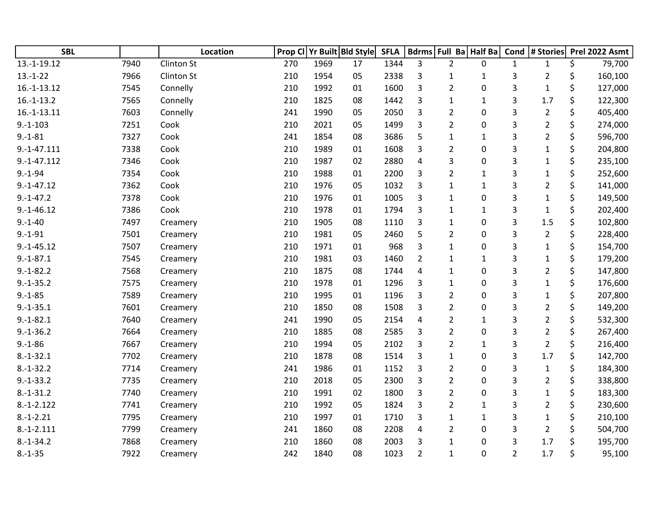| <b>SBL</b>    |      | <b>Location</b>   | Prop Cl |      | Yr Built Bld Style | <b>SFLA</b> |                         | Bdrms Full Ba Half Ba |              | Cond           | # Stories      | Prel 2022 Asmt |
|---------------|------|-------------------|---------|------|--------------------|-------------|-------------------------|-----------------------|--------------|----------------|----------------|----------------|
| 13.-1-19.12   | 7940 | Clinton St        | 270     | 1969 | 17                 | 1344        | 3                       | $\overline{2}$        | 0            | $\mathbf{1}$   | $\mathbf{1}$   | \$<br>79,700   |
| $13.-1-22$    | 7966 | <b>Clinton St</b> | 210     | 1954 | 05                 | 2338        | 3                       | 1                     | 1            | 3              | $\overline{2}$ | \$<br>160,100  |
| $16.-1-13.12$ | 7545 | Connelly          | 210     | 1992 | 01                 | 1600        | 3                       | $\overline{2}$        | 0            | 3              | $\mathbf{1}$   | \$<br>127,000  |
| $16.-1-13.2$  | 7565 | Connelly          | 210     | 1825 | 08                 | 1442        | 3                       | $\mathbf{1}$          | 1            | 3              | 1.7            | \$<br>122,300  |
| $16.-1-13.11$ | 7603 | Connelly          | 241     | 1990 | 05                 | 2050        | 3                       | $\overline{2}$        | 0            | 3              | $\overline{2}$ | \$<br>405,400  |
| $9.-1-103$    | 7251 | Cook              | 210     | 2021 | 05                 | 1499        | 3                       | $\overline{2}$        | 0            | 3              | $\overline{2}$ | \$<br>274,000  |
| $9. - 1 - 81$ | 7327 | Cook              | 241     | 1854 | 08                 | 3686        | 5                       | $\mathbf{1}$          | $\mathbf{1}$ | 3              | $\overline{2}$ | \$<br>596,700  |
| $9.-1-47.111$ | 7338 | Cook              | 210     | 1989 | 01                 | 1608        | 3                       | $\overline{2}$        | 0            | 3              | $\mathbf{1}$   | \$<br>204,800  |
| $9.-1-47.112$ | 7346 | Cook              | 210     | 1987 | 02                 | 2880        | $\overline{4}$          | 3                     | 0            | 3              | $\mathbf{1}$   | \$<br>235,100  |
| $9.-1-94$     | 7354 | Cook              | 210     | 1988 | 01                 | 2200        | 3                       | $\overline{2}$        | $\mathbf{1}$ | 3              | $\mathbf{1}$   | \$<br>252,600  |
| $9.-1-47.12$  | 7362 | Cook              | 210     | 1976 | 05                 | 1032        | 3                       | 1                     | $\mathbf{1}$ | 3              | 2              | \$<br>141,000  |
| $9.-1-47.2$   | 7378 | Cook              | 210     | 1976 | 01                 | 1005        | 3                       | $\mathbf{1}$          | 0            | 3              | $\mathbf{1}$   | \$<br>149,500  |
| $9.-1-46.12$  | 7386 | Cook              | 210     | 1978 | 01                 | 1794        | 3                       | $\mathbf{1}$          | $\mathbf{1}$ | 3              | $\mathbf{1}$   | \$<br>202,400  |
| $9.-1-40$     | 7497 | Creamery          | 210     | 1905 | 08                 | 1110        | 3                       | 1                     | $\mathbf 0$  | 3              | 1.5            | \$<br>102,800  |
| $9. - 1 - 91$ | 7501 | Creamery          | 210     | 1981 | 05                 | 2460        | 5                       | $\overline{2}$        | 0            | 3              | $\overline{2}$ | \$<br>228,400  |
| $9.-1-45.12$  | 7507 | Creamery          | 210     | 1971 | 01                 | 968         | 3                       | $\mathbf{1}$          | 0            | 3              | $\mathbf{1}$   | \$<br>154,700  |
| $9.-1-87.1$   | 7545 | Creamery          | 210     | 1981 | 03                 | 1460        | 2                       | $\mathbf{1}$          | $\mathbf{1}$ | 3              | $\mathbf{1}$   | \$<br>179,200  |
| $9.-1-82.2$   | 7568 | Creamery          | 210     | 1875 | 08                 | 1744        | $\overline{4}$          | 1                     | 0            | 3              | $\overline{2}$ | \$<br>147,800  |
| $9.-1-35.2$   | 7575 | Creamery          | 210     | 1978 | 01                 | 1296        | 3                       | 1                     | 0            | 3              | $\mathbf 1$    | \$<br>176,600  |
| $9.-1-85$     | 7589 | Creamery          | 210     | 1995 | 01                 | 1196        | 3                       | $\overline{2}$        | 0            | 3              | $\mathbf{1}$   | \$<br>207,800  |
| $9.-1-35.1$   | 7601 | Creamery          | 210     | 1850 | 08                 | 1508        | 3                       | $\overline{2}$        | 0            | 3              | $\overline{2}$ | \$<br>149,200  |
| $9.-1-82.1$   | 7640 | Creamery          | 241     | 1990 | 05                 | 2154        | $\overline{\mathbf{4}}$ | $\overline{2}$        | $\mathbf{1}$ | 3              | $\overline{2}$ | \$<br>532,300  |
| $9.-1-36.2$   | 7664 | Creamery          | 210     | 1885 | 08                 | 2585        | 3                       | $\overline{2}$        | 0            | 3              | $\overline{2}$ | \$<br>267,400  |
| $9.-1-86$     | 7667 | Creamery          | 210     | 1994 | 05                 | 2102        | 3                       | $\overline{2}$        | 1            | 3              | $\overline{2}$ | \$<br>216,400  |
| $8.-1-32.1$   | 7702 | Creamery          | 210     | 1878 | 08                 | 1514        | 3                       | 1                     | 0            | 3              | 1.7            | \$<br>142,700  |
| $8.-1-32.2$   | 7714 | Creamery          | 241     | 1986 | 01                 | 1152        | 3                       | $\overline{2}$        | 0            | 3              | $\mathbf 1$    | \$<br>184,300  |
| $9.-1-33.2$   | 7735 | Creamery          | 210     | 2018 | 05                 | 2300        | 3                       | $\overline{2}$        | 0            | 3              | $\overline{2}$ | \$<br>338,800  |
| $8.-1-31.2$   | 7740 | Creamery          | 210     | 1991 | 02                 | 1800        | 3                       | $\overline{2}$        | 0            | 3              | $\mathbf{1}$   | \$<br>183,300  |
| $8.-1-2.122$  | 7741 | Creamery          | 210     | 1992 | 05                 | 1824        | 3                       | $\overline{2}$        | $\mathbf{1}$ | 3              | $\overline{2}$ | \$<br>230,600  |
| $8.-1-.2.21$  | 7795 | Creamery          | 210     | 1997 | 01                 | 1710        | 3                       | $\mathbf{1}$          | 1            | 3              | $\mathbf{1}$   | \$<br>210,100  |
| $8.-1-2.111$  | 7799 | Creamery          | 241     | 1860 | 08                 | 2208        | 4                       | $\overline{2}$        | 0            | 3              | $\overline{2}$ | \$<br>504,700  |
| $8.-1-34.2$   | 7868 | Creamery          | 210     | 1860 | 08                 | 2003        | 3                       | 1                     | 0            | 3              | 1.7            | \$<br>195,700  |
| $8.-1-35$     | 7922 | Creamery          | 242     | 1840 | 08                 | 1023        | $\overline{2}$          | $\mathbf{1}$          | 0            | $\overline{2}$ | 1.7            | \$<br>95,100   |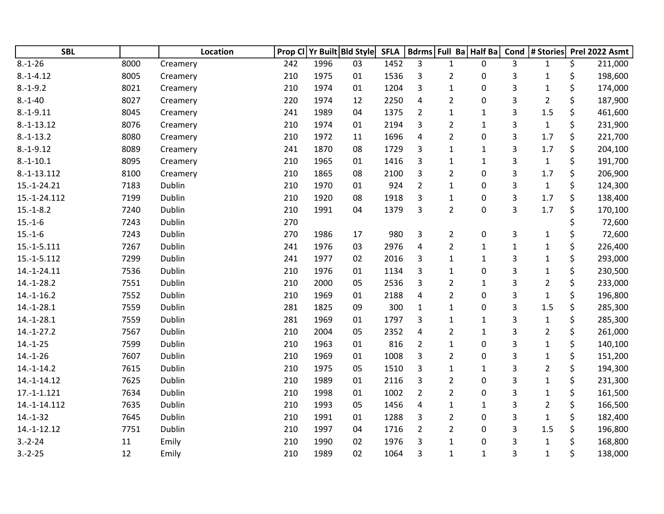| <b>SBL</b>    |      | Location |     |      | Prop CI Yr Built Bld Style | <b>SFLA</b> |                         |                | Bdrms   Full Ba   Half Ba | Cond         | # Stories      | Prel 2022 Asmt |
|---------------|------|----------|-----|------|----------------------------|-------------|-------------------------|----------------|---------------------------|--------------|----------------|----------------|
| $8.-1-26$     | 8000 | Creamery | 242 | 1996 | 03                         | 1452        | 3                       | $\mathbf{1}$   | 0                         | 3            | $\mathbf{1}$   | \$<br>211,000  |
| $8.-1-4.12$   | 8005 | Creamery | 210 | 1975 | 01                         | 1536        | 3                       | $\overline{2}$ | 0                         | 3            | $\mathbf{1}$   | \$<br>198,600  |
| $8.-1-9.2$    | 8021 | Creamery | 210 | 1974 | 01                         | 1204        | 3                       | $\mathbf{1}$   | 0                         | 3            | $\mathbf 1$    | \$<br>174,000  |
| $8.-1-40$     | 8027 | Creamery | 220 | 1974 | 12                         | 2250        | $\overline{\mathbf{4}}$ | $\overline{2}$ | $\pmb{0}$                 | 3            | $\overline{2}$ | \$<br>187,900  |
| $8.-1-9.11$   | 8045 | Creamery | 241 | 1989 | 04                         | 1375        | $\overline{2}$          | $\mathbf{1}$   | $\mathbf{1}$              | 3            | 1.5            | \$<br>461,600  |
| $8.-1-13.12$  | 8076 | Creamery | 210 | 1974 | 01                         | 2194        | 3                       | $\overline{2}$ | $\mathbf{1}$              | 3            | $\mathbf{1}$   | \$<br>231,900  |
| $8.-1-13.2$   | 8080 | Creamery | 210 | 1972 | 11                         | 1696        | 4                       | $\overline{2}$ | 0                         | 3            | 1.7            | \$<br>221,700  |
| $8.-1-9.12$   | 8089 | Creamery | 241 | 1870 | 08                         | 1729        | 3                       | $\mathbf{1}$   | $\mathbf{1}$              | 3            | 1.7            | \$<br>204,100  |
| $8.-1-10.1$   | 8095 | Creamery | 210 | 1965 | 01                         | 1416        | 3                       | $\mathbf 1$    | $\mathbf{1}$              | 3            | $\mathbf{1}$   | \$<br>191,700  |
| 8.-1-13.112   | 8100 | Creamery | 210 | 1865 | 08                         | 2100        | $\overline{3}$          | $\overline{2}$ | 0                         | 3            | 1.7            | \$<br>206,900  |
| 15.-1-24.21   | 7183 | Dublin   | 210 | 1970 | 01                         | 924         | $\overline{2}$          | $\mathbf{1}$   | 0                         | 3            | $\mathbf{1}$   | \$<br>124,300  |
| 15.-1-24.112  | 7199 | Dublin   | 210 | 1920 | 08                         | 1918        | 3                       | 1              | $\mathbf 0$               | 3            | 1.7            | \$<br>138,400  |
| $15.-1-8.2$   | 7240 | Dublin   | 210 | 1991 | 04                         | 1379        | 3                       | $\overline{2}$ | 0                         | 3            | 1.7            | \$<br>170,100  |
| $15.-1-6$     | 7243 | Dublin   | 270 |      |                            |             |                         |                |                           |              |                | \$<br>72,600   |
| $15.-1-6$     | 7243 | Dublin   | 270 | 1986 | 17                         | 980         | 3                       | $\overline{2}$ | $\pmb{0}$                 | 3            | $\mathbf{1}$   | \$<br>72,600   |
| $15.-1-5.111$ | 7267 | Dublin   | 241 | 1976 | 03                         | 2976        | 4                       | $\overline{2}$ | 1                         | $\mathbf{1}$ | $\mathbf 1$    | \$<br>226,400  |
| 15.-1-5.112   | 7299 | Dublin   | 241 | 1977 | 02                         | 2016        | 3                       | $\mathbf{1}$   | 1                         | 3            | $\mathbf 1$    | \$<br>293,000  |
| 14.-1-24.11   | 7536 | Dublin   | 210 | 1976 | 01                         | 1134        | 3                       | $\mathbf{1}$   | 0                         | 3            | $\mathbf 1$    | \$<br>230,500  |
| $14.-1-28.2$  | 7551 | Dublin   | 210 | 2000 | 05                         | 2536        | 3                       | $\overline{2}$ | $\mathbf 1$               | 3            | $\overline{2}$ | \$<br>233,000  |
| $14.-1-16.2$  | 7552 | Dublin   | 210 | 1969 | 01                         | 2188        | $\overline{4}$          | $\overline{2}$ | 0                         | 3            | $\mathbf{1}$   | \$<br>196,800  |
| $14.-1-28.1$  | 7559 | Dublin   | 281 | 1825 | 09                         | 300         | $\mathbf{1}$            | $\mathbf{1}$   | 0                         | 3            | 1.5            | \$<br>285,300  |
| $14.-1-28.1$  | 7559 | Dublin   | 281 | 1969 | 01                         | 1797        | 3                       | $\mathbf{1}$   | $\mathbf{1}$              | 3            | $\mathbf{1}$   | \$<br>285,300  |
| $14.-1-27.2$  | 7567 | Dublin   | 210 | 2004 | 05                         | 2352        | $\overline{\mathbf{4}}$ | $\overline{2}$ | $\mathbf{1}$              | 3            | $\overline{2}$ | \$<br>261,000  |
| $14.-1-25$    | 7599 | Dublin   | 210 | 1963 | 01                         | 816         | $\overline{2}$          | $\mathbf{1}$   | $\pmb{0}$                 | 3            | $\mathbf 1$    | \$<br>140,100  |
| $14.-1-26$    | 7607 | Dublin   | 210 | 1969 | 01                         | 1008        | 3                       | $\overline{2}$ | 0                         | 3            | $\mathbf 1$    | \$<br>151,200  |
| $14.-1-14.2$  | 7615 | Dublin   | 210 | 1975 | 05                         | 1510        | 3                       | $\mathbf{1}$   | 1                         | 3            | $\overline{2}$ | \$<br>194,300  |
| 14.-1-14.12   | 7625 | Dublin   | 210 | 1989 | 01                         | 2116        | 3                       | $\overline{2}$ | 0                         | 3            | $\mathbf 1$    | \$<br>231,300  |
| $17.-1-1.121$ | 7634 | Dublin   | 210 | 1998 | 01                         | 1002        | $\overline{2}$          | $\overline{2}$ | 0                         | 3            | $\mathbf 1$    | \$<br>161,500  |
| 14.-1-14.112  | 7635 | Dublin   | 210 | 1993 | 05                         | 1456        | $\overline{\mathbf{4}}$ | $\mathbf{1}$   | $\mathbf{1}$              | 3            | $\overline{2}$ | \$<br>166,500  |
| $14.-1-32$    | 7645 | Dublin   | 210 | 1991 | 01                         | 1288        | 3                       | $\overline{2}$ | 0                         | 3            | $\mathbf{1}$   | \$<br>182,400  |
| 14.-1-12.12   | 7751 | Dublin   | 210 | 1997 | 04                         | 1716        | $\overline{2}$          | $\overline{2}$ | 0                         | 3            | 1.5            | \$<br>196,800  |
| $3.-2-24$     | 11   | Emily    | 210 | 1990 | 02                         | 1976        | 3                       | $\mathbf{1}$   | 0                         | 3            | $\mathbf 1$    | \$<br>168,800  |
| $3.-2-25$     | 12   | Emily    | 210 | 1989 | 02                         | 1064        | 3                       | $\mathbf{1}$   | 1                         | 3            | $\mathbf 1$    | \$<br>138,000  |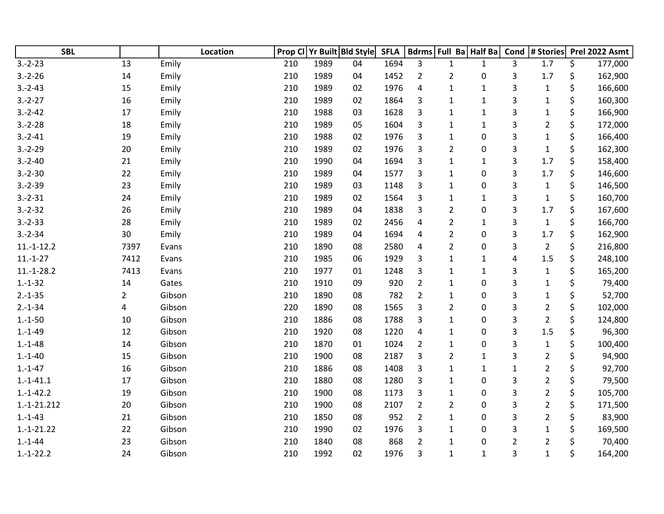| <b>SBL</b>    |                | Location | Prop CI | Yr Built Bld Style |    | <b>SFLA</b> |                | Bdrms Full Ba Half Ba |              | Cond           | # Stories      | Prel 2022 Asmt |
|---------------|----------------|----------|---------|--------------------|----|-------------|----------------|-----------------------|--------------|----------------|----------------|----------------|
| $3.-2-23$     | 13             | Emily    | 210     | 1989               | 04 | 1694        | 3              | $\mathbf{1}$          | $\mathbf{1}$ | 3              | 1.7            | \$<br>177,000  |
| $3.-2-26$     | 14             | Emily    | 210     | 1989               | 04 | 1452        | $\overline{2}$ | $\overline{2}$        | 0            | 3              | 1.7            | \$<br>162,900  |
| $3.-2-43$     | 15             | Emily    | 210     | 1989               | 02 | 1976        | 4              | $\mathbf{1}$          | $\mathbf{1}$ | 3              | $\mathbf{1}$   | \$<br>166,600  |
| $3.-2-27$     | 16             | Emily    | 210     | 1989               | 02 | 1864        | 3              | $\mathbf{1}$          | $\mathbf{1}$ | 3              | $\mathbf{1}$   | \$<br>160,300  |
| $3.-2-42$     | 17             | Emily    | 210     | 1988               | 03 | 1628        | 3              | $\mathbf{1}$          | $\mathbf 1$  | 3              | $\mathbf{1}$   | \$<br>166,900  |
| $3.-2-28$     | 18             | Emily    | 210     | 1989               | 05 | 1604        | 3              | 1                     | $\mathbf{1}$ | 3              | $\overline{2}$ | \$<br>172,000  |
| $3.-2-41$     | 19             | Emily    | 210     | 1988               | 02 | 1976        | 3              | $\mathbf{1}$          | 0            | 3              | $\mathbf{1}$   | \$<br>166,400  |
| $3.-2-29$     | 20             | Emily    | 210     | 1989               | 02 | 1976        | 3              | $\overline{2}$        | 0            | 3              | $\mathbf{1}$   | \$<br>162,300  |
| $3.-2-40$     | 21             | Emily    | 210     | 1990               | 04 | 1694        | 3              | 1                     | $\mathbf{1}$ | 3              | 1.7            | \$<br>158,400  |
| $3.-2-30$     | 22             | Emily    | 210     | 1989               | 04 | 1577        | 3              | $\mathbf{1}$          | 0            | 3              | 1.7            | \$<br>146,600  |
| $3.-2-39$     | 23             | Emily    | 210     | 1989               | 03 | 1148        | 3              | 1                     | 0            | 3              | $\mathbf{1}$   | \$<br>146,500  |
| $3.-2-31$     | 24             | Emily    | 210     | 1989               | 02 | 1564        | 3              | 1                     | $\mathbf{1}$ | 3              | $\mathbf{1}$   | \$<br>160,700  |
| $3.-2-32$     | 26             | Emily    | 210     | 1989               | 04 | 1838        | 3              | $\overline{2}$        | $\pmb{0}$    | 3              | 1.7            | \$<br>167,600  |
| $3.-2-33$     | 28             | Emily    | 210     | 1989               | 02 | 2456        | 4              | $\overline{2}$        | $\mathbf{1}$ | 3              | $\mathbf{1}$   | \$<br>166,700  |
| $3.-2-34$     | 30             | Emily    | 210     | 1989               | 04 | 1694        | 4              | $\overline{2}$        | 0            | 3              | 1.7            | \$<br>162,900  |
| $11.-1-12.2$  | 7397           | Evans    | 210     | 1890               | 08 | 2580        | 4              | $\overline{2}$        | 0            | 3              | $\overline{2}$ | \$<br>216,800  |
| $11.-1-27$    | 7412           | Evans    | 210     | 1985               | 06 | 1929        | 3              | $\mathbf{1}$          | 1            | 4              | 1.5            | \$<br>248,100  |
| $11.-1-28.2$  | 7413           | Evans    | 210     | 1977               | 01 | 1248        | 3              | 1                     | $\mathbf 1$  | 3              | $\mathbf{1}$   | \$<br>165,200  |
| $1.-1-32$     | 14             | Gates    | 210     | 1910               | 09 | 920         | $\overline{2}$ | 1                     | 0            | 3              | $\mathbf{1}$   | \$<br>79,400   |
| $2.-1-35$     | $\overline{2}$ | Gibson   | 210     | 1890               | 08 | 782         | $\overline{2}$ | 1                     | 0            | 3              | $\mathbf{1}$   | \$<br>52,700   |
| $2.-1-34$     | 4              | Gibson   | 220     | 1890               | 08 | 1565        | 3              | $\overline{2}$        | 0            | 3              | $\overline{2}$ | \$<br>102,000  |
| $1.-1-50$     | 10             | Gibson   | 210     | 1886               | 08 | 1788        | 3              | $\mathbf{1}$          | 0            | 3              | $\overline{2}$ | \$<br>124,800  |
| $1.-1-49$     | 12             | Gibson   | 210     | 1920               | 08 | 1220        | 4              | $\mathbf{1}$          | 0            | 3              | 1.5            | \$<br>96,300   |
| $1.-1-48$     | 14             | Gibson   | 210     | 1870               | 01 | 1024        | $\overline{2}$ | 1                     | 0            | 3              | $\mathbf{1}$   | \$<br>100,400  |
| $1.-1-40$     | 15             | Gibson   | 210     | 1900               | 08 | 2187        | 3              | $\overline{2}$        | $\mathbf{1}$ | 3              | $\overline{2}$ | \$<br>94,900   |
| $1.-1-47$     | 16             | Gibson   | 210     | 1886               | 08 | 1408        | 3              | $\mathbf{1}$          | $\mathbf{1}$ | $\mathbf{1}$   | $\overline{2}$ | \$<br>92,700   |
| $1.-1-41.1$   | 17             | Gibson   | 210     | 1880               | 08 | 1280        | 3              | 1                     | 0            | 3              | $\overline{2}$ | \$<br>79,500   |
| $1.-1-42.2$   | 19             | Gibson   | 210     | 1900               | 08 | 1173        | 3              | $\mathbf 1$           | 0            | 3              | $\overline{2}$ | \$<br>105,700  |
| $1.-1-21.212$ | 20             | Gibson   | 210     | 1900               | 08 | 2107        | $\overline{2}$ | $\overline{2}$        | 0            | 3              | $\overline{2}$ | \$<br>171,500  |
| $1.-1-43$     | 21             | Gibson   | 210     | 1850               | 08 | 952         | $\overline{2}$ | $\mathbf{1}$          | 0            | 3              | $\overline{2}$ | \$<br>83,900   |
| $1.-1-21.22$  | 22             | Gibson   | 210     | 1990               | 02 | 1976        | 3              | 1                     | 0            | 3              | $\mathbf{1}$   | 169,500        |
| $1.-1-44$     | 23             | Gibson   | 210     | 1840               | 08 | 868         | $\overline{2}$ | $\mathbf{1}$          | 0            | $\overline{2}$ | $\overline{2}$ | 70,400         |
| $1.-1-22.2$   | 24             | Gibson   | 210     | 1992               | 02 | 1976        | 3              | $\mathbf{1}$          | $\mathbf{1}$ | 3              | $\mathbf{1}$   | \$<br>164,200  |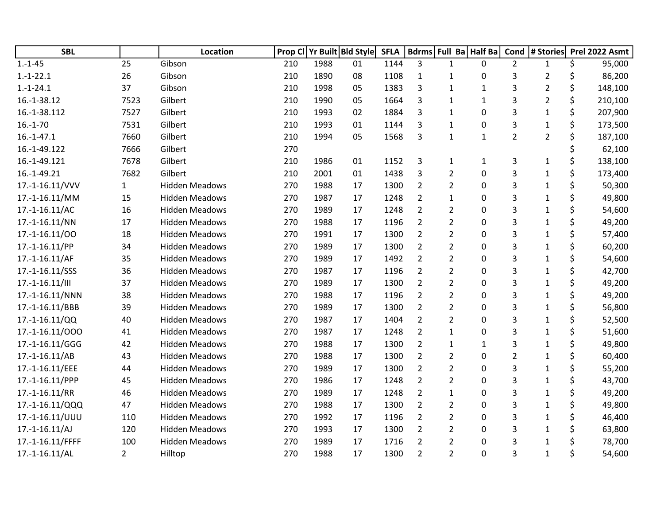| <b>SBL</b>       |                | <b>Location</b>       | Prop Cl |      | Yr Built Bld Style | <b>SFLA</b> |                | Bdrms Full Ba Half Ba |              | Cond           | # Stories      | Prel 2022 Asmt |
|------------------|----------------|-----------------------|---------|------|--------------------|-------------|----------------|-----------------------|--------------|----------------|----------------|----------------|
| $1.-1-45$        | 25             | Gibson                | 210     | 1988 | 01                 | 1144        | 3              | $\mathbf{1}$          | $\Omega$     | $\overline{2}$ | $\mathbf{1}$   | \$<br>95,000   |
| $1.-1-22.1$      | 26             | Gibson                | 210     | 1890 | 08                 | 1108        | $\mathbf{1}$   | $\mathbf{1}$          | 0            | 3              | 2              | \$<br>86,200   |
| $1.-1-24.1$      | 37             | Gibson                | 210     | 1998 | 05                 | 1383        | 3              | $\mathbf{1}$          | $\mathbf{1}$ | 3              | $\overline{2}$ | \$<br>148,100  |
| 16.-1-38.12      | 7523           | Gilbert               | 210     | 1990 | 05                 | 1664        | 3              | 1                     | $\mathbf{1}$ | 3              | 2              | \$<br>210,100  |
| 16.-1-38.112     | 7527           | Gilbert               | 210     | 1993 | 02                 | 1884        | 3              | 1                     | 0            | 3              | $\mathbf{1}$   | \$<br>207,900  |
| $16.-1-70$       | 7531           | Gilbert               | 210     | 1993 | 01                 | 1144        | 3              | $\mathbf{1}$          | 0            | 3              | 1              | 173,500        |
| $16.-1-47.1$     | 7660           | Gilbert               | 210     | 1994 | 05                 | 1568        | 3              | $\mathbf{1}$          | $\mathbf{1}$ | $\overline{2}$ | $\overline{2}$ | 187,100        |
| 16.-1-49.122     | 7666           | Gilbert               | 270     |      |                    |             |                |                       |              |                |                | 62,100         |
| 16.-1-49.121     | 7678           | Gilbert               | 210     | 1986 | 01                 | 1152        | 3              | 1                     | $\mathbf{1}$ | 3              | $\mathbf{1}$   | \$<br>138,100  |
| 16.-1-49.21      | 7682           | Gilbert               | 210     | 2001 | 01                 | 1438        | 3              | $\overline{2}$        | $\mathbf{0}$ | 3              | $\mathbf{1}$   | \$<br>173,400  |
| 17.-1-16.11/VVV  | $\mathbf{1}$   | <b>Hidden Meadows</b> | 270     | 1988 | 17                 | 1300        | $\overline{2}$ | $\overline{2}$        | 0            | 3              | $\mathbf{1}$   | 50,300         |
| 17.-1-16.11/MM   | 15             | <b>Hidden Meadows</b> | 270     | 1987 | 17                 | 1248        | $\overline{2}$ | $\mathbf{1}$          | 0            | 3              | 1              | 49,800         |
| 17.-1-16.11/AC   | 16             | <b>Hidden Meadows</b> | 270     | 1989 | 17                 | 1248        | $\overline{2}$ | $\overline{2}$        | $\mathbf 0$  | 3              | $\mathbf{1}$   | 54,600         |
| 17.-1-16.11/NN   | 17             | <b>Hidden Meadows</b> | 270     | 1988 | 17                 | 1196        | $\overline{2}$ | $\overline{2}$        | 0            | 3              | 1              | \$<br>49,200   |
| 17.-1-16.11/00   | 18             | <b>Hidden Meadows</b> | 270     | 1991 | 17                 | 1300        | $\overline{2}$ | $\overline{2}$        | 0            | 3              | $\mathbf{1}$   | 57,400         |
| 17.-1-16.11/PP   | 34             | <b>Hidden Meadows</b> | 270     | 1989 | 17                 | 1300        | $\overline{2}$ | 2                     | 0            | 3              | 1              | 60,200         |
| 17.-1-16.11/AF   | 35             | <b>Hidden Meadows</b> | 270     | 1989 | 17                 | 1492        | $\overline{2}$ | $\overline{2}$        | 0            | 3              | 1              | 54,600         |
| 17.-1-16.11/SSS  | 36             | <b>Hidden Meadows</b> | 270     | 1987 | 17                 | 1196        | $\overline{2}$ | $\overline{2}$        | 0            | 3              | 1              | \$<br>42,700   |
| 17.-1-16.11/III  | 37             | <b>Hidden Meadows</b> | 270     | 1989 | 17                 | 1300        | $\overline{2}$ | $\overline{2}$        | 0            | 3              | $\mathbf{1}$   | \$<br>49,200   |
| 17.-1-16.11/NNN  | 38             | <b>Hidden Meadows</b> | 270     | 1988 | 17                 | 1196        | $\overline{2}$ | $\overline{2}$        | 0            | 3              | 1              | \$<br>49,200   |
| 17.-1-16.11/BBB  | 39             | <b>Hidden Meadows</b> | 270     | 1989 | 17                 | 1300        | $\overline{2}$ | $\overline{2}$        | 0            | 3              | 1              | 56,800         |
| 17.-1-16.11/QQ   | 40             | <b>Hidden Meadows</b> | 270     | 1987 | 17                 | 1404        | $\overline{2}$ | $\overline{2}$        | $\mathbf{0}$ | 3              | 1              | 52,500         |
| 17.-1-16.11/000  | 41             | <b>Hidden Meadows</b> | 270     | 1987 | 17                 | 1248        | $\overline{2}$ | $\mathbf{1}$          | 0            | 3              | $\mathbf{1}$   | 51,600         |
| 17.-1-16.11/GGG  | 42             | <b>Hidden Meadows</b> | 270     | 1988 | 17                 | 1300        | $\overline{2}$ | 1                     | 1            | 3              | $\mathbf{1}$   | \$<br>49,800   |
| 17.-1-16.11/AB   | 43             | <b>Hidden Meadows</b> | 270     | 1988 | 17                 | 1300        | $\overline{2}$ | $\overline{2}$        | 0            | $\overline{2}$ | $\mathbf{1}$   | 60,400         |
| 17.-1-16.11/EEE  | 44             | <b>Hidden Meadows</b> | 270     | 1989 | 17                 | 1300        | $\overline{2}$ | $\overline{2}$        | 0            | 3              | 1              | 55,200         |
| 17.-1-16.11/PPP  | 45             | <b>Hidden Meadows</b> | 270     | 1986 | 17                 | 1248        | $\overline{2}$ | $\overline{2}$        | 0            | 3              | 1              | 43,700         |
| 17.-1-16.11/RR   | 46             | <b>Hidden Meadows</b> | 270     | 1989 | 17                 | 1248        | $\overline{2}$ | $\mathbf{1}$          | 0            | 3              | 1              | \$<br>49,200   |
| 17.-1-16.11/QQQ  | 47             | <b>Hidden Meadows</b> | 270     | 1988 | 17                 | 1300        | $\overline{2}$ | $\overline{2}$        | 0            | 3              | $\mathbf{1}$   | \$<br>49,800   |
| 17.-1-16.11/UUU  | 110            | <b>Hidden Meadows</b> | 270     | 1992 | 17                 | 1196        | $\overline{2}$ | $\overline{2}$        | 0            | 3              | 1              | 46,400         |
| 17.-1-16.11/AJ   | 120            | <b>Hidden Meadows</b> | 270     | 1993 | 17                 | 1300        | $\overline{2}$ | 2                     | 0            | 3              | 1              | 63,800         |
| 17.-1-16.11/FFFF | 100            | <b>Hidden Meadows</b> | 270     | 1989 | 17                 | 1716        | $\overline{2}$ | $\overline{2}$        | 0            | 3              | 1              | 78,700         |
| 17.-1-16.11/AL   | $\overline{2}$ | Hilltop               | 270     | 1988 | 17                 | 1300        | $\overline{2}$ | $\overline{2}$        | $\mathbf{0}$ | 3              | $\mathbf 1$    | 54,600         |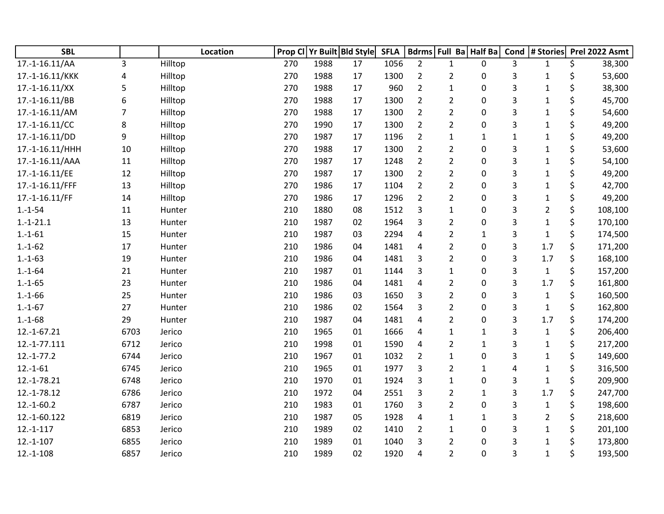| <b>SBL</b>      |      | Location | Prop CI |      | Yr Built Bld Style | <b>SFLA</b> |                         |                | Bdrms Full Ba Half Ba | Cond | # Stories      |    | Prel 2022 Asmt |
|-----------------|------|----------|---------|------|--------------------|-------------|-------------------------|----------------|-----------------------|------|----------------|----|----------------|
| 17.-1-16.11/AA  | 3    | Hilltop  | 270     | 1988 | 17                 | 1056        | $\overline{2}$          | $\mathbf{1}$   | $\mathbf{0}$          | 3    | $\mathbf{1}$   | \$ | 38,300         |
| 17.-1-16.11/KKK | 4    | Hilltop  | 270     | 1988 | 17                 | 1300        | $\overline{2}$          | 2              | 0                     | 3    | 1              | \$ | 53,600         |
| 17.-1-16.11/XX  | 5    | Hilltop  | 270     | 1988 | 17                 | 960         | $\overline{2}$          | $\mathbf{1}$   | 0                     | 3    | $\mathbf{1}$   | \$ | 38,300         |
| 17.-1-16.11/BB  | 6    | Hilltop  | 270     | 1988 | 17                 | 1300        | $\overline{2}$          | 2              | 0                     | 3    | $\mathbf{1}$   | \$ | 45,700         |
| 17.-1-16.11/AM  | 7    | Hilltop  | 270     | 1988 | 17                 | 1300        | $\overline{2}$          | $\overline{2}$ | 0                     | 3    | $\mathbf{1}$   | \$ | 54,600         |
| 17.-1-16.11/CC  | 8    | Hilltop  | 270     | 1990 | 17                 | 1300        | $\overline{2}$          | $\overline{2}$ | $\mathbf{0}$          | 3    | $\mathbf{1}$   |    | 49,200         |
| 17.-1-16.11/DD  | 9    | Hilltop  | 270     | 1987 | 17                 | 1196        | $\overline{2}$          | 1              | 1                     | 1    | $\mathbf{1}$   | \$ | 49,200         |
| 17.-1-16.11/HHH | 10   | Hilltop  | 270     | 1988 | 17                 | 1300        | $\overline{2}$          | $\overline{2}$ | 0                     | 3    | $\mathbf{1}$   | \$ | 53,600         |
| 17.-1-16.11/AAA | 11   | Hilltop  | 270     | 1987 | 17                 | 1248        | $\overline{2}$          | $\overline{2}$ | 0                     | 3    | $\mathbf{1}$   | \$ | 54,100         |
| 17.-1-16.11/EE  | 12   | Hilltop  | 270     | 1987 | 17                 | 1300        | $\overline{2}$          | $\overline{2}$ | 0                     | 3    | $\mathbf{1}$   | \$ | 49,200         |
| 17.-1-16.11/FFF | 13   | Hilltop  | 270     | 1986 | 17                 | 1104        | $\overline{2}$          | $\overline{2}$ | 0                     | 3    | $\mathbf{1}$   |    | 42,700         |
| 17.-1-16.11/FF  | 14   | Hilltop  | 270     | 1986 | 17                 | 1296        | $\overline{2}$          | $\overline{2}$ | 0                     | 3    | $\mathbf{1}$   | \$ | 49,200         |
| $1.-1-54$       | 11   | Hunter   | 210     | 1880 | 08                 | 1512        | 3                       | $\mathbf{1}$   | 0                     | 3    | $\overline{2}$ | \$ | 108,100        |
| $1.-1-21.1$     | 13   | Hunter   | 210     | 1987 | 02                 | 1964        | 3                       | $\overline{2}$ | 0                     | 3    | $\mathbf{1}$   | \$ | 170,100        |
| $1.-1-61$       | 15   | Hunter   | 210     | 1987 | 03                 | 2294        | 4                       | $\overline{2}$ | $\mathbf{1}$          | 3    | $\mathbf{1}$   | \$ | 174,500        |
| $1.-1-62$       | 17   | Hunter   | 210     | 1986 | 04                 | 1481        | 4                       | $\overline{2}$ | 0                     | 3    | 1.7            |    | 171,200        |
| $1.-1-63$       | 19   | Hunter   | 210     | 1986 | 04                 | 1481        | 3                       | $\overline{2}$ | 0                     | 3    | 1.7            | \$ | 168,100        |
| $1.-1-64$       | 21   | Hunter   | 210     | 1987 | 01                 | 1144        | 3                       | $\mathbf{1}$   | 0                     | 3    | $\mathbf{1}$   | \$ | 157,200        |
| $1.-1-65$       | 23   | Hunter   | 210     | 1986 | 04                 | 1481        | $\overline{\mathbf{4}}$ | $\overline{2}$ | 0                     | 3    | 1.7            | \$ | 161,800        |
| $1.-1-66$       | 25   | Hunter   | 210     | 1986 | 03                 | 1650        | 3                       | $\overline{2}$ | 0                     | 3    | $\mathbf{1}$   | \$ | 160,500        |
| $1.-1-67$       | 27   | Hunter   | 210     | 1986 | 02                 | 1564        | 3                       | $\overline{2}$ | 0                     | 3    | $\mathbf{1}$   | \$ | 162,800        |
| $1.-1-68$       | 29   | Hunter   | 210     | 1987 | 04                 | 1481        | 4                       | $\overline{2}$ | 0                     | 3    | 1.7            | \$ | 174,200        |
| 12.-1-67.21     | 6703 | Jerico   | 210     | 1965 | 01                 | 1666        | 4                       | $\mathbf{1}$   | $\mathbf{1}$          | 3    | $\mathbf{1}$   | \$ | 206,400        |
| 12.-1-77.111    | 6712 | Jerico   | 210     | 1998 | 01                 | 1590        | 4                       | $\overline{2}$ | $\mathbf{1}$          | 3    | $\mathbf{1}$   | \$ | 217,200        |
| $12.-1-77.2$    | 6744 | Jerico   | 210     | 1967 | 01                 | 1032        | $\overline{2}$          | 1              | 0                     | 3    | $\mathbf{1}$   | \$ | 149,600        |
| $12.-1-61$      | 6745 | Jerico   | 210     | 1965 | 01                 | 1977        | 3                       | $\overline{2}$ | $\mathbf{1}$          | 4    | $\mathbf{1}$   |    | 316,500        |
| 12.-1-78.21     | 6748 | Jerico   | 210     | 1970 | 01                 | 1924        | 3                       | 1              | 0                     | 3    | $\mathbf{1}$   | \$ | 209,900        |
| 12.-1-78.12     | 6786 | Jerico   | 210     | 1972 | 04                 | 2551        | 3                       | $\overline{2}$ | $\mathbf{1}$          | 3    | 1.7            | \$ | 247,700        |
| $12.-1-60.2$    | 6787 | Jerico   | 210     | 1983 | 01                 | 1760        | 3                       | $\overline{2}$ | 0                     | 3    | $\mathbf{1}$   | \$ | 198,600        |
| 12.-1-60.122    | 6819 | Jerico   | 210     | 1987 | 05                 | 1928        | $\overline{4}$          | $\mathbf{1}$   | $\mathbf{1}$          | 3    | $\overline{2}$ | \$ | 218,600        |
| $12.-1-117$     | 6853 | Jerico   | 210     | 1989 | 02                 | 1410        | $\overline{2}$          | $\mathbf{1}$   | 0                     | 3    | $\mathbf{1}$   |    | 201,100        |
| $12.-1-107$     | 6855 | Jerico   | 210     | 1989 | 01                 | 1040        | 3                       | $\overline{2}$ | 0                     | 3    | 1              | Ś  | 173,800        |
| $12.-1-108$     | 6857 | Jerico   | 210     | 1989 | 02                 | 1920        | 4                       | $\overline{2}$ | 0                     | 3    | $\mathbf{1}$   | \$ | 193,500        |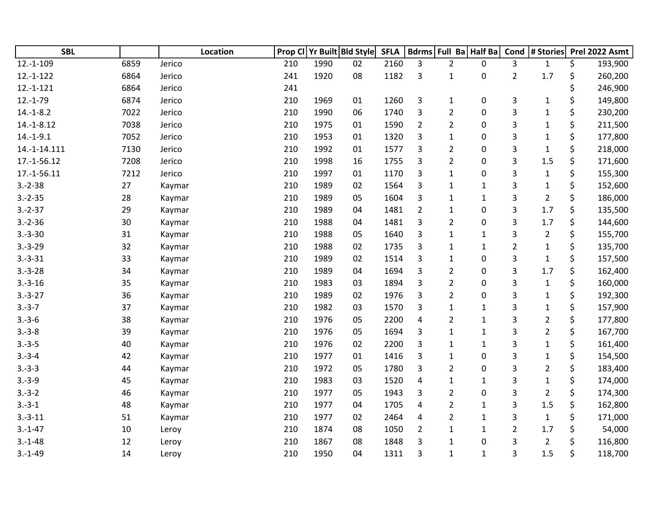| <b>SBL</b>   |      | Location |     |      | Prop CI Yr Built Bld Style | <b>SFLA</b> |                | Bdrms Full Ba Half Ba |              | Cond           | # Stories      | Prel 2022 Asmt |
|--------------|------|----------|-----|------|----------------------------|-------------|----------------|-----------------------|--------------|----------------|----------------|----------------|
| $12.-1-109$  | 6859 | Jerico   | 210 | 1990 | 02                         | 2160        | 3              | $\overline{2}$        | $\mathbf{0}$ | 3              | $\mathbf{1}$   | \$<br>193,900  |
| $12.-1-122$  | 6864 | Jerico   | 241 | 1920 | 08                         | 1182        | 3              | $\mathbf{1}$          | 0            | $\overline{2}$ | 1.7            | \$<br>260,200  |
| $12.-1-121$  | 6864 | Jerico   | 241 |      |                            |             |                |                       |              |                |                | 246,900        |
| $12.-1-79$   | 6874 | Jerico   | 210 | 1969 | 01                         | 1260        | 3              | 1                     | $\pmb{0}$    | 3              | $\mathbf{1}$   | \$<br>149,800  |
| $14.-1-8.2$  | 7022 | Jerico   | 210 | 1990 | 06                         | 1740        | 3              | $\overline{2}$        | 0            | 3              | $\mathbf{1}$   | \$<br>230,200  |
| $14.-1-8.12$ | 7038 | Jerico   | 210 | 1975 | 01                         | 1590        | $\overline{2}$ | $\overline{2}$        | 0            | 3              | $\mathbf{1}$   | \$<br>211,500  |
| $14.-1-9.1$  | 7052 | Jerico   | 210 | 1953 | 01                         | 1320        | 3              | $\mathbf{1}$          | 0            | 3              | $\mathbf{1}$   | \$<br>177,800  |
| 14.-1-14.111 | 7130 | Jerico   | 210 | 1992 | 01                         | 1577        | 3              | $\overline{2}$        | $\mathbf 0$  | 3              | $\mathbf 1$    | \$<br>218,000  |
| 17.-1-56.12  | 7208 | Jerico   | 210 | 1998 | 16                         | 1755        | 3              | $\overline{2}$        | 0            | 3              | 1.5            | \$<br>171,600  |
| 17.-1-56.11  | 7212 | Jerico   | 210 | 1997 | 01                         | 1170        | 3              | $\mathbf{1}$          | 0            | 3              | $\mathbf{1}$   | \$<br>155,300  |
| $3.-2-38$    | 27   | Kaymar   | 210 | 1989 | 02                         | 1564        | 3              | $\mathbf{1}$          | $\mathbf{1}$ | 3              | $\mathbf{1}$   | \$<br>152,600  |
| $3.-2-35$    | 28   | Kaymar   | 210 | 1989 | 05                         | 1604        | 3              | $\mathbf{1}$          | 1            | 3              | $\overline{2}$ | \$<br>186,000  |
| $3.-2-37$    | 29   | Kaymar   | 210 | 1989 | 04                         | 1481        | $\overline{2}$ | $\mathbf{1}$          | $\mathbf 0$  | 3              | 1.7            | \$<br>135,500  |
| $3.-2-36$    | 30   | Kaymar   | 210 | 1988 | 04                         | 1481        | 3              | $\overline{2}$        | $\mathbf 0$  | 3              | 1.7            | \$<br>144,600  |
| $3.-3-30$    | 31   | Kaymar   | 210 | 1988 | 05                         | 1640        | 3              | $\mathbf{1}$          | $\mathbf{1}$ | 3              | $\overline{2}$ | \$<br>155,700  |
| $3.-3-29$    | 32   | Kaymar   | 210 | 1988 | 02                         | 1735        | 3              | $\mathbf{1}$          | $1\,$        | $\overline{2}$ | $\mathbf{1}$   | \$<br>135,700  |
| $3.-3-31$    | 33   | Kaymar   | 210 | 1989 | 02                         | 1514        | 3              | $\mathbf{1}$          | 0            | 3              | $\mathbf{1}$   | \$<br>157,500  |
| $3.-3-28$    | 34   | Kaymar   | 210 | 1989 | 04                         | 1694        | 3              | $\overline{2}$        | $\mathbf 0$  | 3              | 1.7            | \$<br>162,400  |
| $3.-3-16$    | 35   | Kaymar   | 210 | 1983 | 03                         | 1894        | 3              | $\overline{2}$        | 0            | 3              | $\mathbf 1$    | \$<br>160,000  |
| $3.-3-27$    | 36   | Kaymar   | 210 | 1989 | 02                         | 1976        | 3              | $\overline{2}$        | 0            | 3              | $\mathbf 1$    | \$<br>192,300  |
| $3.-3-7$     | 37   | Kaymar   | 210 | 1982 | 03                         | 1570        | 3              | $\mathbf{1}$          | $\mathbf{1}$ | 3              | $\mathbf{1}$   | \$<br>157,900  |
| $3.-3-6$     | 38   | Kaymar   | 210 | 1976 | 05                         | 2200        | 4              | $\overline{2}$        | $1\,$        | 3              | $\overline{2}$ | \$<br>177,800  |
| $3.-3-8$     | 39   | Kaymar   | 210 | 1976 | 05                         | 1694        | 3              | $\mathbf{1}$          | $\mathbf{1}$ | 3              | $\overline{2}$ | \$<br>167,700  |
| $3.-3-5$     | 40   | Kaymar   | 210 | 1976 | 02                         | 2200        | 3              | $\mathbf{1}$          | $1\,$        | 3              | $\mathbf{1}$   | \$<br>161,400  |
| $3.-3-4$     | 42   | Kaymar   | 210 | 1977 | 01                         | 1416        | 3              | $\mathbf{1}$          | 0            | 3              | $\mathbf{1}$   | \$<br>154,500  |
| $3.-3-3$     | 44   | Kaymar   | 210 | 1972 | 05                         | 1780        | 3              | $\overline{2}$        | 0            | 3              | $\overline{2}$ | \$<br>183,400  |
| $3.-3-9$     | 45   | Kaymar   | 210 | 1983 | 03                         | 1520        | 4              | $\mathbf{1}$          | $\mathbf{1}$ | 3              | $\mathbf{1}$   | \$<br>174,000  |
| $3.-3-2$     | 46   | Kaymar   | 210 | 1977 | 05                         | 1943        | 3              | $\overline{2}$        | $\mathbf 0$  | 3              | $\overline{2}$ | \$<br>174,300  |
| $3.-3-1$     | 48   | Kaymar   | 210 | 1977 | 04                         | 1705        | 4              | $\overline{2}$        | $\mathbf{1}$ | 3              | 1.5            | \$<br>162,800  |
| $3.-3-11$    | 51   | Kaymar   | 210 | 1977 | 02                         | 2464        | 4              | $\overline{2}$        | $\mathbf{1}$ | 3              | $\mathbf{1}$   | \$<br>171,000  |
| $3.-1-47$    | 10   | Leroy    | 210 | 1874 | 08                         | 1050        | $\overline{2}$ | $\mathbf{1}$          | $\mathbf{1}$ | $\overline{2}$ | 1.7            | 54,000         |
| $3.-1-48$    | 12   | Leroy    | 210 | 1867 | 08                         | 1848        | 3              | $\mathbf{1}$          | 0            | 3              | $\overline{2}$ | \$<br>116,800  |
| $3.-1-49$    | 14   | Leroy    | 210 | 1950 | 04                         | 1311        | 3              | $\mathbf{1}$          | $\mathbf{1}$ | 3              | 1.5            | \$<br>118,700  |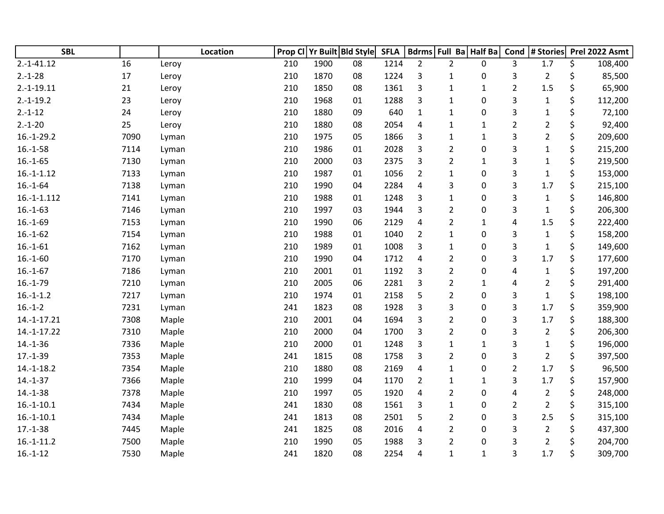| <b>SBL</b>    |      | Location | Prop Cl |      | Yr Built Bld Style | <b>SFLA</b> |                |                | Bdrms Full Ba Half Ba | Cond           | # Stories      | Prel 2022 Asmt |
|---------------|------|----------|---------|------|--------------------|-------------|----------------|----------------|-----------------------|----------------|----------------|----------------|
| $2.-1-41.12$  | 16   | Leroy    | 210     | 1900 | 08                 | 1214        | $\overline{2}$ | $\overline{2}$ | 0                     | 3              | 1.7            | \$<br>108,400  |
| $2.-1-28$     | 17   | Leroy    | 210     | 1870 | 08                 | 1224        | 3              | 1              | 0                     | 3              | $\overline{2}$ | \$<br>85,500   |
| $2.-1-19.11$  | 21   | Leroy    | 210     | 1850 | 08                 | 1361        | 3              | $\mathbf 1$    | $\mathbf{1}$          | $\overline{2}$ | 1.5            | \$<br>65,900   |
| $2.-1-19.2$   | 23   | Leroy    | 210     | 1968 | 01                 | 1288        | 3              | $\mathbf{1}$   | 0                     | 3              | $\mathbf{1}$   | \$<br>112,200  |
| $2.-1-12$     | 24   | Leroy    | 210     | 1880 | 09                 | 640         | $\mathbf{1}$   | $\mathbf{1}$   | 0                     | 3              | $\mathbf 1$    | \$<br>72,100   |
| $2.-1-20$     | 25   | Leroy    | 210     | 1880 | 08                 | 2054        | 4              | 1              | 1                     | $\overline{2}$ | $\overline{c}$ | \$<br>92,400   |
| $16.-1-29.2$  | 7090 | Lyman    | 210     | 1975 | 05                 | 1866        | 3              | $\mathbf{1}$   | $\mathbf{1}$          | 3              | $\overline{2}$ | \$<br>209,600  |
| $16.-1-58$    | 7114 | Lyman    | 210     | 1986 | 01                 | 2028        | 3              | $\overline{2}$ | 0                     | 3              | $\mathbf{1}$   | \$<br>215,200  |
| $16.-1-65$    | 7130 | Lyman    | 210     | 2000 | 03                 | 2375        | 3              | 2              | $\mathbf{1}$          | 3              | $\mathbf 1$    | \$<br>219,500  |
| $16.-1-1.12$  | 7133 | Lyman    | 210     | 1987 | 01                 | 1056        | $\overline{2}$ | 1              | 0                     | 3              | $\mathbf 1$    | \$<br>153,000  |
| $16.-1-64$    | 7138 | Lyman    | 210     | 1990 | 04                 | 2284        | 4              | 3              | 0                     | 3              | 1.7            | \$<br>215,100  |
| $16.-1-1.112$ | 7141 | Lyman    | 210     | 1988 | 01                 | 1248        | 3              | $\mathbf{1}$   | 0                     | 3              | $\mathbf{1}$   | \$<br>146,800  |
| $16.-1-63$    | 7146 | Lyman    | 210     | 1997 | 03                 | 1944        | 3              | $\overline{2}$ | 0                     | 3              | $\mathbf{1}$   | \$<br>206,300  |
| $16.-1-69$    | 7153 | Lyman    | 210     | 1990 | 06                 | 2129        | $\overline{4}$ | 2              | 1                     | 4              | 1.5            | \$<br>222,400  |
| $16.-1-62$    | 7154 | Lyman    | 210     | 1988 | 01                 | 1040        | $\overline{2}$ | 1              | 0                     | 3              | $\mathbf{1}$   | \$<br>158,200  |
| $16.-1-61$    | 7162 | Lyman    | 210     | 1989 | 01                 | 1008        | 3              | 1              | 0                     | 3              | $\mathbf{1}$   | \$<br>149,600  |
| $16.-1-60$    | 7170 | Lyman    | 210     | 1990 | 04                 | 1712        | 4              | $\overline{2}$ | 0                     | 3              | 1.7            | \$<br>177,600  |
| $16.-1-67$    | 7186 | Lyman    | 210     | 2001 | 01                 | 1192        | 3              | $\overline{2}$ | 0                     | 4              | $\mathbf 1$    | \$<br>197,200  |
| $16.-1-79$    | 7210 | Lyman    | 210     | 2005 | 06                 | 2281        | 3              | $\overline{2}$ | $\mathbf{1}$          | 4              | $\overline{2}$ | \$<br>291,400  |
| $16.-1-1.2$   | 7217 | Lyman    | 210     | 1974 | 01                 | 2158        | 5              | $\overline{2}$ | 0                     | 3              | $\mathbf{1}$   | \$<br>198,100  |
| $16.-1-2$     | 7231 | Lyman    | 241     | 1823 | 08                 | 1928        | 3              | 3              | 0                     | 3              | 1.7            | \$<br>359,900  |
| 14.-1-17.21   | 7308 | Maple    | 210     | 2001 | 04                 | 1694        | 3              | $\overline{2}$ | 0                     | 3              | 1.7            | \$<br>188,300  |
| 14.-1-17.22   | 7310 | Maple    | 210     | 2000 | 04                 | 1700        | 3              | $\overline{2}$ | 0                     | 3              | $\overline{2}$ | \$<br>206,300  |
| $14.-1-36$    | 7336 | Maple    | 210     | 2000 | 01                 | 1248        | 3              | 1              | 1                     | 3              | $\mathbf{1}$   | \$<br>196,000  |
| $17.-1-39$    | 7353 | Maple    | 241     | 1815 | 08                 | 1758        | 3              | $\overline{2}$ | 0                     | 3              | $\overline{2}$ | \$<br>397,500  |
| $14.-1-18.2$  | 7354 | Maple    | 210     | 1880 | 08                 | 2169        | 4              | 1              | 0                     | $\overline{2}$ | 1.7            | \$<br>96,500   |
| $14.-1-37$    | 7366 | Maple    | 210     | 1999 | 04                 | 1170        | $\overline{2}$ | $\mathbf{1}$   | $\mathbf{1}$          | 3              | 1.7            | \$<br>157,900  |
| $14.-1-38$    | 7378 | Maple    | 210     | 1997 | 05                 | 1920        | 4              | $\overline{2}$ | 0                     | 4              | $\overline{2}$ | \$<br>248,000  |
| $16.-1-10.1$  | 7434 | Maple    | 241     | 1830 | 08                 | 1561        | 3              | 1              | 0                     | $\overline{2}$ | $\overline{2}$ | \$<br>315,100  |
| $16.-1-10.1$  | 7434 | Maple    | 241     | 1813 | 08                 | 2501        | 5              | $\overline{2}$ | 0                     | 3              | 2.5            | \$<br>315,100  |
| $17.-1-38$    | 7445 | Maple    | 241     | 1825 | 08                 | 2016        | 4              | 2              | 0                     | 3              | $\overline{2}$ | \$<br>437,300  |
| $16.-1-11.2$  | 7500 | Maple    | 210     | 1990 | 05                 | 1988        | 3              | $\overline{2}$ | 0                     | 3              | $\overline{2}$ | \$<br>204,700  |
| $16.-1-12$    | 7530 | Maple    | 241     | 1820 | 08                 | 2254        | 4              | $\mathbf{1}$   | $\mathbf{1}$          | 3              | 1.7            | \$<br>309,700  |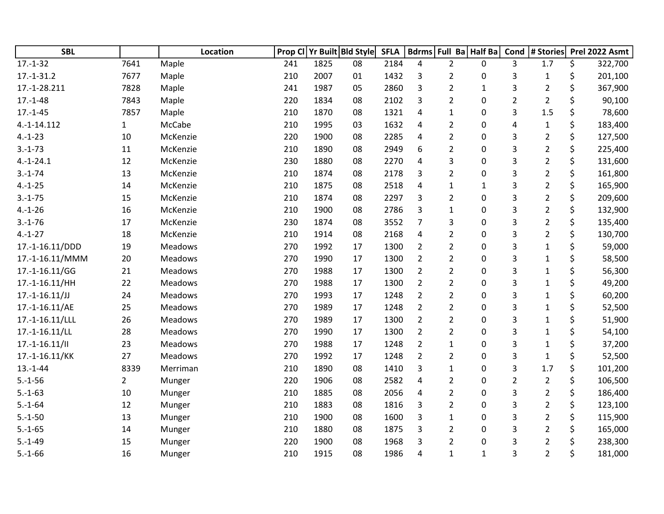| <b>SBL</b>       |                | <b>Location</b> | Prop Cl |      | Yr Built Bld Style | <b>SFLA</b> |                | Bdrms Full Ba Half Ba |              | Cond           | # Stories      | Prel 2022 Asmt |
|------------------|----------------|-----------------|---------|------|--------------------|-------------|----------------|-----------------------|--------------|----------------|----------------|----------------|
| $17.-1-32$       | 7641           | Maple           | 241     | 1825 | 08                 | 2184        | 4              | $\overline{2}$        | 0            | 3              | 1.7            | \$<br>322,700  |
| $17.-1-31.2$     | 7677           | Maple           | 210     | 2007 | 01                 | 1432        | 3              | $\overline{2}$        | 0            | 3              | $\mathbf{1}$   | \$<br>201,100  |
| 17.-1-28.211     | 7828           | Maple           | 241     | 1987 | 05                 | 2860        | 3              | $\overline{2}$        | $\mathbf{1}$ | 3              | $\overline{2}$ | \$<br>367,900  |
| $17.-1-48$       | 7843           | Maple           | 220     | 1834 | 08                 | 2102        | 3              | $\overline{2}$        | 0            | $\overline{2}$ | $\overline{2}$ | \$<br>90,100   |
| $17.-1-45$       | 7857           | Maple           | 210     | 1870 | 08                 | 1321        | 4              | $\mathbf{1}$          | 0            | 3              | 1.5            | \$<br>78,600   |
| 4.-1-14.112      | $\mathbf{1}$   | McCabe          | 210     | 1995 | 03                 | 1632        | 4              | 2                     | 0            | 4              | $\mathbf{1}$   | \$<br>183,400  |
| $4.-1-23$        | 10             | McKenzie        | 220     | 1900 | 08                 | 2285        | 4              | $\overline{2}$        | 0            | 3              | $\overline{2}$ | \$<br>127,500  |
| $3.-1-73$        | 11             | McKenzie        | 210     | 1890 | 08                 | 2949        | 6              | $\overline{2}$        | 0            | 3              | $\overline{2}$ | \$<br>225,400  |
| $4.-1-24.1$      | 12             | McKenzie        | 230     | 1880 | 08                 | 2270        | 4              | 3                     | 0            | 3              | $\overline{2}$ | \$<br>131,600  |
| $3.-1-74$        | 13             | McKenzie        | 210     | 1874 | 08                 | 2178        | 3              | $\overline{2}$        | $\mathbf{0}$ | 3              | $\overline{2}$ | \$<br>161,800  |
| $4.-1-25$        | 14             | McKenzie        | 210     | 1875 | 08                 | 2518        | 4              | 1                     | $\mathbf{1}$ | 3              | $\overline{2}$ | \$<br>165,900  |
| $3.-1-75$        | 15             | McKenzie        | 210     | 1874 | 08                 | 2297        | 3              | $\overline{2}$        | 0            | 3              | 2              | \$<br>209,600  |
| $4.-1-26$        | 16             | McKenzie        | 210     | 1900 | 08                 | 2786        | 3              | $\mathbf{1}$          | $\mathbf 0$  | 3              | $\overline{2}$ | \$<br>132,900  |
| $3.-1-76$        | 17             | McKenzie        | 230     | 1874 | 08                 | 3552        | $\overline{7}$ | 3                     | 0            | 3              | $\overline{2}$ | \$<br>135,400  |
| $4.-1-27$        | 18             | McKenzie        | 210     | 1914 | 08                 | 2168        | 4              | $\overline{2}$        | 0            | 3              | $\overline{2}$ | \$<br>130,700  |
| 17.-1-16.11/DDD  | 19             | Meadows         | 270     | 1992 | 17                 | 1300        | 2              | 2                     | 0            | 3              | 1              | 59,000         |
| 17.-1-16.11/MMM  | 20             | <b>Meadows</b>  | 270     | 1990 | 17                 | 1300        | $\overline{2}$ | $\overline{2}$        | 0            | 3              | $\mathbf 1$    | \$<br>58,500   |
| 17.-1-16.11/GG   | 21             | Meadows         | 270     | 1988 | 17                 | 1300        | $\overline{2}$ | $\overline{2}$        | 0            | 3              | $\mathbf{1}$   | \$<br>56,300   |
| 17.-1-16.11/HH   | 22             | Meadows         | 270     | 1988 | 17                 | 1300        | $\overline{2}$ | $\overline{2}$        | 0            | 3              | $\mathbf{1}$   | \$<br>49,200   |
| $17.-1-16.11/JJ$ | 24             | <b>Meadows</b>  | 270     | 1993 | 17                 | 1248        | $\overline{2}$ | $\overline{2}$        | 0            | 3              | $\mathbf{1}$   | \$<br>60,200   |
| 17.-1-16.11/AE   | 25             | <b>Meadows</b>  | 270     | 1989 | 17                 | 1248        | $\overline{2}$ | $\overline{2}$        | 0            | 3              | $\mathbf{1}$   | 52,500         |
| 17.-1-16.11/LLL  | 26             | <b>Meadows</b>  | 270     | 1989 | 17                 | 1300        | $\overline{2}$ | $\overline{2}$        | 0            | 3              | $\mathbf{1}$   | \$<br>51,900   |
| 17.-1-16.11/LL   | 28             | Meadows         | 270     | 1990 | 17                 | 1300        | $\overline{2}$ | $\overline{2}$        | 0            | 3              | $\mathbf{1}$   | \$<br>54,100   |
| $17.-1-16.11/$   | 23             | <b>Meadows</b>  | 270     | 1988 | 17                 | 1248        | $\overline{2}$ | 1                     | 0            | 3              | $\mathbf{1}$   | \$<br>37,200   |
| 17.-1-16.11/KK   | 27             | <b>Meadows</b>  | 270     | 1992 | 17                 | 1248        | $\overline{2}$ | $\overline{2}$        | 0            | 3              | $\mathbf{1}$   | \$<br>52,500   |
| $13.-1-44$       | 8339           | Merriman        | 210     | 1890 | 08                 | 1410        | 3              | $\mathbf{1}$          | 0            | 3              | 1.7            | \$<br>101,200  |
| $5.-1-56$        | $\overline{2}$ | Munger          | 220     | 1906 | 08                 | 2582        | 4              | $\overline{2}$        | 0            | $\overline{2}$ | $\overline{2}$ | \$<br>106,500  |
| $5.-1-63$        | 10             | Munger          | 210     | 1885 | 08                 | 2056        | 4              | $\overline{2}$        | 0            | 3              | $\overline{2}$ | \$<br>186,400  |
| $5.-1-64$        | 12             | Munger          | 210     | 1883 | 08                 | 1816        | 3              | $\overline{2}$        | 0            | 3              | $\overline{2}$ | \$<br>123,100  |
| $5.-1-50$        | 13             | Munger          | 210     | 1900 | 08                 | 1600        | 3              | $\mathbf{1}$          | 0            | 3              | $\overline{2}$ | \$<br>115,900  |
| $5.-1-65$        | 14             | Munger          | 210     | 1880 | 08                 | 1875        | 3              | $\overline{2}$        | 0            | 3              | $\overline{2}$ | 165,000        |
| $5.-1-49$        | 15             | Munger          | 220     | 1900 | 08                 | 1968        | 3              | $\overline{2}$        | 0            | 3              | 2              | 238,300        |
| $5.-1-66$        | 16             | Munger          | 210     | 1915 | 08                 | 1986        | 4              | 1                     | $\mathbf{1}$ | 3              | $\overline{2}$ | \$<br>181,000  |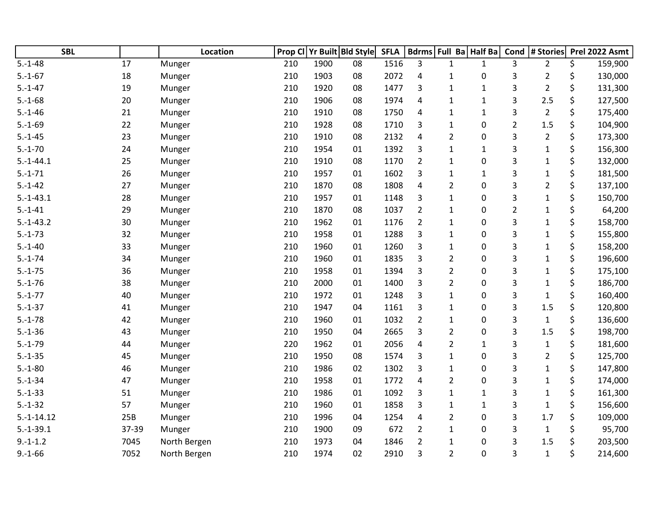| <b>SBL</b>    |       | Location     | Prop Cl | Yr Built Bld Style |    | <b>SFLA</b> |                         |                | Bdrms Full Ba Half Ba | Cond           | # Stories      |    | Prel 2022 Asmt |
|---------------|-------|--------------|---------|--------------------|----|-------------|-------------------------|----------------|-----------------------|----------------|----------------|----|----------------|
| $5.-1-48$     | 17    | Munger       | 210     | 1900               | 08 | 1516        | 3                       | $\mathbf{1}$   | $\mathbf{1}$          | 3              | $\overline{2}$ | \$ | 159,900        |
| $5.-1-67$     | 18    | Munger       | 210     | 1903               | 08 | 2072        | 4                       | $\mathbf{1}$   | 0                     | 3              | $\overline{2}$ | \$ | 130,000        |
| $5.-1-47$     | 19    | Munger       | 210     | 1920               | 08 | 1477        | 3                       | $\mathbf{1}$   | $\mathbf{1}$          | 3              | $\overline{2}$ | \$ | 131,300        |
| $5.-1-68$     | 20    | Munger       | 210     | 1906               | 08 | 1974        | 4                       | 1              | $\mathbf{1}$          | 3              | 2.5            | \$ | 127,500        |
| $5.-1-46$     | 21    | Munger       | 210     | 1910               | 08 | 1750        | 4                       | $\mathbf{1}$   | $\mathbf{1}$          | 3              | $\overline{2}$ | \$ | 175,400        |
| $5.-1-69$     | 22    | Munger       | 210     | 1928               | 08 | 1710        | 3                       | $\mathbf{1}$   | 0                     | $\overline{2}$ | 1.5            | \$ | 104,900        |
| $5.-1-45$     | 23    | Munger       | 210     | 1910               | 08 | 2132        | 4                       | $\overline{2}$ | 0                     | 3              | $\overline{2}$ | \$ | 173,300        |
| $5.-1-70$     | 24    | Munger       | 210     | 1954               | 01 | 1392        | 3                       | $\mathbf{1}$   | $\mathbf{1}$          | 3              | $\mathbf{1}$   | \$ | 156,300        |
| $5.-1-44.1$   | 25    | Munger       | 210     | 1910               | 08 | 1170        | $\overline{2}$          | 1              | 0                     | 3              | $\mathbf{1}$   | \$ | 132,000        |
| $5.-1-71$     | 26    | Munger       | 210     | 1957               | 01 | 1602        | 3                       | 1              | $\mathbf{1}$          | 3              | $\mathbf{1}$   | \$ | 181,500        |
| $5.-1-42$     | 27    | Munger       | 210     | 1870               | 08 | 1808        | 4                       | $\overline{2}$ | 0                     | 3              | $\overline{2}$ | \$ | 137,100        |
| $5.-1-43.1$   | 28    | Munger       | 210     | 1957               | 01 | 1148        | 3                       | $\mathbf{1}$   | 0                     | 3              | $\mathbf{1}$   | \$ | 150,700        |
| $5.-1-41$     | 29    | Munger       | 210     | 1870               | 08 | 1037        | $\overline{2}$          | $\mathbf{1}$   | 0                     | $\overline{2}$ | $\mathbf{1}$   | \$ | 64,200         |
| $5.-1-43.2$   | 30    | Munger       | 210     | 1962               | 01 | 1176        | $\overline{2}$          | 1              | 0                     | 3              | $\mathbf{1}$   | \$ | 158,700        |
| $5.-1-73$     | 32    | Munger       | 210     | 1958               | 01 | 1288        | 3                       | $\mathbf{1}$   | 0                     | 3              | $\mathbf{1}$   | \$ | 155,800        |
| $5.-1-40$     | 33    | Munger       | 210     | 1960               | 01 | 1260        | 3                       | 1              | 0                     | 3              | $\mathbf{1}$   | \$ | 158,200        |
| $5.-1-74$     | 34    | Munger       | 210     | 1960               | 01 | 1835        | 3                       | $\overline{2}$ | 0                     | 3              | $\mathbf{1}$   | \$ | 196,600        |
| $5.-1-75$     | 36    | Munger       | 210     | 1958               | 01 | 1394        | 3                       | $\overline{2}$ | 0                     | 3              | $\mathbf{1}$   | \$ | 175,100        |
| $5.-1-76$     | 38    | Munger       | 210     | 2000               | 01 | 1400        | $\overline{3}$          | $\overline{2}$ | 0                     | 3              | $\mathbf 1$    | \$ | 186,700        |
| $5.-1-77$     | 40    | Munger       | 210     | 1972               | 01 | 1248        | 3                       | $\mathbf{1}$   | 0                     | 3              | $\mathbf{1}$   | \$ | 160,400        |
| $5.-1-37$     | 41    | Munger       | 210     | 1947               | 04 | 1161        | 3                       | 1              | 0                     | 3              | 1.5            | \$ | 120,800        |
| $5.-1-78$     | 42    | Munger       | 210     | 1960               | 01 | 1032        | $\overline{2}$          | $\mathbf{1}$   | 0                     | 3              | $\mathbf{1}$   | \$ | 136,600        |
| $5.-1-36$     | 43    | Munger       | 210     | 1950               | 04 | 2665        | $\overline{3}$          | $\overline{2}$ | 0                     | 3              | 1.5            | \$ | 198,700        |
| $5.-1-79$     | 44    | Munger       | 220     | 1962               | 01 | 2056        | $\overline{\mathbf{4}}$ | $\overline{2}$ | $\mathbf{1}$          | 3              | $\mathbf{1}$   | \$ | 181,600        |
| $5.-1-35$     | 45    | Munger       | 210     | 1950               | 08 | 1574        | 3                       | 1              | 0                     | 3              | $\overline{2}$ | \$ | 125,700        |
| $5.-1-80$     | 46    | Munger       | 210     | 1986               | 02 | 1302        | 3                       | 1              | 0                     | 3              | $\mathbf{1}$   | \$ | 147,800        |
| $5.-1-34$     | 47    | Munger       | 210     | 1958               | 01 | 1772        | 4                       | $\overline{2}$ | 0                     | 3              | $\mathbf{1}$   | \$ | 174,000        |
| $5.-1-33$     | 51    | Munger       | 210     | 1986               | 01 | 1092        | 3                       | $\mathbf{1}$   | $\mathbf{1}$          | 3              | $\mathbf{1}$   | \$ | 161,300        |
| $5.-1-32$     | 57    | Munger       | 210     | 1960               | 01 | 1858        | 3                       | 1              | $\mathbf{1}$          | 3              | $\mathbf{1}$   | \$ | 156,600        |
| $5.-1-14.12$  | 25B   | Munger       | 210     | 1996               | 04 | 1254        | $\overline{4}$          | $\overline{2}$ | 0                     | 3              | 1.7            | \$ | 109,000        |
| $5.-1-39.1$   | 37-39 | Munger       | 210     | 1900               | 09 | 672         | $\overline{2}$          | $\mathbf{1}$   | 0                     | 3              | $\mathbf{1}$   | \$ | 95,700         |
| $9.-1-1.2$    | 7045  | North Bergen | 210     | 1973               | 04 | 1846        | $\overline{2}$          | 1              | 0                     | 3              | 1.5            | Ś  | 203,500        |
| $9. - 1 - 66$ | 7052  | North Bergen | 210     | 1974               | 02 | 2910        | 3                       | $\overline{2}$ | 0                     | 3              | $\mathbf{1}$   | \$ | 214,600        |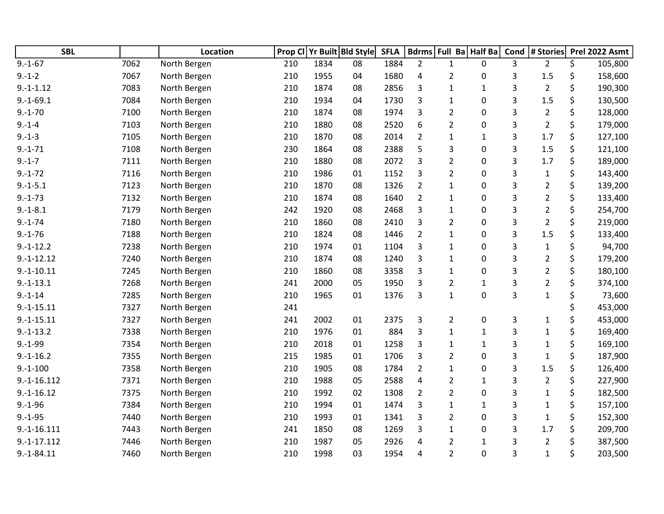| <b>SBL</b>    |      | <b>Location</b> | Prop Cl |      | Yr Built Bld Style | <b>SFLA</b> |                |                | Bdrms Full Ba Half Ba | Cond | # Stories      | Prel 2022 Asmt |
|---------------|------|-----------------|---------|------|--------------------|-------------|----------------|----------------|-----------------------|------|----------------|----------------|
| $9.-1-67$     | 7062 | North Bergen    | 210     | 1834 | 08                 | 1884        | $\overline{2}$ | $\mathbf{1}$   | 0                     | 3    | $\overline{2}$ | \$<br>105,800  |
| $9.-1-2$      | 7067 | North Bergen    | 210     | 1955 | 04                 | 1680        | 4              | 2              | 0                     | 3    | 1.5            | \$<br>158,600  |
| $9.-1-1.12$   | 7083 | North Bergen    | 210     | 1874 | 08                 | 2856        | 3              | $\mathbf{1}$   | $\mathbf{1}$          | 3    | $\overline{2}$ | \$<br>190,300  |
| $9.-1-69.1$   | 7084 | North Bergen    | 210     | 1934 | 04                 | 1730        | 3              | $\mathbf{1}$   | 0                     | 3    | 1.5            | \$<br>130,500  |
| $9.-1-70$     | 7100 | North Bergen    | 210     | 1874 | 08                 | 1974        | 3              | $\overline{2}$ | 0                     | 3    | $\overline{2}$ | \$<br>128,000  |
| $9.-1-4$      | 7103 | North Bergen    | 210     | 1880 | 08                 | 2520        | 6              | $\overline{2}$ | 0                     | 3    | $\overline{2}$ | \$<br>179,000  |
| $9.-1-3$      | 7105 | North Bergen    | 210     | 1870 | 08                 | 2014        | $\overline{2}$ | 1              | $\mathbf{1}$          | 3    | 1.7            | \$<br>127,100  |
| $9. - 1 - 71$ | 7108 | North Bergen    | 230     | 1864 | 08                 | 2388        | 5              | 3              | 0                     | 3    | 1.5            | \$<br>121,100  |
| $9.-1-7$      | 7111 | North Bergen    | 210     | 1880 | 08                 | 2072        | 3              | $\overline{2}$ | 0                     | 3    | 1.7            | \$<br>189,000  |
| $9.-1-72$     | 7116 | North Bergen    | 210     | 1986 | 01                 | 1152        | 3              | $\overline{2}$ | 0                     | 3    | $\mathbf 1$    | \$<br>143,400  |
| $9.-1-5.1$    | 7123 | North Bergen    | 210     | 1870 | 08                 | 1326        | $\overline{2}$ | $\mathbf{1}$   | 0                     | 3    | $\overline{2}$ | \$<br>139,200  |
| $9.-1-73$     | 7132 | North Bergen    | 210     | 1874 | 08                 | 1640        | $\overline{2}$ | 1              | 0                     | 3    | $\overline{2}$ | \$<br>133,400  |
| $9.-1-8.1$    | 7179 | North Bergen    | 242     | 1920 | 08                 | 2468        | 3              | $\mathbf{1}$   | 0                     | 3    | $\overline{2}$ | \$<br>254,700  |
| $9. - 1 - 74$ | 7180 | North Bergen    | 210     | 1860 | 08                 | 2410        | 3              | $\overline{2}$ | 0                     | 3    | $\overline{2}$ | \$<br>219,000  |
| $9.-1-76$     | 7188 | North Bergen    | 210     | 1824 | 08                 | 1446        | $\overline{2}$ | 1              | 0                     | 3    | 1.5            | \$<br>133,400  |
| $9.-1-12.2$   | 7238 | North Bergen    | 210     | 1974 | 01                 | 1104        | 3              | 1              | 0                     | 3    | $\mathbf 1$    | \$<br>94,700   |
| $9.-1-12.12$  | 7240 | North Bergen    | 210     | 1874 | 08                 | 1240        | 3              | $\mathbf{1}$   | 0                     | 3    | 2              | \$<br>179,200  |
| $9.-1-10.11$  | 7245 | North Bergen    | 210     | 1860 | 08                 | 3358        | 3              | $\mathbf{1}$   | 0                     | 3    | $\overline{2}$ | \$<br>180,100  |
| $9.-1-13.1$   | 7268 | North Bergen    | 241     | 2000 | 05                 | 1950        | 3              | $\overline{2}$ | $\mathbf 1$           | 3    | $\overline{2}$ | \$<br>374,100  |
| $9. - 1 - 14$ | 7285 | North Bergen    | 210     | 1965 | 01                 | 1376        | 3              | $\mathbf{1}$   | 0                     | 3    | $\mathbf 1$    | \$<br>73,600   |
| $9.-1-15.11$  | 7327 | North Bergen    | 241     |      |                    |             |                |                |                       |      |                | \$<br>453,000  |
| $9.-1-15.11$  | 7327 | North Bergen    | 241     | 2002 | 01                 | 2375        | 3              | $\overline{2}$ | 0                     | 3    | $\mathbf 1$    | \$<br>453,000  |
| $9.-1-13.2$   | 7338 | North Bergen    | 210     | 1976 | 01                 | 884         | $\overline{3}$ | $\mathbf{1}$   | $\mathbf{1}$          | 3    | $\mathbf 1$    | \$<br>169,400  |
| $9. -1 - 99$  | 7354 | North Bergen    | 210     | 2018 | 01                 | 1258        | 3              | 1              | $\mathbf 1$           | 3    | $\mathbf 1$    | \$<br>169,100  |
| $9.-1-16.2$   | 7355 | North Bergen    | 215     | 1985 | 01                 | 1706        | 3              | $\overline{2}$ | 0                     | 3    | $\mathbf 1$    | \$<br>187,900  |
| $9.-1-100$    | 7358 | North Bergen    | 210     | 1905 | 08                 | 1784        | $\overline{2}$ | 1              | 0                     | 3    | 1.5            | \$<br>126,400  |
| $9.-1-16.112$ | 7371 | North Bergen    | 210     | 1988 | 05                 | 2588        | 4              | 2              | 1                     | 3    | 2              | \$<br>227,900  |
| $9.-1-16.12$  | 7375 | North Bergen    | 210     | 1992 | 02                 | 1308        | $\overline{2}$ | $\overline{2}$ | 0                     | 3    | $\mathbf 1$    | \$<br>182,500  |
| $9.-1-96$     | 7384 | North Bergen    | 210     | 1994 | 01                 | 1474        | 3              | 1              | $\mathbf{1}$          | 3    | $\mathbf 1$    | \$<br>157,100  |
| $9.-1-95$     | 7440 | North Bergen    | 210     | 1993 | 01                 | 1341        | 3              | $\overline{2}$ | 0                     | 3    | $\mathbf 1$    | \$<br>152,300  |
| $9.-1-16.111$ | 7443 | North Bergen    | 241     | 1850 | 08                 | 1269        | 3              | 1              | 0                     | 3    | 1.7            | \$<br>209,700  |
| $9.-1-17.112$ | 7446 | North Bergen    | 210     | 1987 | 05                 | 2926        | 4              | $\overline{2}$ | $\mathbf{1}$          | 3    | $\overline{2}$ | \$<br>387,500  |
| $9.-1-84.11$  | 7460 | North Bergen    | 210     | 1998 | 03                 | 1954        | 4              | $\overline{2}$ | 0                     | 3    | $\mathbf 1$    | \$<br>203,500  |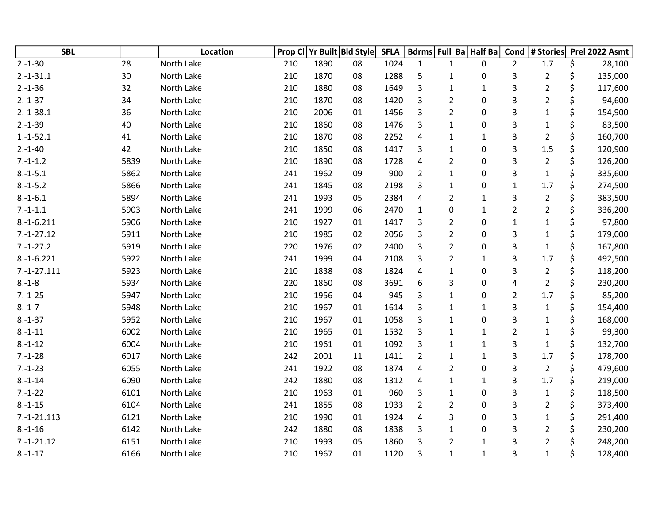| <b>SBL</b>    |      | Location   | Prop Cl |      | Yr Built Bld Style | <b>SFLA</b> |                | Bdrms Full Ba Half Ba |                  | Cond                      | # Stories      |    | Prel 2022 Asmt |
|---------------|------|------------|---------|------|--------------------|-------------|----------------|-----------------------|------------------|---------------------------|----------------|----|----------------|
| $2.-1-30$     | 28   | North Lake | 210     | 1890 | 08                 | 1024        | $\mathbf{1}$   | $\mathbf{1}$          | 0                | $\overline{2}$            | 1.7            | \$ | 28,100         |
| $2.-1-31.1$   | 30   | North Lake | 210     | 1870 | 08                 | 1288        | 5              | $\mathbf{1}$          | 0                | 3                         | $\overline{2}$ | \$ | 135,000        |
| $2.-1-36$     | 32   | North Lake | 210     | 1880 | 08                 | 1649        | 3              | $\mathbf{1}$          | $1\,$            | 3                         | $\overline{2}$ | \$ | 117,600        |
| $2.-1-37$     | 34   | North Lake | 210     | 1870 | 08                 | 1420        | 3              | $\overline{2}$        | 0                | $\ensuremath{\mathsf{3}}$ | $\overline{2}$ | \$ | 94,600         |
| $2.-1-38.1$   | 36   | North Lake | 210     | 2006 | 01                 | 1456        | 3              | $\overline{2}$        | 0                | 3                         | $\mathbf{1}$   | \$ | 154,900        |
| $2.-1-39$     | 40   | North Lake | 210     | 1860 | 08                 | 1476        | 3              | $\mathbf{1}$          | 0                | 3                         | $\mathbf{1}$   |    | 83,500         |
| $1.-1-52.1$   | 41   | North Lake | 210     | 1870 | 08                 | 2252        | 4              | $\mathbf{1}$          | $\mathbf{1}$     | 3                         | $\overline{2}$ | \$ | 160,700        |
| $2.-1-40$     | 42   | North Lake | 210     | 1850 | 08                 | 1417        | 3              | $\mathbf{1}$          | 0                | 3                         | 1.5            | \$ | 120,900        |
| $7.-1-1.2$    | 5839 | North Lake | 210     | 1890 | 08                 | 1728        | 4              | $\overline{2}$        | 0                | 3                         | $\overline{2}$ | \$ | 126,200        |
| $8.-1-5.1$    | 5862 | North Lake | 241     | 1962 | 09                 | 900         | $\overline{2}$ | $\mathbf{1}$          | 0                | 3                         | $\mathbf 1$    | \$ | 335,600        |
| $8.-1-5.2$    | 5866 | North Lake | 241     | 1845 | 08                 | 2198        | 3              | $\mathbf{1}$          | 0                | $\mathbf{1}$              | 1.7            | \$ | 274,500        |
| $8.-1-6.1$    | 5894 | North Lake | 241     | 1993 | 05                 | 2384        | 4              | $\overline{2}$        | $\mathbf{1}$     | 3                         | $\overline{2}$ | \$ | 383,500        |
| $7.-1-1.1$    | 5903 | North Lake | 241     | 1999 | 06                 | 2470        | $\mathbf{1}$   | $\mathbf 0$           | $\mathbf{1}$     | $\mathbf 2$               | $\overline{2}$ | \$ | 336,200        |
| $8.-1-6.211$  | 5906 | North Lake | 210     | 1927 | 01                 | 1417        | 3              | $\overline{2}$        | 0                | $\mathbf 1$               | $\mathbf{1}$   | \$ | 97,800         |
| $7.-1-27.12$  | 5911 | North Lake | 210     | 1985 | 02                 | 2056        | 3              | $\overline{2}$        | 0                | $\ensuremath{\mathsf{3}}$ | $\mathbf{1}$   | \$ | 179,000        |
| $7.-1-27.2$   | 5919 | North Lake | 220     | 1976 | 02                 | 2400        | 3              | $\overline{2}$        | 0                | 3                         | $\mathbf{1}$   | \$ | 167,800        |
| $8.-1-6.221$  | 5922 | North Lake | 241     | 1999 | 04                 | 2108        | 3              | $\overline{2}$        | 1                | 3                         | 1.7            | \$ | 492,500        |
| $7.-1-27.111$ | 5923 | North Lake | 210     | 1838 | 08                 | 1824        | 4              | $\mathbf{1}$          | 0                | 3                         | $\overline{2}$ | \$ | 118,200        |
| $8 - 1 - 8$   | 5934 | North Lake | 220     | 1860 | 08                 | 3691        | 6              | 3                     | 0                | 4                         | $\overline{2}$ | \$ | 230,200        |
| $7.-1-25$     | 5947 | North Lake | 210     | 1956 | 04                 | 945         | 3              | $\mathbf{1}$          | 0                | $\overline{2}$            | 1.7            | \$ | 85,200         |
| $8.-1-7$      | 5948 | North Lake | 210     | 1967 | 01                 | 1614        | 3              | $\mathbf{1}$          | $\mathbf{1}$     | 3                         | $\mathbf{1}$   | \$ | 154,400        |
| $8.-1-37$     | 5952 | North Lake | 210     | 1967 | 01                 | 1058        | 3              | $\mathbf{1}$          | 0                | 3                         | $\mathbf{1}$   | Ś  | 168,000        |
| $8.-1-11$     | 6002 | North Lake | 210     | 1965 | 01                 | 1532        | 3              | $\mathbf{1}$          | $\mathbf{1}$     | $\overline{2}$            | $\mathbf{1}$   | \$ | 99,300         |
| $8.-1-12$     | 6004 | North Lake | 210     | 1961 | 01                 | 1092        | 3              | 1                     | $\mathbf{1}$     | 3                         | $\mathbf{1}$   | \$ | 132,700        |
| $7.-1-28$     | 6017 | North Lake | 242     | 2001 | 11                 | 1411        | $\overline{2}$ | $\mathbf{1}$          | $\mathbf{1}$     | 3                         | 1.7            | \$ | 178,700        |
| $7.-1-23$     | 6055 | North Lake | 241     | 1922 | 08                 | 1874        | 4              | $\overline{2}$        | 0                | 3                         | $\overline{2}$ | \$ | 479,600        |
| $8.-1-14$     | 6090 | North Lake | 242     | 1880 | 08                 | 1312        | 4              | 1                     | $\mathbf{1}$     | 3                         | 1.7            | \$ | 219,000        |
| $7.-1-22$     | 6101 | North Lake | 210     | 1963 | 01                 | 960         | 3              | $\mathbf{1}$          | $\boldsymbol{0}$ | 3                         | $\mathbf 1$    | \$ | 118,500        |
| $8.-1-15$     | 6104 | North Lake | 241     | 1855 | 08                 | 1933        | $\overline{2}$ | $\overline{2}$        | 0                | 3                         | $\overline{2}$ | \$ | 373,400        |
| $7.-1-21.113$ | 6121 | North Lake | 210     | 1990 | 01                 | 1924        | $\sqrt{4}$     | 3                     | 0                | 3                         | $\mathbf{1}$   | \$ | 291,400        |
| $8.-1-16$     | 6142 | North Lake | 242     | 1880 | 08                 | 1838        | 3              | $\mathbf{1}$          | 0                | 3                         | $\overline{2}$ |    | 230,200        |
| $7.-1-21.12$  | 6151 | North Lake | 210     | 1993 | 05                 | 1860        | 3              | $\overline{2}$        | $\mathbf{1}$     | 3                         | $\overline{2}$ |    | 248,200        |
| $8.-1-17$     | 6166 | North Lake | 210     | 1967 | 01                 | 1120        | 3              | $\mathbf{1}$          | $\mathbf{1}$     | 3                         | $\mathbf{1}$   | \$ | 128,400        |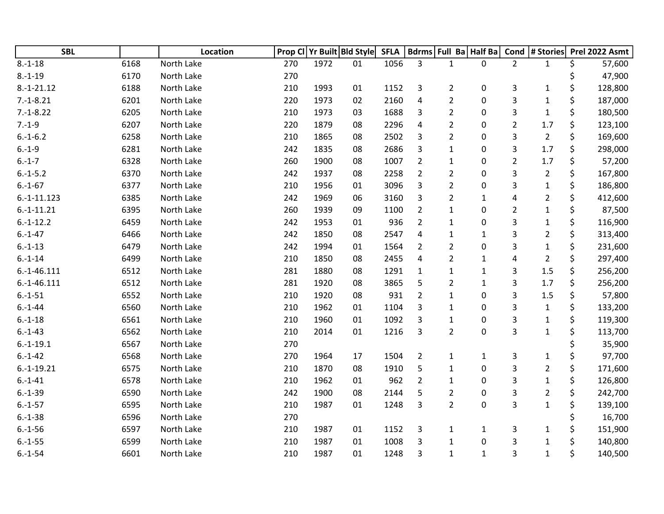| <b>SBL</b>    |      | Location   |     |      | Prop CI Yr Built Bld Style | <b>SFLA</b> |                | Bdrms Full Ba Half Ba |              |                | Cond  # Stories |    | Prel 2022 Asmt |
|---------------|------|------------|-----|------|----------------------------|-------------|----------------|-----------------------|--------------|----------------|-----------------|----|----------------|
| $8.-1-18$     | 6168 | North Lake | 270 | 1972 | 01                         | 1056        | 3              | 1                     | $\mathbf{0}$ | $\overline{2}$ | $\mathbf{1}$    | \$ | 57,600         |
| $8.-1-19$     | 6170 | North Lake | 270 |      |                            |             |                |                       |              |                |                 |    | 47,900         |
| $8.-1-21.12$  | 6188 | North Lake | 210 | 1993 | 01                         | 1152        | 3              | $\overline{2}$        | $\mathbf 0$  | 3              | $\mathbf{1}$    | \$ | 128,800        |
| $7.-1-8.21$   | 6201 | North Lake | 220 | 1973 | 02                         | 2160        | 4              | $\overline{2}$        | $\pmb{0}$    | 3              | $\mathbf 1$     | \$ | 187,000        |
| $7.-1-8.22$   | 6205 | North Lake | 210 | 1973 | 03                         | 1688        | 3              | $\overline{2}$        | 0            | 3              | $\mathbf{1}$    | \$ | 180,500        |
| $7.-1-9$      | 6207 | North Lake | 220 | 1879 | 08                         | 2296        | 4              | $\overline{2}$        | 0            | $\overline{2}$ | 1.7             | \$ | 123,100        |
| $6.-1-6.2$    | 6258 | North Lake | 210 | 1865 | 08                         | 2502        | 3              | $\overline{2}$        | 0            | 3              | $\overline{2}$  | \$ | 169,600        |
| $6.-1-9$      | 6281 | North Lake | 242 | 1835 | 08                         | 2686        | 3              | $\mathbf{1}$          | $\mathbf 0$  | 3              | 1.7             | \$ | 298,000        |
| $6.-1-7$      | 6328 | North Lake | 260 | 1900 | 08                         | 1007        | $\overline{2}$ | $\mathbf{1}$          | $\mathbf 0$  | $\overline{2}$ | 1.7             | \$ | 57,200         |
| $6.-1-5.2$    | 6370 | North Lake | 242 | 1937 | 08                         | 2258        | $\overline{2}$ | 2                     | $\mathbf 0$  | 3              | $\overline{2}$  | \$ | 167,800        |
| $6.-1-67$     | 6377 | North Lake | 210 | 1956 | 01                         | 3096        | 3              | 2                     | 0            | 3              | $\mathbf{1}$    | \$ | 186,800        |
| $6.-1-11.123$ | 6385 | North Lake | 242 | 1969 | 06                         | 3160        | 3              | $\overline{2}$        | $\mathbf{1}$ | 4              | 2               | \$ | 412,600        |
| $6.-1-11.21$  | 6395 | North Lake | 260 | 1939 | 09                         | 1100        | $\overline{2}$ | $\mathbf{1}$          | $\mathbf 0$  | $\overline{2}$ | $\mathbf 1$     | \$ | 87,500         |
| $6.-1-12.2$   | 6459 | North Lake | 242 | 1953 | 01                         | 936         | $\overline{2}$ | $\mathbf 1$           | $\pmb{0}$    | 3              | $\mathbf{1}$    | \$ | 116,900        |
| $6.-1-47$     | 6466 | North Lake | 242 | 1850 | 08                         | 2547        | 4              | $\mathbf{1}$          | $\mathbf{1}$ | 3              | 2               | \$ | 313,400        |
| $6.-1-13$     | 6479 | North Lake | 242 | 1994 | 01                         | 1564        | $\overline{2}$ | 2                     | 0            | 3              | $\mathbf 1$     | \$ | 231,600        |
| $6.-1-14$     | 6499 | North Lake | 210 | 1850 | 08                         | 2455        | 4              | $\overline{2}$        | $\mathbf{1}$ | 4              | $\overline{2}$  | \$ | 297,400        |
| $6.-1-46.111$ | 6512 | North Lake | 281 | 1880 | 08                         | 1291        | $\mathbf{1}$   | $\mathbf{1}$          | $\mathbf{1}$ | 3              | 1.5             | \$ | 256,200        |
| $6.-1-46.111$ | 6512 | North Lake | 281 | 1920 | 08                         | 3865        | 5              | $\overline{2}$        | $\mathbf 1$  | 3              | 1.7             | \$ | 256,200        |
| $6.-1-51$     | 6552 | North Lake | 210 | 1920 | 08                         | 931         | $\overline{2}$ | $\mathbf{1}$          | 0            | 3              | 1.5             | \$ | 57,800         |
| $6.-1-44$     | 6560 | North Lake | 210 | 1962 | 01                         | 1104        | 3              | $\mathbf{1}$          | 0            | 3              | $\mathbf{1}$    | \$ | 133,200        |
| $6.-1-18$     | 6561 | North Lake | 210 | 1960 | 01                         | 1092        | 3              | $\mathbf{1}$          | 0            | 3              | $\mathbf{1}$    | \$ | 119,300        |
| $6.-1-43$     | 6562 | North Lake | 210 | 2014 | 01                         | 1216        | 3              | $\overline{2}$        | $\pmb{0}$    | 3              | $\mathbf{1}$    | \$ | 113,700        |
| $6.-1-19.1$   | 6567 | North Lake | 270 |      |                            |             |                |                       |              |                |                 | \$ | 35,900         |
| $6.-1-42$     | 6568 | North Lake | 270 | 1964 | 17                         | 1504        | $\overline{2}$ | $\mathbf{1}$          | $\mathbf{1}$ | 3              | $\mathbf{1}$    | \$ | 97,700         |
| $6.-1-19.21$  | 6575 | North Lake | 210 | 1870 | 08                         | 1910        | 5              | 1                     | 0            | 3              | $\overline{2}$  | \$ | 171,600        |
| $6.-1-41$     | 6578 | North Lake | 210 | 1962 | 01                         | 962         | $\overline{2}$ | $\mathbf{1}$          | 0            | 3              | $\mathbf{1}$    | \$ | 126,800        |
| $6.-1-39$     | 6590 | North Lake | 242 | 1900 | 08                         | 2144        | 5              | $\overline{2}$        | $\mathbf 0$  | 3              | $\overline{2}$  | \$ | 242,700        |
| $6.-1-57$     | 6595 | North Lake | 210 | 1987 | 01                         | 1248        | 3              | $\overline{2}$        | $\pmb{0}$    | 3              | $\mathbf{1}$    | \$ | 139,100        |
| $6.-1-38$     | 6596 | North Lake | 270 |      |                            |             |                |                       |              |                |                 |    | 16,700         |
| $6.-1-56$     | 6597 | North Lake | 210 | 1987 | 01                         | 1152        | 3              | $\mathbf{1}$          | $\mathbf{1}$ | 3              | $\mathbf{1}$    |    | 151,900        |
| $6.-1-55$     | 6599 | North Lake | 210 | 1987 | 01                         | 1008        | 3              | $\mathbf{1}$          | $\pmb{0}$    | 3              | $\mathbf{1}$    | Ś  | 140,800        |
| $6.-1-54$     | 6601 | North Lake | 210 | 1987 | 01                         | 1248        | 3              | $\mathbf{1}$          | $\mathbf{1}$ | 3              | $\mathbf{1}$    | \$ | 140,500        |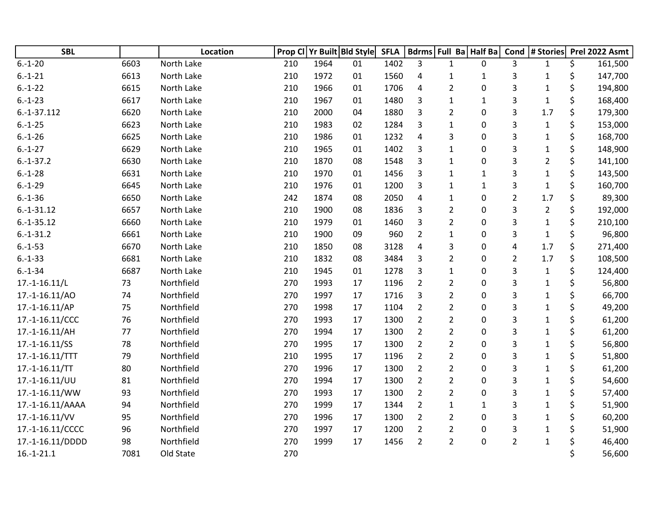| <b>SBL</b>       |      | <b>Location</b> |     |      | Prop CI Yr Built Bld Style | <b>SFLA</b> |                | Bdrms   Full Ba   Half Ba |              | Cond           | # Stories      | Prel 2022 Asmt |
|------------------|------|-----------------|-----|------|----------------------------|-------------|----------------|---------------------------|--------------|----------------|----------------|----------------|
| $6.-1-20$        | 6603 | North Lake      | 210 | 1964 | 01                         | 1402        | 3              | $\mathbf{1}$              | $\mathbf{0}$ | 3              | $\mathbf{1}$   | \$<br>161,500  |
| $6.-1-21$        | 6613 | North Lake      | 210 | 1972 | 01                         | 1560        | 4              | $\mathbf{1}$              | $\mathbf{1}$ | 3              | $\mathbf{1}$   | \$<br>147,700  |
| $6.-1-22$        | 6615 | North Lake      | 210 | 1966 | 01                         | 1706        | 4              | $\overline{2}$            | $\mathbf 0$  | 3              | $\mathbf{1}$   | \$<br>194,800  |
| $6.-1-23$        | 6617 | North Lake      | 210 | 1967 | 01                         | 1480        | 3              | $\mathbf{1}$              | $\mathbf 1$  | 3              | $\mathbf{1}$   | \$<br>168,400  |
| $6.-1-37.112$    | 6620 | North Lake      | 210 | 2000 | 04                         | 1880        | 3              | $\overline{2}$            | $\mathbf 0$  | 3              | 1.7            | \$<br>179,300  |
| $6.-1-25$        | 6623 | North Lake      | 210 | 1983 | 02                         | 1284        | 3              | 1                         | 0            | 3              | $\mathbf{1}$   | \$<br>153,000  |
| $6.-1-26$        | 6625 | North Lake      | 210 | 1986 | 01                         | 1232        | 4              | 3                         | 0            | 3              | $\mathbf 1$    | \$<br>168,700  |
| $6.-1-27$        | 6629 | North Lake      | 210 | 1965 | 01                         | 1402        | 3              | $\mathbf{1}$              | 0            | 3              | $\mathbf{1}$   | \$<br>148,900  |
| $6.-1-37.2$      | 6630 | North Lake      | 210 | 1870 | 08                         | 1548        | 3              | $\mathbf{1}$              | 0            | 3              | $\overline{2}$ | \$<br>141,100  |
| $6.-1-28$        | 6631 | North Lake      | 210 | 1970 | 01                         | 1456        | 3              | $\mathbf{1}$              | $\mathbf{1}$ | 3              | $\mathbf{1}$   | \$<br>143,500  |
| $6.-1-29$        | 6645 | North Lake      | 210 | 1976 | 01                         | 1200        | 3              | 1                         | $\mathbf{1}$ | 3              | $\mathbf 1$    | \$<br>160,700  |
| $6.-1-36$        | 6650 | North Lake      | 242 | 1874 | 08                         | 2050        | 4              | $\mathbf{1}$              | 0            | $\overline{2}$ | 1.7            | \$<br>89,300   |
| $6.-1-31.12$     | 6657 | North Lake      | 210 | 1900 | 08                         | 1836        | 3              | $\overline{2}$            | 0            | 3              | $\overline{2}$ | \$<br>192,000  |
| $6.-1-35.12$     | 6660 | North Lake      | 210 | 1979 | 01                         | 1460        | 3              | $\overline{2}$            | 0            | 3              | $\mathbf 1$    | \$<br>210,100  |
| $6.-1-31.2$      | 6661 | North Lake      | 210 | 1900 | 09                         | 960         | $\overline{2}$ | 1                         | 0            | 3              | $\mathbf{1}$   | 96,800         |
| $6.-1-53$        | 6670 | North Lake      | 210 | 1850 | 08                         | 3128        | 4              | 3                         | 0            | 4              | 1.7            | \$<br>271,400  |
| $6.-1-33$        | 6681 | North Lake      | 210 | 1832 | 08                         | 3484        | 3              | $\overline{2}$            | $\mathbf 0$  | $\overline{2}$ | 1.7            | \$<br>108,500  |
| $6.-1-34$        | 6687 | North Lake      | 210 | 1945 | 01                         | 1278        | 3              | 1                         | 0            | 3              | $\mathbf{1}$   | \$<br>124,400  |
| $17.-1-16.11/L$  | 73   | Northfield      | 270 | 1993 | 17                         | 1196        | $\overline{2}$ | $\overline{2}$            | 0            | 3              | $\mathbf{1}$   | \$<br>56,800   |
| 17.-1-16.11/AO   | 74   | Northfield      | 270 | 1997 | 17                         | 1716        | 3              | $\overline{2}$            | 0            | 3              | $\mathbf{1}$   | \$<br>66,700   |
| 17.-1-16.11/AP   | 75   | Northfield      | 270 | 1998 | 17                         | 1104        | $\overline{2}$ | $\overline{2}$            | 0            | 3              | $\mathbf{1}$   | 49,200         |
| 17.-1-16.11/CCC  | 76   | Northfield      | 270 | 1993 | 17                         | 1300        | $\overline{2}$ | $\overline{2}$            | $\mathbf 0$  | 3              | $\mathbf{1}$   | \$<br>61,200   |
| 17.-1-16.11/AH   | 77   | Northfield      | 270 | 1994 | 17                         | 1300        | $\overline{2}$ | $\overline{2}$            | 0            | 3              | $\mathbf{1}$   | \$<br>61,200   |
| 17.-1-16.11/SS   | 78   | Northfield      | 270 | 1995 | 17                         | 1300        | $\overline{2}$ | $\overline{2}$            | 0            | 3              | $\mathbf{1}$   | \$<br>56,800   |
| 17.-1-16.11/TTT  | 79   | Northfield      | 210 | 1995 | 17                         | 1196        | $\overline{2}$ | $\overline{2}$            | 0            | 3              | $\mathbf{1}$   | 51,800         |
| 17.-1-16.11/TT   | 80   | Northfield      | 270 | 1996 | 17                         | 1300        | $\overline{2}$ | $\overline{2}$            | 0            | 3              | $\mathbf{1}$   | \$<br>61,200   |
| 17.-1-16.11/UU   | 81   | Northfield      | 270 | 1994 | 17                         | 1300        | $\overline{2}$ | $\overline{2}$            | $\mathbf 0$  | 3              | $\mathbf{1}$   | \$<br>54,600   |
| 17.-1-16.11/WW   | 93   | Northfield      | 270 | 1993 | 17                         | 1300        | $\overline{2}$ | $\overline{2}$            | 0            | 3              | $\mathbf{1}$   | \$<br>57,400   |
| 17.-1-16.11/AAAA | 94   | Northfield      | 270 | 1999 | 17                         | 1344        | $\overline{2}$ | $\mathbf{1}$              | $\mathbf{1}$ | 3              | $\mathbf{1}$   | \$<br>51,900   |
| 17.-1-16.11/VV   | 95   | Northfield      | 270 | 1996 | 17                         | 1300        | $\overline{2}$ | $\overline{2}$            | 0            | 3              | $\mathbf{1}$   | 60,200         |
| 17.-1-16.11/CCCC | 96   | Northfield      | 270 | 1997 | 17                         | 1200        | $\overline{2}$ | $\overline{2}$            | 0            | 3              | $\mathbf{1}$   | 51,900         |
| 17.-1-16.11/DDDD | 98   | Northfield      | 270 | 1999 | 17                         | 1456        | $\overline{2}$ | $\overline{2}$            | 0            | $\overline{2}$ | $\mathbf 1$    | 46,400         |
| $16.-1-21.1$     | 7081 | Old State       | 270 |      |                            |             |                |                           |              |                |                | 56,600         |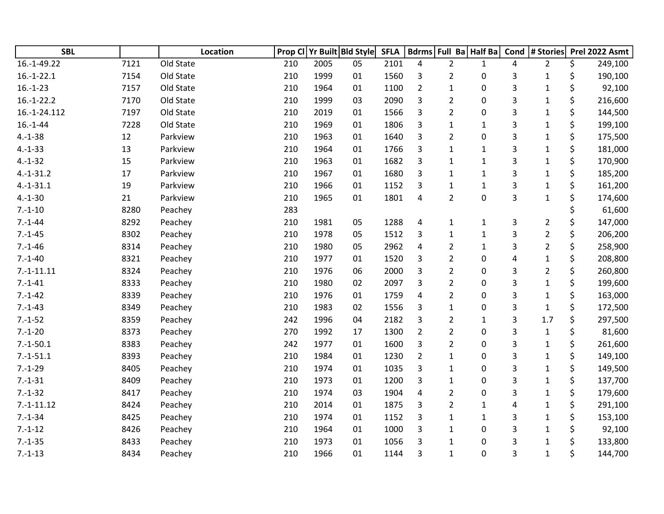| <b>SBL</b>   |      | Location  |     |      | Prop CI Yr Built Bld Style | <b>SFLA</b> |                         | Bdrms Full Ba Half Ba |              | Cond | # Stories      |    | Prel 2022 Asmt |
|--------------|------|-----------|-----|------|----------------------------|-------------|-------------------------|-----------------------|--------------|------|----------------|----|----------------|
| 16.-1-49.22  | 7121 | Old State | 210 | 2005 | 05                         | 2101        | 4                       | $\overline{2}$        | 1            | 4    | $\overline{2}$ | \$ | 249,100        |
| $16.-1-22.1$ | 7154 | Old State | 210 | 1999 | 01                         | 1560        | 3                       | $\overline{2}$        | 0            | 3    | $\mathbf{1}$   | \$ | 190,100        |
| $16.-1-23$   | 7157 | Old State | 210 | 1964 | 01                         | 1100        | $\overline{2}$          | $\mathbf{1}$          | $\mathbf 0$  | 3    | $\mathbf 1$    | \$ | 92,100         |
| $16.-1-22.2$ | 7170 | Old State | 210 | 1999 | 03                         | 2090        | 3                       | $\overline{2}$        | 0            | 3    | $\mathbf{1}$   | \$ | 216,600        |
| 16.-1-24.112 | 7197 | Old State | 210 | 2019 | 01                         | 1566        | 3                       | $\overline{2}$        | 0            | 3    | $\mathbf 1$    | \$ | 144,500        |
| $16.-1-44$   | 7228 | Old State | 210 | 1969 | 01                         | 1806        | 3                       | $\mathbf{1}$          | $\mathbf{1}$ | 3    | $\mathbf{1}$   | \$ | 199,100        |
| $4.-1-38$    | 12   | Parkview  | 210 | 1963 | 01                         | 1640        | 3                       | $\overline{2}$        | $\pmb{0}$    | 3    | $\mathbf{1}$   | \$ | 175,500        |
| $4.-1-33$    | 13   | Parkview  | 210 | 1964 | 01                         | 1766        | 3                       | $\mathbf{1}$          | $\mathbf{1}$ | 3    | $\mathbf{1}$   | \$ | 181,000        |
| $4.-1-32$    | 15   | Parkview  | 210 | 1963 | 01                         | 1682        | 3                       | $\mathbf{1}$          | $\mathbf 1$  | 3    | $\mathbf 1$    | \$ | 170,900        |
| $4.-1-31.2$  | 17   | Parkview  | 210 | 1967 | 01                         | 1680        | 3                       | $\mathbf{1}$          | $\mathbf{1}$ | 3    | $\mathbf{1}$   | \$ | 185,200        |
| $4.-1-31.1$  | 19   | Parkview  | 210 | 1966 | 01                         | 1152        | 3                       | $\mathbf{1}$          | $\mathbf 1$  | 3    | $\mathbf 1$    | \$ | 161,200        |
| $4.-1-30$    | 21   | Parkview  | 210 | 1965 | 01                         | 1801        | $\overline{\mathbf{4}}$ | $\overline{2}$        | 0            | 3    | $\mathbf 1$    | \$ | 174,600        |
| $7.-1-10$    | 8280 | Peachey   | 283 |      |                            |             |                         |                       |              |      |                |    | 61,600         |
| $7.-1-44$    | 8292 | Peachey   | 210 | 1981 | 05                         | 1288        | 4                       | $\mathbf{1}$          | $\mathbf{1}$ | 3    | $\overline{2}$ | \$ | 147,000        |
| $7.-1-45$    | 8302 | Peachey   | 210 | 1978 | 05                         | 1512        | 3                       | $\mathbf{1}$          | $\mathbf{1}$ | 3    | $\overline{2}$ | \$ | 206,200        |
| $7.-1-46$    | 8314 | Peachey   | 210 | 1980 | 05                         | 2962        | 4                       | $\overline{2}$        | $\mathbf 1$  | 3    | $\overline{2}$ | \$ | 258,900        |
| $7.-1-40$    | 8321 | Peachey   | 210 | 1977 | 01                         | 1520        | 3                       | $\overline{2}$        | 0            | 4    | $\mathbf 1$    | \$ | 208,800        |
| $7.-1-11.11$ | 8324 | Peachey   | 210 | 1976 | 06                         | 2000        | 3                       | $\overline{2}$        | $\mathbf 0$  | 3    | $\overline{2}$ | \$ | 260,800        |
| $7.-1-41$    | 8333 | Peachey   | 210 | 1980 | 02                         | 2097        | 3                       | $\overline{2}$        | 0            | 3    | $\mathbf 1$    | \$ | 199,600        |
| $7.-1-42$    | 8339 | Peachey   | 210 | 1976 | 01                         | 1759        | 4                       | $\overline{2}$        | 0            | 3    | $\mathbf 1$    | \$ | 163,000        |
| $7.-1-43$    | 8349 | Peachey   | 210 | 1983 | 02                         | 1556        | 3                       | $\mathbf{1}$          | 0            | 3    | $\mathbf 1$    | \$ | 172,500        |
| $7.-1-52$    | 8359 | Peachey   | 242 | 1996 | 04                         | 2182        | 3                       | 2                     | 1            | 3    | 1.7            | \$ | 297,500        |
| $7.-1-20$    | 8373 | Peachey   | 270 | 1992 | 17                         | 1300        | $\overline{2}$          | $\overline{2}$        | $\pmb{0}$    | 3    | $\mathbf{1}$   | \$ | 81,600         |
| $7.-1-50.1$  | 8383 | Peachey   | 242 | 1977 | 01                         | 1600        | 3                       | $\overline{2}$        | $\pmb{0}$    | 3    | $\mathbf 1$    | \$ | 261,600        |
| $7.-1-51.1$  | 8393 | Peachey   | 210 | 1984 | 01                         | 1230        | $\overline{2}$          | $\mathbf{1}$          | $\pmb{0}$    | 3    | $\mathbf{1}$   | \$ | 149,100        |
| $7.-1-29$    | 8405 | Peachey   | 210 | 1974 | 01                         | 1035        | 3                       | $\mathbf{1}$          | 0            | 3    | $\mathbf 1$    | \$ | 149,500        |
| $7.-1-31$    | 8409 | Peachey   | 210 | 1973 | 01                         | 1200        | 3                       | $\mathbf{1}$          | 0            | 3    | $\mathbf 1$    | \$ | 137,700        |
| $7.-1-32$    | 8417 | Peachey   | 210 | 1974 | 03                         | 1904        | 4                       | $\overline{2}$        | 0            | 3    | $\mathbf 1$    | \$ | 179,600        |
| $7.-1-11.12$ | 8424 | Peachey   | 210 | 2014 | 01                         | 1875        | 3                       | $\overline{2}$        | $\mathbf{1}$ | 4    | $\mathbf{1}$   | \$ | 291,100        |
| $7.-1-34$    | 8425 | Peachey   | 210 | 1974 | 01                         | 1152        | 3                       | $\mathbf{1}$          | $\mathbf{1}$ | 3    | $\mathbf 1$    | \$ | 153,100        |
| $7.-1-12$    | 8426 | Peachey   | 210 | 1964 | 01                         | 1000        | 3                       | $\mathbf{1}$          | 0            | 3    | $\mathbf 1$    |    | 92,100         |
| $7.-1-35$    | 8433 | Peachey   | 210 | 1973 | 01                         | 1056        | 3                       | 1                     | 0            | 3    | $\mathbf 1$    | Ś. | 133,800        |
| $7.-1-13$    | 8434 | Peachey   | 210 | 1966 | 01                         | 1144        | 3                       | $\mathbf{1}$          | 0            | 3    | $\mathbf{1}$   | \$ | 144,700        |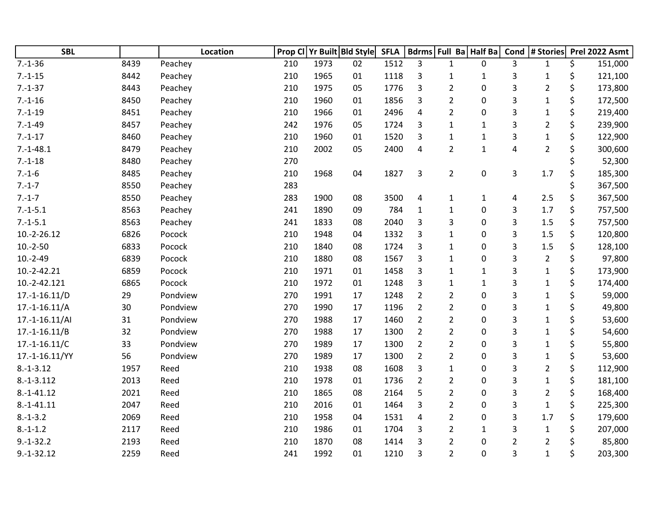| <b>SBL</b>      |      | Location | Prop CI |      | Yr Built Bld Style | <b>SFLA</b> |                |                | Bdrms Full Ba Half Ba | Cond                    | # Stories      | Prel 2022 Asmt |
|-----------------|------|----------|---------|------|--------------------|-------------|----------------|----------------|-----------------------|-------------------------|----------------|----------------|
| $7.-1-36$       | 8439 | Peachey  | 210     | 1973 | 02                 | 1512        | 3              | $\mathbf{1}$   | 0                     | 3                       | $\mathbf{1}$   | \$<br>151,000  |
| $7.-1-15$       | 8442 | Peachey  | 210     | 1965 | 01                 | 1118        | 3              | 1              | 1                     | 3                       | $\mathbf{1}$   | \$<br>121,100  |
| $7.-1-37$       | 8443 | Peachey  | 210     | 1975 | 05                 | 1776        | 3              | $\overline{2}$ | 0                     | 3                       | $\overline{2}$ | \$<br>173,800  |
| $7.-1-16$       | 8450 | Peachey  | 210     | 1960 | 01                 | 1856        | 3              | $\overline{2}$ | 0                     | 3                       | $\mathbf{1}$   | \$<br>172,500  |
| $7.-1-19$       | 8451 | Peachey  | 210     | 1966 | 01                 | 2496        | $\overline{4}$ | $\overline{2}$ | 0                     | 3                       | $\mathbf{1}$   | \$<br>219,400  |
| $7.-1-49$       | 8457 | Peachey  | 242     | 1976 | 05                 | 1724        | 3              | $\mathbf{1}$   | 1                     | 3                       | $\overline{2}$ | \$<br>239,900  |
| $7.-1-17$       | 8460 | Peachey  | 210     | 1960 | 01                 | 1520        | 3              | $\mathbf{1}$   | $\mathbf{1}$          | 3                       | $\mathbf{1}$   | \$<br>122,900  |
| $7.-1-48.1$     | 8479 | Peachey  | 210     | 2002 | 05                 | 2400        | 4              | $\overline{2}$ | $\mathbf{1}$          | 4                       | $\overline{2}$ | \$<br>300,600  |
| $7.-1-18$       | 8480 | Peachey  | 270     |      |                    |             |                |                |                       |                         |                | \$<br>52,300   |
| $7.-1-6$        | 8485 | Peachey  | 210     | 1968 | 04                 | 1827        | 3              | $\overline{2}$ | $\mathbf 0$           | $\overline{\mathbf{3}}$ | 1.7            | \$<br>185,300  |
| $7.-1-7$        | 8550 | Peachey  | 283     |      |                    |             |                |                |                       |                         |                | 367,500        |
| $7.-1-7$        | 8550 | Peachey  | 283     | 1900 | 08                 | 3500        | 4              | $\mathbf{1}$   | 1                     | 4                       | 2.5            | \$<br>367,500  |
| $7.-1-5.1$      | 8563 | Peachey  | 241     | 1890 | 09                 | 784         | $\mathbf{1}$   | $\mathbf{1}$   | 0                     | 3                       | 1.7            | \$<br>757,500  |
| $7.-1-5.1$      | 8563 | Peachey  | 241     | 1833 | 08                 | 2040        | 3              | 3              | 0                     | 3                       | 1.5            | \$<br>757,500  |
| 10.-2-26.12     | 6826 | Pocock   | 210     | 1948 | 04                 | 1332        | 3              | $\mathbf{1}$   | 0                     | 3                       | 1.5            | \$<br>120,800  |
| $10.-2-50$      | 6833 | Pocock   | 210     | 1840 | 08                 | 1724        | 3              | $\mathbf{1}$   | 0                     | 3                       | 1.5            | \$<br>128,100  |
| $10.-2-49$      | 6839 | Pocock   | 210     | 1880 | 08                 | 1567        | 3              | $\mathbf{1}$   | 0                     | 3                       | $\overline{2}$ | \$<br>97,800   |
| $10.-2-42.21$   | 6859 | Pocock   | 210     | 1971 | 01                 | 1458        | 3              | $\mathbf{1}$   | $\mathbf{1}$          | 3                       | $\mathbf{1}$   | \$<br>173,900  |
| 10.-2-42.121    | 6865 | Pocock   | 210     | 1972 | 01                 | 1248        | 3              | $\mathbf{1}$   | $\mathbf 1$           | 3                       | $\mathbf 1$    | \$<br>174,400  |
| $17.-1-16.11/D$ | 29   | Pondview | 270     | 1991 | 17                 | 1248        | $\overline{2}$ | $\overline{2}$ | 0                     | 3                       | $\mathbf{1}$   | \$<br>59,000   |
| $17.-1-16.11/A$ | 30   | Pondview | 270     | 1990 | 17                 | 1196        | $\overline{2}$ | $\overline{2}$ | 0                     | 3                       | $\mathbf{1}$   | \$<br>49,800   |
| 17.-1-16.11/AI  | 31   | Pondview | 270     | 1988 | 17                 | 1460        | $\overline{2}$ | $\overline{2}$ | 0                     | 3                       | 1              | \$<br>53,600   |
| $17.-1-16.11/B$ | 32   | Pondview | 270     | 1988 | 17                 | 1300        | $\overline{2}$ | $\overline{2}$ | 0                     | 3                       | $\mathbf{1}$   | \$<br>54,600   |
| $17.-1-16.11/C$ | 33   | Pondview | 270     | 1989 | 17                 | 1300        | $\overline{2}$ | $\overline{2}$ | 0                     | 3                       | $\mathbf{1}$   | \$<br>55,800   |
| 17.-1-16.11/YY  | 56   | Pondview | 270     | 1989 | 17                 | 1300        | $\overline{2}$ | $\overline{2}$ | 0                     | 3                       | $\mathbf 1$    | \$<br>53,600   |
| $8.-1-3.12$     | 1957 | Reed     | 210     | 1938 | 08                 | 1608        | 3              | $\mathbf{1}$   | 0                     | 3                       | $\overline{2}$ | \$<br>112,900  |
| $8.-1-3.112$    | 2013 | Reed     | 210     | 1978 | 01                 | 1736        | $\overline{2}$ | $\overline{2}$ | 0                     | 3                       | $\mathbf{1}$   | \$<br>181,100  |
| $8.-1-41.12$    | 2021 | Reed     | 210     | 1865 | 08                 | 2164        | 5              | $\overline{2}$ | 0                     | 3                       | $\overline{2}$ | \$<br>168,400  |
| $8.-1-41.11$    | 2047 | Reed     | 210     | 2016 | 01                 | 1464        | 3              | $\overline{2}$ | 0                     | 3                       | $\mathbf{1}$   | \$<br>225,300  |
| $8.-1-3.2$      | 2069 | Reed     | 210     | 1958 | 04                 | 1531        | $\overline{4}$ | $\overline{2}$ | 0                     | 3                       | 1.7            | \$<br>179,600  |
| $8.-1-1.2$      | 2117 | Reed     | 210     | 1986 | 01                 | 1704        | 3              | $\overline{2}$ | $\mathbf{1}$          | 3                       | $\mathbf{1}$   | \$<br>207,000  |
| $9.-1-32.2$     | 2193 | Reed     | 210     | 1870 | 08                 | 1414        | 3              | $\overline{2}$ | 0                     | $\overline{2}$          | $\overline{2}$ | \$<br>85,800   |
| $9.-1-32.12$    | 2259 | Reed     | 241     | 1992 | 01                 | 1210        | 3              | $\overline{2}$ | 0                     | 3                       | $\mathbf{1}$   | \$<br>203,300  |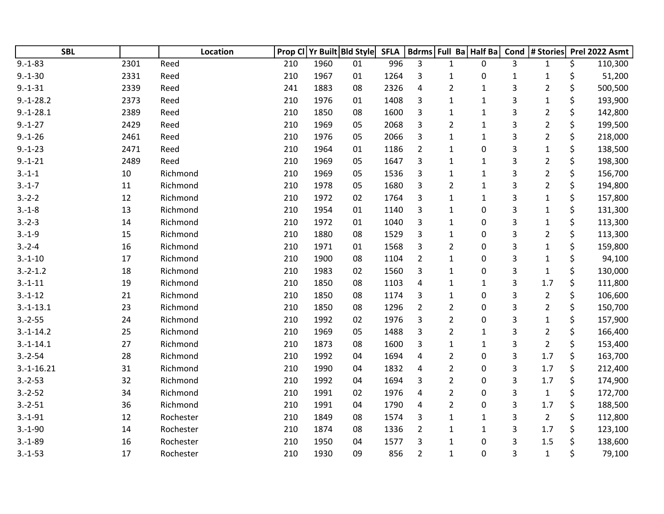| <b>SBL</b>    |      | Location  |     |      | Prop CI Yr Built Bld Style | <b>SFLA</b> |                | Bdrms Full Ba Half Ba |                  | Cond                      | # Stories      | Prel 2022 Asmt |
|---------------|------|-----------|-----|------|----------------------------|-------------|----------------|-----------------------|------------------|---------------------------|----------------|----------------|
| $9.-1-83$     | 2301 | Reed      | 210 | 1960 | 01                         | 996         | 3              | $\mathbf{1}$          | $\mathbf{0}$     | 3                         | $\mathbf{1}$   | \$<br>110,300  |
| $9.-1-30$     | 2331 | Reed      | 210 | 1967 | 01                         | 1264        | 3              | $\mathbf{1}$          | 0                | 1                         | $\mathbf{1}$   | \$<br>51,200   |
| $9. - 1 - 31$ | 2339 | Reed      | 241 | 1883 | 08                         | 2326        | $\sqrt{4}$     | $\overline{2}$        | $\mathbf{1}$     | 3                         | $\overline{2}$ | \$<br>500,500  |
| $9.-1-28.2$   | 2373 | Reed      | 210 | 1976 | 01                         | 1408        | 3              | $\mathbf{1}$          | $\mathbf 1$      | $\ensuremath{\mathsf{3}}$ | $\mathbf{1}$   | \$<br>193,900  |
| $9.-1-28.1$   | 2389 | Reed      | 210 | 1850 | 08                         | 1600        | 3              | $\mathbf{1}$          | $\mathbf{1}$     | 3                         | $\overline{2}$ | \$<br>142,800  |
| $9.-1-27$     | 2429 | Reed      | 210 | 1969 | 05                         | 2068        | 3              | $\overline{2}$        | $\mathbf 1$      | 3                         | $\overline{2}$ | \$<br>199,500  |
| $9.-1-26$     | 2461 | Reed      | 210 | 1976 | 05                         | 2066        | 3              | $\mathbf{1}$          | $\mathbf{1}$     | 3                         | $\overline{2}$ | \$<br>218,000  |
| $9.-1-23$     | 2471 | Reed      | 210 | 1964 | 01                         | 1186        | $\overline{2}$ | $\mathbf{1}$          | $\boldsymbol{0}$ | 3                         | $\mathbf{1}$   | \$<br>138,500  |
| $9.-1-21$     | 2489 | Reed      | 210 | 1969 | 05                         | 1647        | 3              | $\mathbf{1}$          | $\mathbf{1}$     | 3                         | $\overline{2}$ | \$<br>198,300  |
| $3.-1-1$      | 10   | Richmond  | 210 | 1969 | 05                         | 1536        | 3              | 1                     | $\mathbf{1}$     | 3                         | $\overline{2}$ | \$<br>156,700  |
| $3.-1-7$      | 11   | Richmond  | 210 | 1978 | 05                         | 1680        | 3              | $\overline{2}$        | $\mathbf{1}$     | 3                         | $\overline{2}$ | \$<br>194,800  |
| $3.-2-2$      | 12   | Richmond  | 210 | 1972 | 02                         | 1764        | 3              | $\mathbf{1}$          | $\mathbf{1}$     | 3                         | $\mathbf{1}$   | \$<br>157,800  |
| $3.-1-8$      | 13   | Richmond  | 210 | 1954 | 01                         | 1140        | 3              | $\mathbf{1}$          | $\pmb{0}$        | 3                         | $\mathbf{1}$   | \$<br>131,300  |
| $3.-2-3$      | 14   | Richmond  | 210 | 1972 | 01                         | 1040        | 3              | $\mathbf{1}$          | 0                | 3                         | $\mathbf{1}$   | \$<br>113,300  |
| $3.-1-9$      | 15   | Richmond  | 210 | 1880 | 08                         | 1529        | 3              | $\mathbf{1}$          | 0                | 3                         | $\overline{2}$ | \$<br>113,300  |
| $3.-2-4$      | 16   | Richmond  | 210 | 1971 | 01                         | 1568        | 3              | $\overline{2}$        | 0                | 3                         | $\mathbf{1}$   | \$<br>159,800  |
| $3.-1-10$     | 17   | Richmond  | 210 | 1900 | 08                         | 1104        | $\overline{2}$ | $\mathbf{1}$          | 0                | 3                         | 1              | \$<br>94,100   |
| $3.-2-1.2$    | 18   | Richmond  | 210 | 1983 | 02                         | 1560        | 3              | $\mathbf{1}$          | $\boldsymbol{0}$ | 3                         | $\mathbf{1}$   | \$<br>130,000  |
| $3.-1-11$     | 19   | Richmond  | 210 | 1850 | 08                         | 1103        | 4              | 1                     | $\mathbf{1}$     | 3                         | 1.7            | \$<br>111,800  |
| $3.-1-12$     | 21   | Richmond  | 210 | 1850 | 08                         | 1174        | 3              | 1                     | 0                | 3                         | $\overline{2}$ | \$<br>106,600  |
| $3.-1-13.1$   | 23   | Richmond  | 210 | 1850 | 08                         | 1296        | $\overline{2}$ | $\overline{2}$        | 0                | 3                         | $\overline{2}$ | \$<br>150,700  |
| $3.-2-55$     | 24   | Richmond  | 210 | 1992 | 02                         | 1976        | 3              | $\overline{2}$        | 0                | 3                         | $\mathbf{1}$   | \$<br>157,900  |
| $3.-1-14.2$   | 25   | Richmond  | 210 | 1969 | 05                         | 1488        | 3              | $\overline{2}$        | $\mathbf{1}$     | 3                         | $\overline{2}$ | \$<br>166,400  |
| $3.-1-14.1$   | 27   | Richmond  | 210 | 1873 | 08                         | 1600        | 3              | 1                     | $\mathbf{1}$     | $\ensuremath{\mathsf{3}}$ | $\overline{2}$ | \$<br>153,400  |
| $3.-2-54$     | 28   | Richmond  | 210 | 1992 | 04                         | 1694        | 4              | $\overline{2}$        | 0                | 3                         | 1.7            | \$<br>163,700  |
| $3.-1-16.21$  | 31   | Richmond  | 210 | 1990 | 04                         | 1832        | 4              | $\overline{2}$        | 0                | 3                         | 1.7            | \$<br>212,400  |
| $3.-2-53$     | 32   | Richmond  | 210 | 1992 | 04                         | 1694        | 3              | $\overline{2}$        | 0                | 3                         | 1.7            | \$<br>174,900  |
| $3.-2-52$     | 34   | Richmond  | 210 | 1991 | 02                         | 1976        | 4              | $\overline{2}$        | 0                | 3                         | $\mathbf 1$    | \$<br>172,700  |
| $3.-2-51$     | 36   | Richmond  | 210 | 1991 | 04                         | 1790        | 4              | $\overline{2}$        | 0                | 3                         | 1.7            | \$<br>188,500  |
| $3.-1-91$     | 12   | Rochester | 210 | 1849 | 08                         | 1574        | 3              | $\mathbf{1}$          | 1                | 3                         | $\overline{2}$ | \$<br>112,800  |
| $3.-1-90$     | 14   | Rochester | 210 | 1874 | 08                         | 1336        | $\overline{2}$ | $\mathbf{1}$          | $\mathbf{1}$     | 3                         | 1.7            | \$<br>123,100  |
| $3.-1-89$     | 16   | Rochester | 210 | 1950 | 04                         | 1577        | 3              | $\mathbf{1}$          | 0                | 3                         | 1.5            | \$<br>138,600  |
| $3.-1-53$     | 17   | Rochester | 210 | 1930 | 09                         | 856         | $\overline{2}$ | $\mathbf{1}$          | 0                | 3                         | $\mathbf{1}$   | \$<br>79,100   |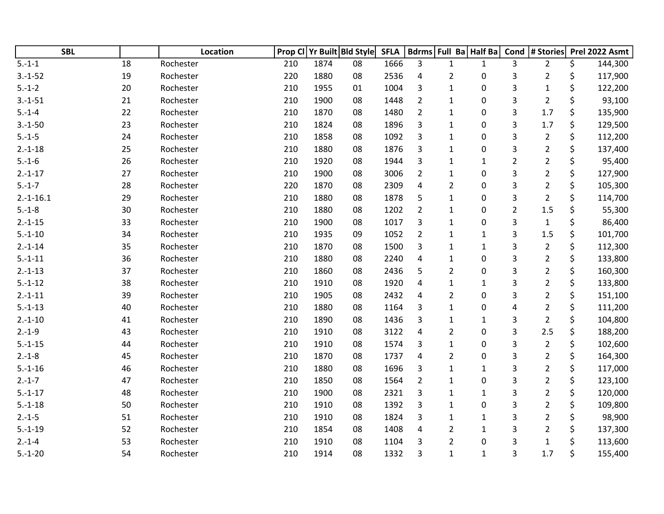| <b>SBL</b>  |    | Location  | Prop CI |      | Yr Built Bld Style | <b>SFLA</b> |                | Bdrms Full Ba Half Ba |              | Cond           | # Stories      | Prel 2022 Asmt |
|-------------|----|-----------|---------|------|--------------------|-------------|----------------|-----------------------|--------------|----------------|----------------|----------------|
| $5.-1-1$    | 18 | Rochester | 210     | 1874 | 08                 | 1666        | 3              | $\mathbf{1}$          | $\mathbf{1}$ | 3              | $\overline{2}$ | \$<br>144,300  |
| $3.-1-52$   | 19 | Rochester | 220     | 1880 | 08                 | 2536        | 4              | $\overline{2}$        | 0            | 3              | $\overline{2}$ | \$<br>117,900  |
| $5.-1-2$    | 20 | Rochester | 210     | 1955 | 01                 | 1004        | 3              | $\mathbf{1}$          | 0            | 3              | $\mathbf{1}$   | \$<br>122,200  |
| $3.-1-51$   | 21 | Rochester | 210     | 1900 | 08                 | 1448        | $\overline{2}$ | 1                     | 0            | 3              | $\overline{2}$ | \$<br>93,100   |
| $5.-1-4$    | 22 | Rochester | 210     | 1870 | 08                 | 1480        | $\overline{2}$ | $\mathbf{1}$          | 0            | 3              | 1.7            | \$<br>135,900  |
| $3.-1-50$   | 23 | Rochester | 210     | 1824 | 08                 | 1896        | 3              | 1                     | 0            | 3              | 1.7            | \$<br>129,500  |
| $5.-1-5$    | 24 | Rochester | 210     | 1858 | 08                 | 1092        | 3              | $\mathbf{1}$          | 0            | 3              | $\overline{2}$ | \$<br>112,200  |
| $2.-1-18$   | 25 | Rochester | 210     | 1880 | 08                 | 1876        | 3              | $\mathbf 1$           | 0            | 3              | $\overline{2}$ | \$<br>137,400  |
| $5.-1-6$    | 26 | Rochester | 210     | 1920 | 08                 | 1944        | 3              | 1                     | $\mathbf{1}$ | $\overline{2}$ | $\overline{2}$ | \$<br>95,400   |
| $2.-1-17$   | 27 | Rochester | 210     | 1900 | 08                 | 3006        | $\overline{2}$ | 1                     | 0            | 3              | $\overline{2}$ | \$<br>127,900  |
| $5.-1-7$    | 28 | Rochester | 220     | 1870 | 08                 | 2309        | 4              | $\overline{2}$        | 0            | 3              | $\overline{2}$ | \$<br>105,300  |
| $2.-1-16.1$ | 29 | Rochester | 210     | 1880 | 08                 | 1878        | 5              | $\mathbf{1}$          | 0            | 3              | $\overline{2}$ | \$<br>114,700  |
| $5.-1-8$    | 30 | Rochester | 210     | 1880 | 08                 | 1202        | $\overline{2}$ | $\mathbf{1}$          | 0            | $\overline{2}$ | 1.5            | 55,300         |
| $2.-1-15$   | 33 | Rochester | 210     | 1900 | 08                 | 1017        | 3              | $\mathbf{1}$          | 0            | 3              | $\mathbf{1}$   | \$<br>86,400   |
| $5.-1-10$   | 34 | Rochester | 210     | 1935 | 09                 | 1052        | $\overline{2}$ | $\mathbf{1}$          | $\mathbf{1}$ | 3              | 1.5            | \$<br>101,700  |
| $2.-1-14$   | 35 | Rochester | 210     | 1870 | 08                 | 1500        | 3              | 1                     | $\mathbf{1}$ | 3              | $\overline{2}$ | \$<br>112,300  |
| $5.-1-11$   | 36 | Rochester | 210     | 1880 | 08                 | 2240        | 4              | $\mathbf{1}$          | 0            | 3              | $\overline{2}$ | \$<br>133,800  |
| $2.-1-13$   | 37 | Rochester | 210     | 1860 | 08                 | 2436        | 5              | $\overline{2}$        | 0            | 3              | $\overline{2}$ | \$<br>160,300  |
| $5.-1-12$   | 38 | Rochester | 210     | 1910 | 08                 | 1920        | 4              | 1                     | $\mathbf{1}$ | 3              | $\overline{2}$ | \$<br>133,800  |
| $2.-1-11$   | 39 | Rochester | 210     | 1905 | 08                 | 2432        | 4              | $\overline{2}$        | 0            | 3              | $\overline{2}$ | \$<br>151,100  |
| $5.-1-13$   | 40 | Rochester | 210     | 1880 | 08                 | 1164        | 3              | $\mathbf{1}$          | 0            | 4              | $\overline{2}$ | \$<br>111,200  |
| $2.-1-10$   | 41 | Rochester | 210     | 1890 | 08                 | 1436        | 3              | $\mathbf{1}$          | $\mathbf 1$  | 3              | $\overline{2}$ | \$<br>104,800  |
| $2.-1-9$    | 43 | Rochester | 210     | 1910 | 08                 | 3122        | $\overline{a}$ | $\overline{2}$        | 0            | 3              | 2.5            | \$<br>188,200  |
| $5.-1-15$   | 44 | Rochester | 210     | 1910 | 08                 | 1574        | 3              | 1                     | 0            | 3              | $\overline{2}$ | \$<br>102,600  |
| $2.-1-8$    | 45 | Rochester | 210     | 1870 | 08                 | 1737        | 4              | $\overline{2}$        | 0            | 3              | $\overline{2}$ | \$<br>164,300  |
| $5.-1-16$   | 46 | Rochester | 210     | 1880 | 08                 | 1696        | 3              | $\mathbf{1}$          | 1            | 3              | $\overline{2}$ | \$<br>117,000  |
| $2.-1-7$    | 47 | Rochester | 210     | 1850 | 08                 | 1564        | $\overline{2}$ | $\mathbf{1}$          | 0            | 3              | $\overline{2}$ | \$<br>123,100  |
| $5.-1-17$   | 48 | Rochester | 210     | 1900 | 08                 | 2321        | 3              | $\mathbf{1}$          | $\mathbf{1}$ | 3              | $\overline{2}$ | \$<br>120,000  |
| $5.-1-18$   | 50 | Rochester | 210     | 1910 | 08                 | 1392        | 3              | $\mathbf{1}$          | 0            | 3              | $\overline{2}$ | \$<br>109,800  |
| $2.-1-5$    | 51 | Rochester | 210     | 1910 | 08                 | 1824        | 3              | 1                     | 1            | 3              | $\overline{2}$ | \$<br>98,900   |
| $5.-1-19$   | 52 | Rochester | 210     | 1854 | 08                 | 1408        | 4              | $\overline{2}$        | $\mathbf{1}$ | 3              | $\overline{2}$ | \$<br>137,300  |
| $2.-1-4$    | 53 | Rochester | 210     | 1910 | 08                 | 1104        | 3              | $\overline{2}$        | 0            | 3              | $\mathbf 1$    | \$<br>113,600  |
| $5.-1-20$   | 54 | Rochester | 210     | 1914 | 08                 | 1332        | 3              | $\mathbf{1}$          | $\mathbf{1}$ | 3              | 1.7            | \$<br>155,400  |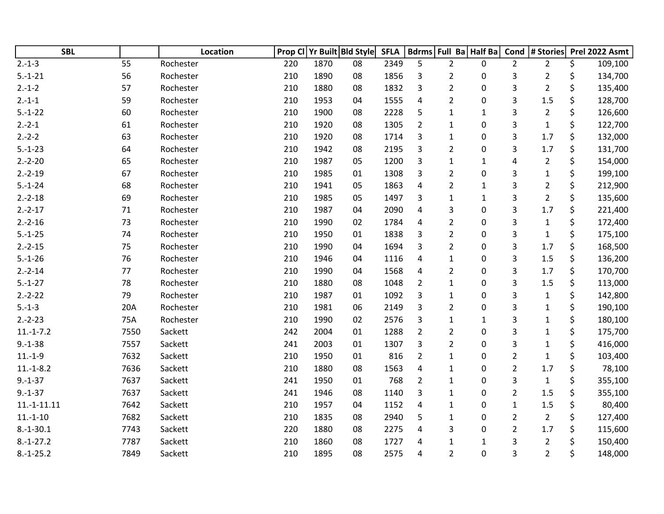| <b>SBL</b>    |        | Location  | Prop Cl | Yr Built Bld Style |    | <b>SFLA</b> |                         |                | Bdrms Full Ba Half Ba |                | Cond # Stories | Prel 2022 Asmt |
|---------------|--------|-----------|---------|--------------------|----|-------------|-------------------------|----------------|-----------------------|----------------|----------------|----------------|
| $2.-1-3$      | 55     | Rochester | 220     | 1870               | 08 | 2349        | 5                       | $\overline{2}$ | 0                     | $\overline{2}$ | $\overline{2}$ | \$<br>109,100  |
| $5.-1-21$     | 56     | Rochester | 210     | 1890               | 08 | 1856        | 3                       | $\overline{2}$ | 0                     | 3              | $\overline{2}$ | \$<br>134,700  |
| $2.-1-2$      | 57     | Rochester | 210     | 1880               | 08 | 1832        | 3                       | $\overline{2}$ | 0                     | 3              | $\overline{2}$ | \$<br>135,400  |
| $2.-1-1$      | 59     | Rochester | 210     | 1953               | 04 | 1555        | $\overline{4}$          | $\overline{2}$ | $\pmb{0}$             | 3              | 1.5            | \$<br>128,700  |
| $5.-1-22$     | 60     | Rochester | 210     | 1900               | 08 | 2228        | 5                       | $\mathbf{1}$   | $\mathbf{1}$          | 3              | $\overline{2}$ | \$<br>126,600  |
| $2.-2-1$      | 61     | Rochester | 210     | 1920               | 08 | 1305        | $\overline{2}$          | $\mathbf{1}$   | 0                     | 3              | $\mathbf{1}$   | \$<br>122,700  |
| $2.-2-2$      | 63     | Rochester | 210     | 1920               | 08 | 1714        | 3                       | $\mathbf{1}$   | 0                     | 3              | 1.7            | \$<br>132,000  |
| $5.-1-23$     | 64     | Rochester | 210     | 1942               | 08 | 2195        | 3                       | $\overline{2}$ | 0                     | 3              | 1.7            | \$<br>131,700  |
| $2.-2-20$     | 65     | Rochester | 210     | 1987               | 05 | 1200        | $\overline{3}$          | $\mathbf 1$    | $\mathbf 1$           | 4              | $\overline{2}$ | \$<br>154,000  |
| $2.-2-19$     | 67     | Rochester | 210     | 1985               | 01 | 1308        | 3                       | $\overline{2}$ | 0                     | 3              | $\mathbf 1$    | \$<br>199,100  |
| $5.-1-24$     | 68     | Rochester | 210     | 1941               | 05 | 1863        | 4                       | $\overline{2}$ | 1                     | 3              | $\overline{2}$ | \$<br>212,900  |
| $2.-2-18$     | 69     | Rochester | 210     | 1985               | 05 | 1497        | 3                       | $\mathbf{1}$   | $\mathbf{1}$          | 3              | $\overline{2}$ | \$<br>135,600  |
| $2.-2-17$     | $71\,$ | Rochester | 210     | 1987               | 04 | 2090        | $\overline{4}$          | 3              | 0                     | 3              | 1.7            | \$<br>221,400  |
| $2.-2-16$     | 73     | Rochester | 210     | 1990               | 02 | 1784        | $\overline{4}$          | $\overline{2}$ | 0                     | 3              | $\mathbf{1}$   | \$<br>172,400  |
| $5.-1-25$     | 74     | Rochester | 210     | 1950               | 01 | 1838        | 3                       | $\overline{2}$ | 0                     | 3              | $\mathbf 1$    | \$<br>175,100  |
| $2.-2-15$     | 75     | Rochester | 210     | 1990               | 04 | 1694        | 3                       | $\overline{2}$ | 0                     | 3              | 1.7            | \$<br>168,500  |
| $5.-1-26$     | 76     | Rochester | 210     | 1946               | 04 | 1116        | 4                       | $\mathbf{1}$   | 0                     | 3              | 1.5            | \$<br>136,200  |
| $2.-2-14$     | 77     | Rochester | 210     | 1990               | 04 | 1568        | $\overline{4}$          | $\overline{2}$ | 0                     | 3              | 1.7            | \$<br>170,700  |
| $5.-1-27$     | 78     | Rochester | 210     | 1880               | 08 | 1048        | $\overline{2}$          | $\mathbf{1}$   | 0                     | 3              | 1.5            | \$<br>113,000  |
| $2.-2-22$     | 79     | Rochester | 210     | 1987               | 01 | 1092        | 3                       | $\mathbf{1}$   | 0                     | 3              | $\mathbf{1}$   | \$<br>142,800  |
| $5.-1-3$      | 20A    | Rochester | 210     | 1981               | 06 | 2149        | 3                       | $\overline{2}$ | 0                     | 3              | $\mathbf{1}$   | \$<br>190,100  |
| $2.-2-23$     | 75A    | Rochester | 210     | 1990               | 02 | 2576        | 3                       | $\mathbf{1}$   | $\mathbf{1}$          | 3              | $\mathbf{1}$   | \$<br>180,100  |
| $11.-1-.7.2$  | 7550   | Sackett   | 242     | 2004               | 01 | 1288        | $\overline{2}$          | $\overline{2}$ | 0                     | 3              | $\mathbf{1}$   | \$<br>175,700  |
| $9.-1-38$     | 7557   | Sackett   | 241     | 2003               | 01 | 1307        | 3                       | $\overline{2}$ | $\pmb{0}$             | 3              | $\mathbf 1$    | \$<br>416,000  |
| $11.-1-9$     | 7632   | Sackett   | 210     | 1950               | 01 | 816         | $\overline{2}$          | $\mathbf{1}$   | 0                     | $\overline{2}$ | $\mathbf 1$    | \$<br>103,400  |
| $11.-1-8.2$   | 7636   | Sackett   | 210     | 1880               | 08 | 1563        | 4                       | $\mathbf{1}$   | 0                     | $\overline{2}$ | 1.7            | \$<br>78,100   |
| $9.-1-37$     | 7637   | Sackett   | 241     | 1950               | 01 | 768         | $\overline{2}$          | $\mathbf{1}$   | 0                     | 3              | $\mathbf 1$    | \$<br>355,100  |
| $9.-1-37$     | 7637   | Sackett   | 241     | 1946               | 08 | 1140        | 3                       | $\mathbf{1}$   | 0                     | $\overline{2}$ | 1.5            | \$<br>355,100  |
| $11.-1-11.11$ | 7642   | Sackett   | 210     | 1957               | 04 | 1152        | $\overline{\mathbf{4}}$ | 1              | 0                     | $\mathbf 1$    | 1.5            | \$<br>80,400   |
| $11.-1-10$    | 7682   | Sackett   | 210     | 1835               | 08 | 2940        | 5                       | $\mathbf{1}$   | 0                     | $\overline{2}$ | $\overline{2}$ | \$<br>127,400  |
| $8.-1-30.1$   | 7743   | Sackett   | 220     | 1880               | 08 | 2275        | 4                       | 3              | 0                     | $\overline{2}$ | 1.7            | \$<br>115,600  |
| $8.-1-27.2$   | 7787   | Sackett   | 210     | 1860               | 08 | 1727        | 4                       | $\mathbf{1}$   | $\mathbf{1}$          | 3              | $\overline{2}$ | \$<br>150,400  |
| $8.-1-25.2$   | 7849   | Sackett   | 210     | 1895               | 08 | 2575        | 4                       | $\overline{2}$ | 0                     | 3              | $\overline{2}$ | \$<br>148,000  |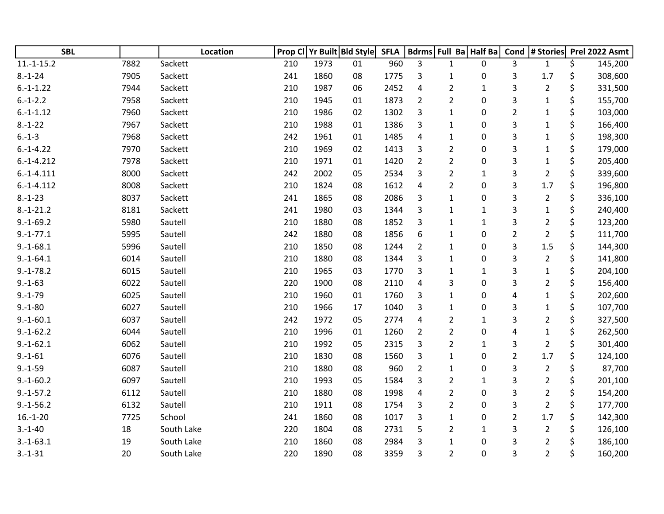| <b>SBL</b>   |      | Location   | Prop Cl | Yr Built Bld Style |    | <b>SFLA</b> |                |                | Bdrms Full Ba Half Ba | Cond           | # Stories      | Prel 2022 Asmt |
|--------------|------|------------|---------|--------------------|----|-------------|----------------|----------------|-----------------------|----------------|----------------|----------------|
| $11.-1-15.2$ | 7882 | Sackett    | 210     | 1973               | 01 | 960         | 3              | $\mathbf{1}$   | 0                     | 3              | $\mathbf{1}$   | \$<br>145,200  |
| $8.-1-24$    | 7905 | Sackett    | 241     | 1860               | 08 | 1775        | 3              | $\mathbf 1$    | 0                     | 3              | 1.7            | \$<br>308,600  |
| $6.-1-1.22$  | 7944 | Sackett    | 210     | 1987               | 06 | 2452        | 4              | $\overline{2}$ | $\mathbf{1}$          | 3              | $\overline{2}$ | \$<br>331,500  |
| $6.-1-2.2$   | 7958 | Sackett    | 210     | 1945               | 01 | 1873        | $\overline{2}$ | $\overline{2}$ | 0                     | 3              | $\mathbf{1}$   | \$<br>155,700  |
| $6.-1-1.12$  | 7960 | Sackett    | 210     | 1986               | 02 | 1302        | 3              | $\mathbf{1}$   | 0                     | $\overline{2}$ | $\mathbf{1}$   | \$<br>103,000  |
| $8.-1-22$    | 7967 | Sackett    | 210     | 1988               | 01 | 1386        | 3              | 1              | 0                     | 3              | $\mathbf{1}$   | \$<br>166,400  |
| $6.-1-3$     | 7968 | Sackett    | 242     | 1961               | 01 | 1485        | 4              | $\mathbf{1}$   | 0                     | 3              | 1              | \$<br>198,300  |
| $6.-1-4.22$  | 7970 | Sackett    | 210     | 1969               | 02 | 1413        | 3              | $\overline{2}$ | 0                     | 3              | $\mathbf{1}$   | \$<br>179,000  |
| $6.-1-4.212$ | 7978 | Sackett    | 210     | 1971               | 01 | 1420        | $\overline{2}$ | $\overline{2}$ | 0                     | 3              | $\mathbf{1}$   | \$<br>205,400  |
| $6.-1-4.111$ | 8000 | Sackett    | 242     | 2002               | 05 | 2534        | 3              | $\overline{2}$ | $\mathbf{1}$          | 3              | $\overline{2}$ | \$<br>339,600  |
| $6.-1-4.112$ | 8008 | Sackett    | 210     | 1824               | 08 | 1612        | 4              | $\overline{2}$ | 0                     | 3              | 1.7            | \$<br>196,800  |
| $8.-1-23$    | 8037 | Sackett    | 241     | 1865               | 08 | 2086        | 3              | $\mathbf{1}$   | 0                     | 3              | $\overline{2}$ | \$<br>336,100  |
| $8.-1-21.2$  | 8181 | Sackett    | 241     | 1980               | 03 | 1344        | 3              | $\mathbf{1}$   | $\mathbf{1}$          | 3              | $\mathbf 1$    | \$<br>240,400  |
| $9.-1-69.2$  | 5980 | Sautell    | 210     | 1880               | 08 | 1852        | 3              | 1              | $\mathbf{1}$          | 3              | $\overline{2}$ | \$<br>123,200  |
| $9.-1-77.1$  | 5995 | Sautell    | 242     | 1880               | 08 | 1856        | 6              | 1              | 0                     | $\overline{2}$ | $\overline{2}$ | \$<br>111,700  |
| $9.-1-68.1$  | 5996 | Sautell    | 210     | 1850               | 08 | 1244        | $\overline{2}$ | 1              | 0                     | 3              | 1.5            | \$<br>144,300  |
| $9.-1-64.1$  | 6014 | Sautell    | 210     | 1880               | 08 | 1344        | 3              | $\mathbf{1}$   | 0                     | 3              | $\overline{2}$ | \$<br>141,800  |
| $9.-1-78.2$  | 6015 | Sautell    | 210     | 1965               | 03 | 1770        | 3              | 1              | $\mathbf 1$           | 3              | $\mathbf{1}$   | \$<br>204,100  |
| $9.-1-63$    | 6022 | Sautell    | 220     | 1900               | 08 | 2110        | 4              | 3              | 0                     | 3              | $\overline{2}$ | \$<br>156,400  |
| $9.-1-79$    | 6025 | Sautell    | 210     | 1960               | 01 | 1760        | 3              | 1              | 0                     | 4              | $\mathbf{1}$   | \$<br>202,600  |
| $9.-1-80$    | 6027 | Sautell    | 210     | 1966               | 17 | 1040        | 3              | 1              | 0                     | 3              | $\mathbf{1}$   | \$<br>107,700  |
| $9.-1-60.1$  | 6037 | Sautell    | 242     | 1972               | 05 | 2774        | $\overline{4}$ | 2              | $\mathbf{1}$          | 3              | $\overline{2}$ | \$<br>327,500  |
| $9.-1-62.2$  | 6044 | Sautell    | 210     | 1996               | 01 | 1260        | $\overline{2}$ | $\overline{2}$ | 0                     | 4              | $\mathbf{1}$   | \$<br>262,500  |
| $9.-1-62.1$  | 6062 | Sautell    | 210     | 1992               | 05 | 2315        | 3              | $\overline{2}$ | 1                     | 3              | $\overline{2}$ | \$<br>301,400  |
| $9.-1-61$    | 6076 | Sautell    | 210     | 1830               | 08 | 1560        | 3              | 1              | 0                     | $\overline{2}$ | 1.7            | \$<br>124,100  |
| $9.-1-59$    | 6087 | Sautell    | 210     | 1880               | 08 | 960         | $\overline{2}$ | 1              | 0                     | 3              | $\overline{2}$ | \$<br>87,700   |
| $9.-1-60.2$  | 6097 | Sautell    | 210     | 1993               | 05 | 1584        | 3              | $\overline{2}$ | $\mathbf{1}$          | 3              | $\overline{2}$ | \$<br>201,100  |
| $9.-1-57.2$  | 6112 | Sautell    | 210     | 1880               | 08 | 1998        | $\overline{4}$ | $\overline{2}$ | 0                     | 3              | $\overline{2}$ | \$<br>154,200  |
| $9.-1-56.2$  | 6132 | Sautell    | 210     | 1911               | 08 | 1754        | 3              | $\overline{2}$ | 0                     | 3              | $\overline{2}$ | \$<br>177,700  |
| $16.-1-20$   | 7725 | School     | 241     | 1860               | 08 | 1017        | 3              | $\mathbf{1}$   | 0                     | $\overline{2}$ | 1.7            | \$<br>142,300  |
| $3.-1-40$    | 18   | South Lake | 220     | 1804               | 08 | 2731        | 5              | 2              | 1                     | 3              | $\overline{2}$ | \$<br>126,100  |
| $3.-1-63.1$  | 19   | South Lake | 210     | 1860               | 08 | 2984        | 3              | 1              | 0                     | 3              | $\overline{2}$ | \$<br>186,100  |
| $3.-1-31$    | 20   | South Lake | 220     | 1890               | 08 | 3359        | 3              | $\overline{2}$ | 0                     | 3              | $\overline{2}$ | \$<br>160,200  |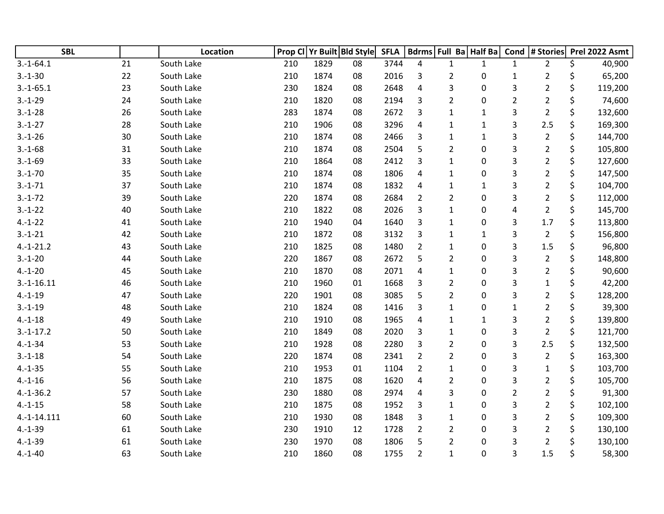| <b>SBL</b>   |    | Location   | Prop Cl |      | Yr Built Bld Style | <b>SFLA</b> |                         |                | Bdrms Full Ba Half Ba | Cond                      | # Stories      | Prel 2022 Asmt |
|--------------|----|------------|---------|------|--------------------|-------------|-------------------------|----------------|-----------------------|---------------------------|----------------|----------------|
| $3.-1-64.1$  | 21 | South Lake | 210     | 1829 | 08                 | 3744        | 4                       | $\mathbf{1}$   | $\mathbf{1}$          | $\mathbf{1}$              | $\overline{2}$ | \$<br>40,900   |
| $3.-1-30$    | 22 | South Lake | 210     | 1874 | 08                 | 2016        | 3                       | $\overline{2}$ | 0                     | $\mathbf{1}$              | $\overline{2}$ | \$<br>65,200   |
| $3.-1-65.1$  | 23 | South Lake | 230     | 1824 | 08                 | 2648        | 4                       | 3              | 0                     | 3                         | $\overline{2}$ | \$<br>119,200  |
| $3.-1-29$    | 24 | South Lake | 210     | 1820 | 08                 | 2194        | 3                       | $\overline{2}$ | 0                     | $\overline{2}$            | $\overline{2}$ | \$<br>74,600   |
| $3.-1-28$    | 26 | South Lake | 283     | 1874 | 08                 | 2672        | 3                       | $\mathbf{1}$   | $\mathbf 1$           | 3                         | $\overline{2}$ | \$<br>132,600  |
| $3.-1-27$    | 28 | South Lake | 210     | 1906 | 08                 | 3296        | 4                       | 1              | 1                     | 3                         | 2.5            | 169,300        |
| $3.-1-26$    | 30 | South Lake | 210     | 1874 | 08                 | 2466        | 3                       | 1              | $\mathbf{1}$          | 3                         | $\overline{2}$ | \$<br>144,700  |
| $3.-1-68$    | 31 | South Lake | 210     | 1874 | 08                 | 2504        | 5                       | $\overline{2}$ | $\boldsymbol{0}$      | 3                         | $\overline{2}$ | \$<br>105,800  |
| $3.-1-69$    | 33 | South Lake | 210     | 1864 | 08                 | 2412        | 3                       | 1              | 0                     | 3                         | $\overline{2}$ | \$<br>127,600  |
| $3.-1-70$    | 35 | South Lake | 210     | 1874 | 08                 | 1806        | $\overline{4}$          | 1              | 0                     | 3                         | $\overline{2}$ | \$<br>147,500  |
| $3.-1-71$    | 37 | South Lake | 210     | 1874 | 08                 | 1832        | 4                       | 1              | $\mathbf{1}$          | 3                         | $\overline{2}$ | \$<br>104,700  |
| $3.-1-72$    | 39 | South Lake | 220     | 1874 | 08                 | 2684        | $\overline{2}$          | $\overline{2}$ | 0                     | 3                         | $\overline{2}$ | \$<br>112,000  |
| $3.-1-22$    | 40 | South Lake | 210     | 1822 | 08                 | 2026        | 3                       | $\mathbf{1}$   | $\mathbf 0$           | 4                         | $\overline{2}$ | \$<br>145,700  |
| $4.-1-22$    | 41 | South Lake | 210     | 1940 | 04                 | 1640        | 3                       | 1              | $\pmb{0}$             | $\ensuremath{\mathsf{3}}$ | 1.7            | \$<br>113,800  |
| $3.-1-21$    | 42 | South Lake | 210     | 1872 | 08                 | 3132        | 3                       | 1              | $\mathbf{1}$          | 3                         | $\overline{2}$ | \$<br>156,800  |
| $4.-1-21.2$  | 43 | South Lake | 210     | 1825 | 08                 | 1480        | $\overline{2}$          | 1              | 0                     | 3                         | 1.5            | 96,800         |
| $3.-1-20$    | 44 | South Lake | 220     | 1867 | 08                 | 2672        | 5                       | $\overline{2}$ | 0                     | 3                         | $\overline{2}$ | \$<br>148,800  |
| $4.-1-20$    | 45 | South Lake | 210     | 1870 | 08                 | 2071        | $\overline{\mathbf{4}}$ | 1              | $\mathbf 0$           | 3                         | $\overline{2}$ | \$<br>90,600   |
| $3.-1-16.11$ | 46 | South Lake | 210     | 1960 | 01                 | 1668        | 3                       | $\overline{2}$ | 0                     | 3                         | $\mathbf{1}$   | \$<br>42,200   |
| $4.-1-19$    | 47 | South Lake | 220     | 1901 | 08                 | 3085        | 5                       | $\overline{2}$ | 0                     | 3                         | $\overline{2}$ | \$<br>128,200  |
| $3.-1-19$    | 48 | South Lake | 210     | 1824 | 08                 | 1416        | 3                       | $\mathbf{1}$   | 0                     | $\mathbf{1}$              | $\overline{2}$ | 39,300         |
| $4.-1-18$    | 49 | South Lake | 210     | 1910 | 08                 | 1965        | 4                       | 1              | 1                     | 3                         | $\overline{2}$ | \$<br>139,800  |
| $3.-1-17.2$  | 50 | South Lake | 210     | 1849 | 08                 | 2020        | 3                       | $\mathbf{1}$   | $\mathbf 0$           | 3                         | $\overline{2}$ | \$<br>121,700  |
| $4.-1-34$    | 53 | South Lake | 210     | 1928 | 08                 | 2280        | 3                       | $\overline{2}$ | 0                     | 3                         | 2.5            | \$<br>132,500  |
| $3.-1-18$    | 54 | South Lake | 220     | 1874 | 08                 | 2341        | $\overline{2}$          | $\overline{2}$ | 0                     | 3                         | $\overline{2}$ | \$<br>163,300  |
| $4.-1-35$    | 55 | South Lake | 210     | 1953 | 01                 | 1104        | $\overline{2}$          | 1              | 0                     | 3                         | $\mathbf{1}$   | 103,700        |
| $4.-1-16$    | 56 | South Lake | 210     | 1875 | 08                 | 1620        | 4                       | $\overline{2}$ | 0                     | 3                         | $\overline{2}$ | \$<br>105,700  |
| $4.-1-36.2$  | 57 | South Lake | 230     | 1880 | 08                 | 2974        | 4                       | 3              | 0                     | $\overline{2}$            | $\overline{2}$ | \$<br>91,300   |
| $4.-1-15$    | 58 | South Lake | 210     | 1875 | 08                 | 1952        | 3                       | 1              | 0                     | 3                         | $\overline{2}$ | \$<br>102,100  |
| 4.-1-14.111  | 60 | South Lake | 210     | 1930 | 08                 | 1848        | 3                       | 1              | 0                     | 3                         | $\overline{2}$ | \$<br>109,300  |
| $4.-1-39$    | 61 | South Lake | 230     | 1910 | 12                 | 1728        | $\overline{2}$          | 2              | 0                     | 3                         | $\overline{2}$ | 130,100        |
| $4.-1-39$    | 61 | South Lake | 230     | 1970 | 08                 | 1806        | 5                       | 2              | 0                     | 3                         | $\overline{2}$ | 130,100        |
| $4.-1-40$    | 63 | South Lake | 210     | 1860 | 08                 | 1755        | $\overline{2}$          | $\mathbf 1$    | 0                     | 3                         | 1.5            | \$<br>58,300   |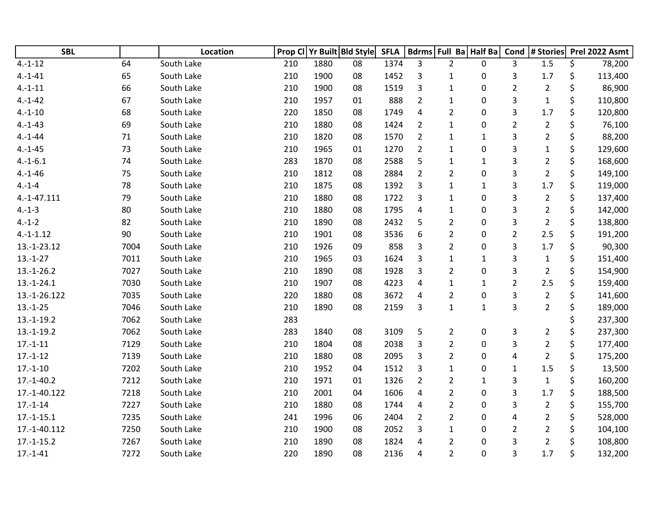| <b>SBL</b>   |      | Location   | Prop CI |      | Yr Built Bld Style | <b>SFLA</b> |                         |                | Bdrms Full Ba Half Ba | Cond           | # Stories      |    | Prel 2022 Asmt |
|--------------|------|------------|---------|------|--------------------|-------------|-------------------------|----------------|-----------------------|----------------|----------------|----|----------------|
| $4.-1-12$    | 64   | South Lake | 210     | 1880 | 08                 | 1374        | 3                       | $\overline{2}$ | 0                     | 3              | 1.5            | \$ | 78,200         |
| $4.-1-41$    | 65   | South Lake | 210     | 1900 | 08                 | 1452        | 3                       | $\mathbf{1}$   | 0                     | 3              | 1.7            | \$ | 113,400        |
| $4.-1-11$    | 66   | South Lake | 210     | 1900 | 08                 | 1519        | 3                       | $\mathbf{1}$   | 0                     | $\overline{2}$ | $\overline{2}$ | \$ | 86,900         |
| $4.-1-42$    | 67   | South Lake | 210     | 1957 | 01                 | 888         | $\overline{2}$          | $\mathbf{1}$   | 0                     | 3              | $\mathbf 1$    | \$ | 110,800        |
| $4.-1-10$    | 68   | South Lake | 220     | 1850 | 08                 | 1749        | $\overline{4}$          | $\overline{2}$ | 0                     | 3              | 1.7            | \$ | 120,800        |
| $4.-1-43$    | 69   | South Lake | 210     | 1880 | 08                 | 1424        | $\overline{2}$          | $\mathbf{1}$   | 0                     | $\overline{2}$ | $\overline{2}$ | \$ | 76,100         |
| $4.-1-44$    | 71   | South Lake | 210     | 1820 | 08                 | 1570        | $\overline{2}$          | $\mathbf{1}$   | $\mathbf{1}$          | 3              | $\overline{2}$ | \$ | 88,200         |
| $4.-1-45$    | 73   | South Lake | 210     | 1965 | 01                 | 1270        | $\overline{2}$          | $\mathbf{1}$   | 0                     | 3              | $\mathbf{1}$   | \$ | 129,600        |
| $4.-1-6.1$   | 74   | South Lake | 283     | 1870 | 08                 | 2588        | 5                       | $\mathbf{1}$   | $\mathbf{1}$          | 3              | $\overline{2}$ | \$ | 168,600        |
| $4.-1-46$    | 75   | South Lake | 210     | 1812 | 08                 | 2884        | $\overline{2}$          | $\overline{2}$ | 0                     | 3              | $\overline{2}$ | \$ | 149,100        |
| $4.-1-4$     | 78   | South Lake | 210     | 1875 | 08                 | 1392        | 3                       | $\mathbf{1}$   | $\mathbf{1}$          | 3              | 1.7            | \$ | 119,000        |
| 4.-1-47.111  | 79   | South Lake | 210     | 1880 | 08                 | 1722        | 3                       | $\mathbf{1}$   | 0                     | 3              | $\overline{2}$ | \$ | 137,400        |
| $4.-1-3$     | 80   | South Lake | 210     | 1880 | 08                 | 1795        | 4                       | $\mathbf{1}$   | 0                     | 3              | $\overline{2}$ | \$ | 142,000        |
| $4.-1-2$     | 82   | South Lake | 210     | 1890 | 08                 | 2432        | 5                       | $\overline{2}$ | 0                     | 3              | $\overline{2}$ | \$ | 138,800        |
| $4.-1-1.12$  | 90   | South Lake | 210     | 1901 | 08                 | 3536        | 6                       | $\overline{2}$ | 0                     | $\overline{2}$ | 2.5            | \$ | 191,200        |
| 13.-1-23.12  | 7004 | South Lake | 210     | 1926 | 09                 | 858         | 3                       | $\overline{2}$ | 0                     | 3              | 1.7            | \$ | 90,300         |
| $13.-1-27$   | 7011 | South Lake | 210     | 1965 | 03                 | 1624        | 3                       | $\mathbf{1}$   | $\mathbf{1}$          | 3              | $\mathbf{1}$   | \$ | 151,400        |
| $13.-1-26.2$ | 7027 | South Lake | 210     | 1890 | 08                 | 1928        | 3                       | $\overline{2}$ | 0                     | 3              | $\overline{2}$ | \$ | 154,900        |
| $13.-1-24.1$ | 7030 | South Lake | 210     | 1907 | 08                 | 4223        | $\overline{\mathbf{4}}$ | $\mathbf{1}$   | $\mathbf{1}$          | $\overline{2}$ | 2.5            | \$ | 159,400        |
| 13.-1-26.122 | 7035 | South Lake | 220     | 1880 | 08                 | 3672        | 4                       | $\overline{2}$ | 0                     | 3              | $\overline{2}$ | \$ | 141,600        |
| $13.-1-25$   | 7046 | South Lake | 210     | 1890 | 08                 | 2159        | 3                       | $\mathbf{1}$   | $\mathbf{1}$          | 3              | $\overline{2}$ | \$ | 189,000        |
| $13.-1-19.2$ | 7062 | South Lake | 283     |      |                    |             |                         |                |                       |                |                |    | 237,300        |
| $13.-1-19.2$ | 7062 | South Lake | 283     | 1840 | 08                 | 3109        | 5                       | $\overline{2}$ | 0                     | 3              | $\overline{2}$ | \$ | 237,300        |
| $17.-1-11$   | 7129 | South Lake | 210     | 1804 | 08                 | 2038        | 3                       | $\overline{2}$ | $\mathbf 0$           | 3              | $\overline{2}$ | \$ | 177,400        |
| $17.-1-12$   | 7139 | South Lake | 210     | 1880 | 08                 | 2095        | 3                       | $\overline{2}$ | 0                     | 4              | $\overline{2}$ | \$ | 175,200        |
| $17.-1-10$   | 7202 | South Lake | 210     | 1952 | 04                 | 1512        | 3                       | $\mathbf{1}$   | 0                     | $\mathbf 1$    | 1.5            | \$ | 13,500         |
| $17.-1-40.2$ | 7212 | South Lake | 210     | 1971 | 01                 | 1326        | $\overline{2}$          | $\overline{2}$ | $\mathbf{1}$          | 3              | $\mathbf 1$    | \$ | 160,200        |
| 17.-1-40.122 | 7218 | South Lake | 210     | 2001 | 04                 | 1606        | 4                       | $\overline{2}$ | 0                     | 3              | 1.7            | \$ | 188,500        |
| $17.-1-14$   | 7227 | South Lake | 210     | 1880 | 08                 | 1744        | $\overline{4}$          | $\overline{2}$ | 0                     | 3              | $\overline{2}$ | \$ | 155,700        |
| $17.-1-15.1$ | 7235 | South Lake | 241     | 1996 | 06                 | 2404        | $\overline{2}$          | $\overline{2}$ | 0                     | 4              | $\overline{2}$ | \$ | 528,000        |
| 17.-1-40.112 | 7250 | South Lake | 210     | 1900 | 08                 | 2052        | 3                       | $\mathbf{1}$   | 0                     | $\overline{2}$ | $\overline{2}$ | \$ | 104,100        |
| $17.-1-15.2$ | 7267 | South Lake | 210     | 1890 | 08                 | 1824        | 4                       | $\overline{2}$ | 0                     | 3              | $\overline{2}$ | Ś  | 108,800        |
| $17.-1-41$   | 7272 | South Lake | 220     | 1890 | 08                 | 2136        | 4                       | $\overline{2}$ | 0                     | 3              | 1.7            | \$ | 132,200        |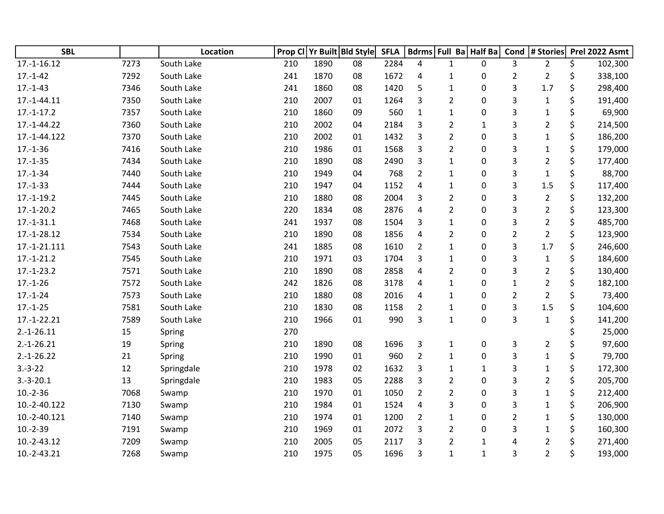| <b>SBL</b>    |      | Location   |     |      | Prop CI Yr Built Bld Style | <b>SFLA</b> |                | Bdrms Full Ba Half Ba |              | Cond           | $ $ # Stories $ $ | Prel 2022 Asmt |
|---------------|------|------------|-----|------|----------------------------|-------------|----------------|-----------------------|--------------|----------------|-------------------|----------------|
| $17.-1-16.12$ | 7273 | South Lake | 210 | 1890 | 08                         | 2284        | 4              | $\mathbf{1}$          | $\mathbf{0}$ | 3              | $\overline{2}$    | \$<br>102,300  |
| $17.-1-42$    | 7292 | South Lake | 241 | 1870 | 08                         | 1672        | 4              | $\mathbf{1}$          | 0            | $\overline{2}$ | $\overline{2}$    | \$<br>338,100  |
| $17.-1-43$    | 7346 | South Lake | 241 | 1860 | 08                         | 1420        | 5              | $\mathbf{1}$          | $\mathbf 0$  | 3              | 1.7               | \$<br>298,400  |
| 17.-1-44.11   | 7350 | South Lake | 210 | 2007 | 01                         | 1264        | 3              | $\overline{2}$        | 0            | 3              | $\mathbf{1}$      | \$<br>191,400  |
| $17.-1-17.2$  | 7357 | South Lake | 210 | 1860 | 09                         | 560         | $\mathbf{1}$   | $\mathbf{1}$          | 0            | 3              | $\mathbf{1}$      | \$<br>69,900   |
| 17.-1-44.22   | 7360 | South Lake | 210 | 2002 | 04                         | 2184        | 3              | $\overline{2}$        | $\mathbf{1}$ | 3              | $\overline{2}$    | \$<br>214,500  |
| 17.-1-44.122  | 7370 | South Lake | 210 | 2002 | 01                         | 1432        | 3              | $\overline{2}$        | 0            | 3              | $\mathbf{1}$      | \$<br>186,200  |
| $17.-1-36$    | 7416 | South Lake | 210 | 1986 | 01                         | 1568        | 3              | $\overline{2}$        | $\mathbf 0$  | 3              | $\mathbf{1}$      | \$<br>179,000  |
| $17.-1-35$    | 7434 | South Lake | 210 | 1890 | 08                         | 2490        | 3              | $\mathbf{1}$          | 0            | 3              | $\overline{2}$    | \$<br>177,400  |
| $17.-1-34$    | 7440 | South Lake | 210 | 1949 | 04                         | 768         | $\overline{2}$ | $\mathbf{1}$          | 0            | 3              | $\mathbf{1}$      | \$<br>88,700   |
| $17.-1-33$    | 7444 | South Lake | 210 | 1947 | 04                         | 1152        | 4              | $\mathbf{1}$          | 0            | 3              | 1.5               | \$<br>117,400  |
| $17.-1-19.2$  | 7445 | South Lake | 210 | 1880 | 08                         | 2004        | 3              | $\overline{2}$        | 0            | 3              | $\overline{2}$    | \$<br>132,200  |
| $17.-1-20.2$  | 7465 | South Lake | 220 | 1834 | 08                         | 2876        | 4              | $\overline{2}$        | $\mathbf 0$  | 3              | $\overline{2}$    | \$<br>123,300  |
| $17.-1-31.1$  | 7468 | South Lake | 241 | 1937 | 08                         | 1504        | 3              | $\mathbf{1}$          | $\pmb{0}$    | 3              | $\overline{2}$    | \$<br>485,700  |
| 17.-1-28.12   | 7534 | South Lake | 210 | 1890 | 08                         | 1856        | 4              | $\overline{2}$        | 0            | $\overline{2}$ | $\overline{2}$    | \$<br>123,900  |
| 17.-1-21.111  | 7543 | South Lake | 241 | 1885 | 08                         | 1610        | $\overline{2}$ | 1                     | 0            | 3              | 1.7               | \$<br>246,600  |
| $17.-1-21.2$  | 7545 | South Lake | 210 | 1971 | 03                         | 1704        | 3              | $\mathbf{1}$          | 0            | 3              | $\mathbf{1}$      | \$<br>184,600  |
| $17.-1-23.2$  | 7571 | South Lake | 210 | 1890 | 08                         | 2858        | 4              | $\overline{2}$        | $\pmb{0}$    | 3              | $\overline{2}$    | \$<br>130,400  |
| $17.-1-26$    | 7572 | South Lake | 242 | 1826 | 08                         | 3178        | 4              | $\mathbf{1}$          | 0            | $\mathbf{1}$   | $\overline{2}$    | \$<br>182,100  |
| $17.-1-24$    | 7573 | South Lake | 210 | 1880 | 08                         | 2016        | 4              | $\mathbf{1}$          | $\pmb{0}$    | $\overline{2}$ | $\overline{2}$    | \$<br>73,400   |
| $17.-1-25$    | 7581 | South Lake | 210 | 1830 | 08                         | 1158        | $\overline{2}$ | 1                     | 0            | 3              | 1.5               | \$<br>104,600  |
| $17.-1-22.21$ | 7589 | South Lake | 210 | 1966 | 01                         | 990         | 3              | $\mathbf{1}$          | 0            | 3              | $\mathbf{1}$      | \$<br>141,200  |
| $2.-1-26.11$  | 15   | Spring     | 270 |      |                            |             |                |                       |              |                |                   | 25,000         |
| $2.-1-26.21$  | 19   | Spring     | 210 | 1890 | 08                         | 1696        | 3              | $\mathbf{1}$          | $\pmb{0}$    | 3              | $\overline{2}$    | 97,600         |
| $2.-1-26.22$  | 21   | Spring     | 210 | 1990 | 01                         | 960         | $\overline{2}$ | $\mathbf{1}$          | $\mathbf 0$  | 3              | $\mathbf 1$       | \$<br>79,700   |
| $3.-3-22$     | 12   | Springdale | 210 | 1978 | 02                         | 1632        | 3              | $\mathbf{1}$          | $\mathbf{1}$ | 3              | $\mathbf{1}$      | \$<br>172,300  |
| $3.-3-20.1$   | 13   | Springdale | 210 | 1983 | 05                         | 2288        | 3              | $\overline{2}$        | 0            | 3              | $\overline{2}$    | \$<br>205,700  |
| $10.-2-36$    | 7068 | Swamp      | 210 | 1970 | 01                         | 1050        | $\overline{2}$ | $\overline{2}$        | 0            | 3              | $\mathbf{1}$      | \$<br>212,400  |
| 10.-2-40.122  | 7130 | Swamp      | 210 | 1984 | 01                         | 1524        | $\overline{4}$ | 3                     | $\pmb{0}$    | 3              | $\mathbf{1}$      | \$<br>206,900  |
| 10.-2-40.121  | 7140 | Swamp      | 210 | 1974 | 01                         | 1200        | $\overline{2}$ | $\mathbf{1}$          | 0            | $\overline{2}$ | $\mathbf{1}$      | \$<br>130,000  |
| $10.-2-39$    | 7191 | Swamp      | 210 | 1969 | 01                         | 2072        | 3              | $\overline{2}$        | 0            | 3              | 1                 | \$<br>160,300  |
| 10.-2-43.12   | 7209 | Swamp      | 210 | 2005 | 05                         | 2117        | 3              | 2                     | 1            | 4              | 2                 | 271,400        |
| 10.-2-43.21   | 7268 | Swamp      | 210 | 1975 | 05                         | 1696        | 3              | $\mathbf{1}$          | $\mathbf{1}$ | 3              | $\overline{2}$    | \$<br>193,000  |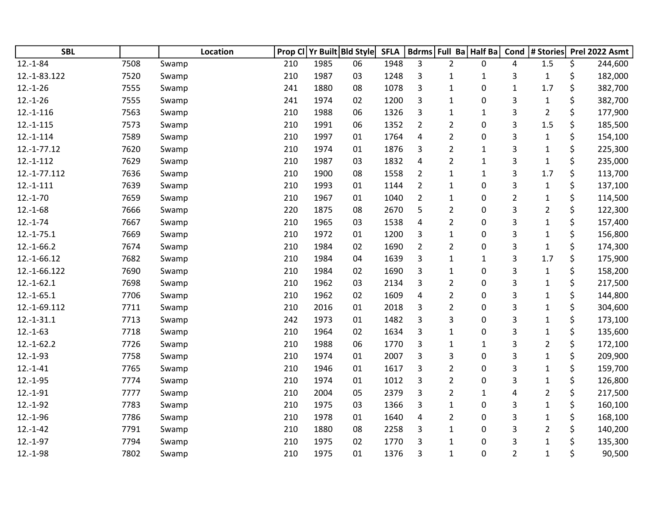| <b>SBL</b>    |      |       | Location | Prop CI |      | Yr Built Bld Style | <b>SFLA</b> |                         |                | Bdrms Full Ba Half Ba | Cond           | # Stories      | Prel 2022 Asmt |
|---------------|------|-------|----------|---------|------|--------------------|-------------|-------------------------|----------------|-----------------------|----------------|----------------|----------------|
| $12.-1-84$    | 7508 | Swamp |          | 210     | 1985 | 06                 | 1948        | 3                       | $\overline{2}$ | 0                     | 4              | 1.5            | \$<br>244,600  |
| 12.-1-83.122  | 7520 | Swamp |          | 210     | 1987 | 03                 | 1248        | 3                       | $\mathbf{1}$   | 1                     | 3              | $\mathbf{1}$   | \$<br>182,000  |
| $12.-1-26$    | 7555 | Swamp |          | 241     | 1880 | 08                 | 1078        | 3                       | $\mathbf{1}$   | 0                     | $\mathbf{1}$   | 1.7            | \$<br>382,700  |
| $12.-1-26$    | 7555 | Swamp |          | 241     | 1974 | 02                 | 1200        | 3                       | $\mathbf{1}$   | 0                     | 3              | $\mathbf{1}$   | \$<br>382,700  |
| $12.-1-116$   | 7563 | Swamp |          | 210     | 1988 | 06                 | 1326        | 3                       | $\mathbf{1}$   | 1                     | 3              | $\overline{2}$ | \$<br>177,900  |
| $12.-1-115$   | 7573 | Swamp |          | 210     | 1991 | 06                 | 1352        | $\overline{2}$          | 2              | 0                     | 3              | 1.5            | \$<br>185,500  |
| $12.-1-114$   | 7589 | Swamp |          | 210     | 1997 | 01                 | 1764        | 4                       | $\overline{2}$ | 0                     | 3              | $\mathbf 1$    | \$<br>154,100  |
| $12.-1-77.12$ | 7620 | Swamp |          | 210     | 1974 | 01                 | 1876        | 3                       | $\overline{2}$ | 1                     | 3              | $\mathbf 1$    | \$<br>225,300  |
| $12.-1-112$   | 7629 | Swamp |          | 210     | 1987 | 03                 | 1832        | $\overline{\mathbf{4}}$ | $\overline{2}$ | $\mathbf 1$           | 3              | $\mathbf 1$    | \$<br>235,000  |
| 12.-1-77.112  | 7636 | Swamp |          | 210     | 1900 | 08                 | 1558        | $\overline{2}$          | $\mathbf{1}$   | $\mathbf{1}$          | 3              | 1.7            | \$<br>113,700  |
| $12.-1-111$   | 7639 | Swamp |          | 210     | 1993 | 01                 | 1144        | $\overline{2}$          | $\mathbf{1}$   | 0                     | 3              | $\mathbf 1$    | \$<br>137,100  |
| $12.-1-70$    | 7659 | Swamp |          | 210     | 1967 | 01                 | 1040        | $\overline{2}$          | 1              | 0                     | $\overline{2}$ | 1              | \$<br>114,500  |
| $12.-1-68$    | 7666 | Swamp |          | 220     | 1875 | 08                 | 2670        | 5                       | $\overline{2}$ | 0                     | 3              | $\overline{2}$ | \$<br>122,300  |
| $12.-1-74$    | 7667 | Swamp |          | 210     | 1965 | 03                 | 1538        | $\overline{\mathbf{4}}$ | $\overline{2}$ | 0                     | 3              | $\mathbf 1$    | \$<br>157,400  |
| $12.-1-75.1$  | 7669 | Swamp |          | 210     | 1972 | 01                 | 1200        | 3                       | $\mathbf{1}$   | 0                     | 3              | $\mathbf 1$    | \$<br>156,800  |
| $12.-1-66.2$  | 7674 | Swamp |          | 210     | 1984 | 02                 | 1690        | $\overline{2}$          | $\overline{2}$ | 0                     | 3              | $\mathbf 1$    | \$<br>174,300  |
| 12.-1-66.12   | 7682 | Swamp |          | 210     | 1984 | 04                 | 1639        | 3                       | $\mathbf{1}$   | $\mathbf{1}$          | 3              | 1.7            | \$<br>175,900  |
| 12.-1-66.122  | 7690 | Swamp |          | 210     | 1984 | 02                 | 1690        | 3                       | $\mathbf{1}$   | 0                     | 3              | $\mathbf 1$    | \$<br>158,200  |
| $12.-1-62.1$  | 7698 | Swamp |          | 210     | 1962 | 03                 | 2134        | 3                       | $\overline{2}$ | 0                     | 3              | $\mathbf 1$    | \$<br>217,500  |
| $12.-1-65.1$  | 7706 | Swamp |          | 210     | 1962 | 02                 | 1609        | $\overline{4}$          | $\overline{2}$ | 0                     | 3              | $\mathbf 1$    | \$<br>144,800  |
| 12.-1-69.112  | 7711 | Swamp |          | 210     | 2016 | 01                 | 2018        | 3                       | $\overline{2}$ | 0                     | 3              | $\mathbf 1$    | \$<br>304,600  |
| $12.-1-31.1$  | 7713 | Swamp |          | 242     | 1973 | 01                 | 1482        | 3                       | 3              | 0                     | 3              | 1              | \$<br>173,100  |
| $12.-1-63$    | 7718 | Swamp |          | 210     | 1964 | 02                 | 1634        | 3                       | $\mathbf{1}$   | 0                     | 3              | $\mathbf 1$    | \$<br>135,600  |
| $12.-1-62.2$  | 7726 | Swamp |          | 210     | 1988 | 06                 | 1770        | 3                       | $\mathbf{1}$   | $\mathbf 1$           | 3              | $\overline{2}$ | \$<br>172,100  |
| $12.-1-93$    | 7758 | Swamp |          | 210     | 1974 | 01                 | 2007        | 3                       | 3              | 0                     | 3              | $\mathbf 1$    | \$<br>209,900  |
| $12.-1-41$    | 7765 | Swamp |          | 210     | 1946 | 01                 | 1617        | 3                       | $\overline{2}$ | 0                     | 3              | $\mathbf 1$    | \$<br>159,700  |
| $12.-1-95$    | 7774 | Swamp |          | 210     | 1974 | 01                 | 1012        | 3                       | $\overline{2}$ | 0                     | 3              | 1              | \$<br>126,800  |
| $12.-1-91$    | 7777 | Swamp |          | 210     | 2004 | 05                 | 2379        | 3                       | $\overline{2}$ | 1                     | 4              | $\overline{2}$ | \$<br>217,500  |
| $12.-1-92$    | 7783 | Swamp |          | 210     | 1975 | 03                 | 1366        | 3                       | $\mathbf{1}$   | 0                     | 3              | $\mathbf{1}$   | \$<br>160,100  |
| $12.-1-96$    | 7786 | Swamp |          | 210     | 1978 | 01                 | 1640        | $\overline{4}$          | $\overline{2}$ | 0                     | 3              | $\mathbf 1$    | \$<br>168,100  |
| $12.-1-42$    | 7791 | Swamp |          | 210     | 1880 | 08                 | 2258        | 3                       | $\mathbf{1}$   | 0                     | 3              | $\overline{2}$ | \$<br>140,200  |
| $12.-1-97$    | 7794 | Swamp |          | 210     | 1975 | 02                 | 1770        | 3                       | 1              | 0                     | 3              | $\mathbf{1}$   | \$<br>135,300  |
| $12.-1-98$    | 7802 | Swamp |          | 210     | 1975 | 01                 | 1376        | 3                       | $\mathbf{1}$   | 0                     | $\overline{a}$ | $\mathbf 1$    | \$<br>90,500   |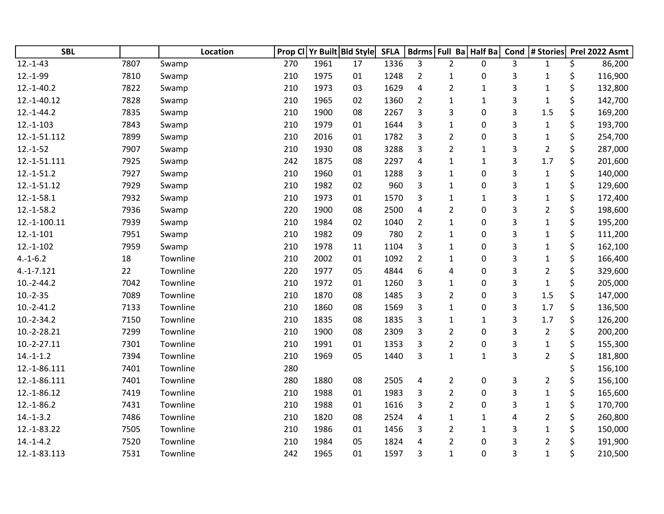| <b>SBL</b>    |      | Location | <b>Prop Cl</b> |      | Yr Built Bld Style | <b>SFLA</b> | <b>Bdrms</b>   | Full Ba Half Ba |              | Cond | # Stories      | Prel 2022 Asmt |
|---------------|------|----------|----------------|------|--------------------|-------------|----------------|-----------------|--------------|------|----------------|----------------|
| $12.-1-43$    | 7807 | Swamp    | 270            | 1961 | 17                 | 1336        | 3              | $\overline{2}$  | $\mathbf{0}$ | 3    | $\mathbf{1}$   | \$<br>86,200   |
| $12.-1-99$    | 7810 | Swamp    | 210            | 1975 | 01                 | 1248        | $\overline{2}$ | $\mathbf{1}$    | 0            | 3    | 1              | \$<br>116,900  |
| $12.-1-40.2$  | 7822 | Swamp    | 210            | 1973 | 03                 | 1629        | 4              | $\overline{2}$  | $\mathbf 1$  | 3    | $\mathbf 1$    | \$<br>132,800  |
| 12.-1-40.12   | 7828 | Swamp    | 210            | 1965 | 02                 | 1360        | $\overline{2}$ | $\mathbf 1$     | $\mathbf 1$  | 3    | $\mathbf 1$    | \$<br>142,700  |
| $12.-1-44.2$  | 7835 | Swamp    | 210            | 1900 | 08                 | 2267        | 3              | 3               | $\mathbf 0$  | 3    | 1.5            | \$<br>169,200  |
| $12.-1-103$   | 7843 | Swamp    | 210            | 1979 | 01                 | 1644        | 3              | $\mathbf{1}$    | $\mathbf 0$  | 3    | $\mathbf{1}$   | \$<br>193,700  |
| 12.-1-51.112  | 7899 | Swamp    | 210            | 2016 | 01                 | 1782        | 3              | $\overline{2}$  | 0            | 3    | $\mathbf 1$    | \$<br>254,700  |
| $12.-1-52$    | 7907 | Swamp    | 210            | 1930 | 08                 | 3288        | 3              | $\overline{2}$  | $\mathbf 1$  | 3    | $\overline{2}$ | \$<br>287,000  |
| 12.-1-51.111  | 7925 | Swamp    | 242            | 1875 | 08                 | 2297        | 4              | $\mathbf 1$     | $1\,$        | 3    | 1.7            | \$<br>201,600  |
| $12.-1-51.2$  | 7927 | Swamp    | 210            | 1960 | 01                 | 1288        | 3              | $\mathbf{1}$    | $\mathbf 0$  | 3    | $\mathbf{1}$   | \$<br>140,000  |
| 12.-1-51.12   | 7929 | Swamp    | 210            | 1982 | 02                 | 960         | 3              | $\mathbf{1}$    | $\mathbf 0$  | 3    | $\mathbf 1$    | \$<br>129,600  |
| $12.-1-58.1$  | 7932 | Swamp    | 210            | 1973 | 01                 | 1570        | 3              | $\mathbf{1}$    | $\mathbf{1}$ | 3    | $\mathbf 1$    | \$<br>172,400  |
| $12.-1-58.2$  | 7936 | Swamp    | 220            | 1900 | 08                 | 2500        | 4              | $\overline{2}$  | $\pmb{0}$    | 3    | $\overline{2}$ | \$<br>198,600  |
| 12.-1-100.11  | 7939 | Swamp    | 210            | 1984 | 02                 | 1040        | $\overline{2}$ | $\mathbf{1}$    | $\mathbf 0$  | 3    | $\mathbf 1$    | \$<br>195,200  |
| $12.-1-101$   | 7951 | Swamp    | 210            | 1982 | 09                 | 780         | $\overline{2}$ | $\mathbf{1}$    | 0            | 3    | $\mathbf 1$    | \$<br>111,200  |
| $12.-1-102$   | 7959 | Swamp    | 210            | 1978 | 11                 | 1104        | 3              | $\mathbf{1}$    | $\mathbf 0$  | 3    | $\mathbf 1$    | \$<br>162,100  |
| $4.-1-6.2$    | 18   | Townline | 210            | 2002 | 01                 | 1092        | $\overline{2}$ | $\mathbf{1}$    | $\mathbf 0$  | 3    | $\mathbf{1}$   | \$<br>166,400  |
| $4.-1-7.121$  | 22   | Townline | 220            | 1977 | 05                 | 4844        | 6              | 4               | $\mathbf 0$  | 3    | $\overline{2}$ | \$<br>329,600  |
| $10.-2-44.2$  | 7042 | Townline | 210            | 1972 | 01                 | 1260        | 3              | $\mathbf 1$     | $\mathbf 0$  | 3    | $\mathbf 1$    | \$<br>205,000  |
| $10.-2-35$    | 7089 | Townline | 210            | 1870 | 08                 | 1485        | 3              | $\overline{2}$  | $\mathbf 0$  | 3    | 1.5            | \$<br>147,000  |
| $10.-2-41.2$  | 7133 | Townline | 210            | 1860 | 08                 | 1569        | 3              | $\mathbf{1}$    | 0            | 3    | 1.7            | \$<br>136,500  |
| $10.-2-34.2$  | 7150 | Townline | 210            | 1835 | 08                 | 1835        | 3              | $\mathbf{1}$    | $\mathbf{1}$ | 3    | 1.7            | \$<br>126,200  |
| 10.-2-28.21   | 7299 | Townline | 210            | 1900 | 08                 | 2309        | 3              | $\overline{2}$  | $\mathbf 0$  | 3    | $\overline{2}$ | \$<br>200,200  |
| $10.-2-27.11$ | 7301 | Townline | 210            | 1991 | 01                 | 1353        | 3              | $\overline{2}$  | $\mathbf 0$  | 3    | $\mathbf{1}$   | \$<br>155,300  |
| $14.-1-1.2$   | 7394 | Townline | 210            | 1969 | 05                 | 1440        | 3              | $\mathbf{1}$    | $\mathbf{1}$ | 3    | $\overline{2}$ | \$<br>181,800  |
| 12.-1-86.111  | 7401 | Townline | 280            |      |                    |             |                |                 |              |      |                | 156,100        |
| 12.-1-86.111  | 7401 | Townline | 280            | 1880 | 08                 | 2505        | 4              | $\overline{2}$  | 0            | 3    | $\overline{2}$ | \$<br>156,100  |
| 12.-1-86.12   | 7419 | Townline | 210            | 1988 | 01                 | 1983        | 3              | $\overline{2}$  | $\mathbf 0$  | 3    | $\mathbf{1}$   | \$<br>165,600  |
| $12.-1-86.2$  | 7431 | Townline | 210            | 1988 | 01                 | 1616        | 3              | $\overline{2}$  | $\pmb{0}$    | 3    | $\mathbf{1}$   | \$<br>170,700  |
| $14.-1-3.2$   | 7486 | Townline | 210            | 1820 | 08                 | 2524        | 4              | $\mathbf{1}$    | 1            | 4    | $\overline{2}$ | \$<br>260,800  |
| 12.-1-83.22   | 7505 | Townline | 210            | 1986 | 01                 | 1456        | 3              | $\overline{2}$  | $\mathbf{1}$ | 3    | $\mathbf{1}$   | \$<br>150,000  |
| $14.-1-4.2$   | 7520 | Townline | 210            | 1984 | 05                 | 1824        | 4              | 2               | $\mathbf 0$  | 3    | 2              | \$<br>191,900  |
| 12.-1-83.113  | 7531 | Townline | 242            | 1965 | 01                 | 1597        | 3              | $\mathbf{1}$    | $\mathbf 0$  | 3    | $\mathbf 1$    | \$<br>210,500  |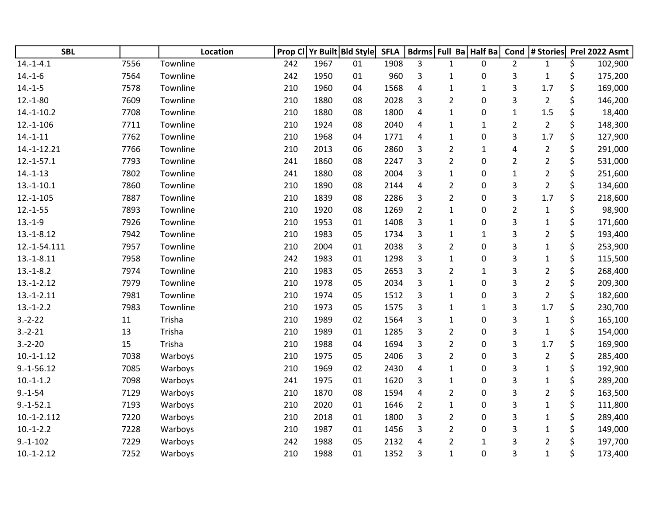| <b>SBL</b>     |      | Location | Prop Cl | Yr Built Bld Style |    | <b>SFLA</b> |                |                | Bdrms Full Ba Half Ba | Cond           | # Stories               | Prel 2022 Asmt |
|----------------|------|----------|---------|--------------------|----|-------------|----------------|----------------|-----------------------|----------------|-------------------------|----------------|
| $14.-1-4.1$    | 7556 | Townline | 242     | 1967               | 01 | 1908        | 3              | $\mathbf{1}$   | 0                     | $\overline{2}$ | $\mathbf{1}$            | \$<br>102,900  |
| $14.-1-6$      | 7564 | Townline | 242     | 1950               | 01 | 960         | 3              | $\mathbf{1}$   | 0                     | 3              | $\mathbf{1}$            | \$<br>175,200  |
| $14.-1-5$      | 7578 | Townline | 210     | 1960               | 04 | 1568        | 4              | $\mathbf{1}$   | $\mathbf{1}$          | 3              | 1.7                     | \$<br>169,000  |
| $12.-1-80$     | 7609 | Townline | 210     | 1880               | 08 | 2028        | 3              | $\overline{2}$ | 0                     | 3              | $\overline{2}$          | \$<br>146,200  |
| $14.-1-10.2$   | 7708 | Townline | 210     | 1880               | 08 | 1800        | $\overline{4}$ | $\mathbf{1}$   | 0                     | $\mathbf 1$    | 1.5                     | \$<br>18,400   |
| $12.-1-106$    | 7711 | Townline | 210     | 1924               | 08 | 2040        | 4              | $\mathbf{1}$   | $\mathbf{1}$          | $\overline{2}$ | $\overline{2}$          | \$<br>148,300  |
| $14.-1-11$     | 7762 | Townline | 210     | 1968               | 04 | 1771        | 4              | $\mathbf{1}$   | 0                     | 3              | 1.7                     | \$<br>127,900  |
| 14.-1-12.21    | 7766 | Townline | 210     | 2013               | 06 | 2860        | 3              | $\overline{2}$ | $\mathbf{1}$          | 4              | $\overline{2}$          | \$<br>291,000  |
| $12.-1-57.1$   | 7793 | Townline | 241     | 1860               | 08 | 2247        | 3              | $\overline{2}$ | 0                     | $\overline{2}$ | $\overline{2}$          | \$<br>531,000  |
| $14.-1-13$     | 7802 | Townline | 241     | 1880               | 08 | 2004        | 3              | $\mathbf{1}$   | 0                     | $\mathbf 1$    | $\overline{2}$          | \$<br>251,600  |
| $13.-1-10.1$   | 7860 | Townline | 210     | 1890               | 08 | 2144        | $\overline{4}$ | $\overline{2}$ | 0                     | 3              | $\overline{2}$          | \$<br>134,600  |
| $12.-1-105$    | 7887 | Townline | 210     | 1839               | 08 | 2286        | 3              | $\overline{2}$ | 0                     | 3              | 1.7                     | \$<br>218,600  |
| $12.-1-55$     | 7893 | Townline | 210     | 1920               | 08 | 1269        | $\overline{2}$ | $\mathbf{1}$   | 0                     | $\overline{2}$ | $\mathbf 1$             | \$<br>98,900   |
| $13.-1-9$      | 7926 | Townline | 210     | 1953               | 01 | 1408        | 3              | $\mathbf{1}$   | 0                     | 3              | $\mathbf 1$             | \$<br>171,600  |
| $13.-1-8.12$   | 7942 | Townline | 210     | 1983               | 05 | 1734        | 3              | 1              | 1                     | 3              | $\overline{2}$          | \$<br>193,400  |
| 12.-1-54.111   | 7957 | Townline | 210     | 2004               | 01 | 2038        | 3              | $\overline{2}$ | 0                     | 3              | $\mathbf 1$             | \$<br>253,900  |
| $13.-1-8.11$   | 7958 | Townline | 242     | 1983               | 01 | 1298        | 3              | $\mathbf{1}$   | 0                     | 3              | $\mathbf{1}$            | \$<br>115,500  |
| $13.-1-8.2$    | 7974 | Townline | 210     | 1983               | 05 | 2653        | 3              | $\overline{2}$ | $\mathbf{1}$          | 3              | $\overline{\mathbf{c}}$ | \$<br>268,400  |
| $13.-1-2.12$   | 7979 | Townline | 210     | 1978               | 05 | 2034        | 3              | 1              | 0                     | 3              | $\overline{2}$          | \$<br>209,300  |
| $13.-1-2.11$   | 7981 | Townline | 210     | 1974               | 05 | 1512        | 3              | $\mathbf{1}$   | 0                     | 3              | $\overline{2}$          | \$<br>182,600  |
| $13.-1-2.2$    | 7983 | Townline | 210     | 1973               | 05 | 1575        | 3              | 1              | $\mathbf{1}$          | 3              | 1.7                     | \$<br>230,700  |
| $3.-2-.22$     | 11   | Trisha   | 210     | 1989               | 02 | 1564        | 3              | $\mathbf{1}$   | 0                     | 3              | $\mathbf{1}$            | \$<br>165,100  |
| $3.-2-21$      | 13   | Trisha   | 210     | 1989               | 01 | 1285        | 3              | $\overline{2}$ | 0                     | 3              | $\mathbf{1}$            | \$<br>154,000  |
| $3.-2-20$      | 15   | Trisha   | 210     | 1988               | 04 | 1694        | 3              | $\overline{2}$ | 0                     | 3              | 1.7                     | \$<br>169,900  |
| $10.-1-.1.12$  | 7038 | Warboys  | 210     | 1975               | 05 | 2406        | 3              | $\overline{2}$ | 0                     | 3              | $\overline{2}$          | \$<br>285,400  |
| $9.-1-56.12$   | 7085 | Warboys  | 210     | 1969               | 02 | 2430        | 4              | $\mathbf{1}$   | 0                     | 3              | $\mathbf 1$             | \$<br>192,900  |
| $10.-1-1.2$    | 7098 | Warboys  | 241     | 1975               | 01 | 1620        | 3              | 1              | 0                     | 3              | $\mathbf{1}$            | \$<br>289,200  |
| $9.-1-54$      | 7129 | Warboys  | 210     | 1870               | 08 | 1594        | 4              | $\overline{2}$ | 0                     | 3              | $\overline{2}$          | \$<br>163,500  |
| $9.-1-52.1$    | 7193 | Warboys  | 210     | 2020               | 01 | 1646        | $\overline{2}$ | $\mathbf{1}$   | 0                     | 3              | $\mathbf 1$             | \$<br>111,800  |
| $10.-1-.2.112$ | 7220 | Warboys  | 210     | 2018               | 01 | 1800        | 3              | $\overline{2}$ | 0                     | 3              | $\mathbf 1$             | \$<br>289,400  |
| $10.-1-2.2$    | 7228 | Warboys  | 210     | 1987               | 01 | 1456        | 3              | $\overline{2}$ | 0                     | 3              | $\mathbf 1$             | \$<br>149,000  |
| $9.-1-102$     | 7229 | Warboys  | 242     | 1988               | 05 | 2132        | 4              | $\overline{2}$ | $\mathbf{1}$          | 3              | $\overline{2}$          | \$<br>197,700  |
| $10.-1-2.12$   | 7252 | Warboys  | 210     | 1988               | 01 | 1352        | 3              | $\mathbf{1}$   | 0                     | 3              | $\mathbf 1$             | \$<br>173,400  |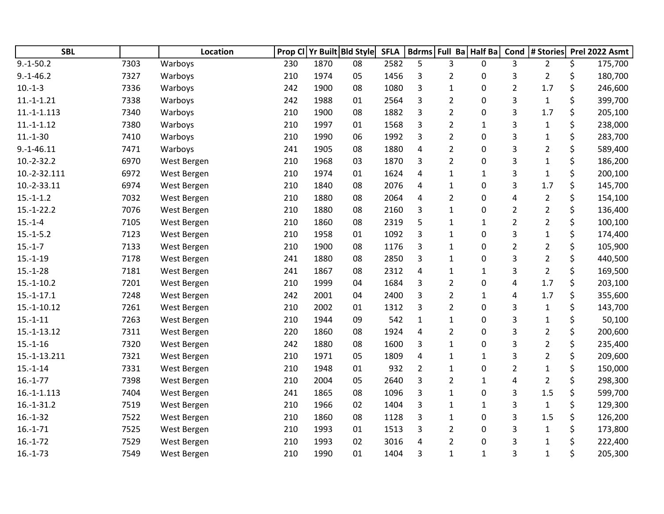| <b>SBL</b>    |      | <b>Location</b> | Prop Cl | Yr Built Bld Style |    | <b>SFLA</b> | <b>Bdrms</b>   | Full Ba Half Ba |              | Cond           | # Stories      | Prel 2022 Asmt |
|---------------|------|-----------------|---------|--------------------|----|-------------|----------------|-----------------|--------------|----------------|----------------|----------------|
| $9.-1-50.2$   | 7303 | Warboys         | 230     | 1870               | 08 | 2582        | 5              | 3               | 0            | 3              | $\overline{2}$ | \$<br>175,700  |
| $9.-1-46.2$   | 7327 | Warboys         | 210     | 1974               | 05 | 1456        | 3              | 2               | 0            | 3              | $\overline{2}$ | \$<br>180,700  |
| $10.-1-3$     | 7336 | Warboys         | 242     | 1900               | 08 | 1080        | 3              | $\mathbf{1}$    | 0            | $\overline{2}$ | 1.7            | \$<br>246,600  |
| $11.-1.-1.21$ | 7338 | Warboys         | 242     | 1988               | 01 | 2564        | 3              | $\overline{2}$  | 0            | 3              | $\mathbf{1}$   | \$<br>399,700  |
| $11.-1-1.113$ | 7340 | Warboys         | 210     | 1900               | 08 | 1882        | 3              | $\overline{2}$  | 0            | 3              | 1.7            | \$<br>205,100  |
| $11.-1-1.12$  | 7380 | Warboys         | 210     | 1997               | 01 | 1568        | 3              | 2               | 1            | 3              | $\mathbf{1}$   | \$<br>238,000  |
| $11.-1-30$    | 7410 | Warboys         | 210     | 1990               | 06 | 1992        | 3              | $\overline{2}$  | 0            | 3              | $\mathbf{1}$   | \$<br>283,700  |
| $9.-1-46.11$  | 7471 | Warboys         | 241     | 1905               | 08 | 1880        | 4              | $\overline{2}$  | 0            | 3              | $\overline{2}$ | \$<br>589,400  |
| $10.-2-32.2$  | 6970 | West Bergen     | 210     | 1968               | 03 | 1870        | 3              | $\overline{2}$  | 0            | 3              | $\mathbf{1}$   | \$<br>186,200  |
| 10.-2-32.111  | 6972 | West Bergen     | 210     | 1974               | 01 | 1624        | 4              | $\mathbf{1}$    | $\mathbf{1}$ | 3              | $\mathbf 1$    | \$<br>200,100  |
| 10.-2-33.11   | 6974 | West Bergen     | 210     | 1840               | 08 | 2076        | 4              | 1               | 0            | 3              | 1.7            | \$<br>145,700  |
| $15.-1-1.2$   | 7032 | West Bergen     | 210     | 1880               | 08 | 2064        | 4              | 2               | 0            | 4              | $\overline{2}$ | \$<br>154,100  |
| $15.-1-22.2$  | 7076 | West Bergen     | 210     | 1880               | 08 | 2160        | 3              | $\mathbf{1}$    | 0            | $\overline{2}$ | $\overline{2}$ | \$<br>136,400  |
| $15.-1-4$     | 7105 | West Bergen     | 210     | 1860               | 08 | 2319        | 5              | $\mathbf{1}$    | $\mathbf{1}$ | $\overline{2}$ | $\overline{2}$ | \$<br>100,100  |
| $15.-1-5.2$   | 7123 | West Bergen     | 210     | 1958               | 01 | 1092        | 3              | $\mathbf{1}$    | 0            | 3              | $\mathbf 1$    | \$<br>174,400  |
| $15.-1-7$     | 7133 | West Bergen     | 210     | 1900               | 08 | 1176        | 3              | $\mathbf{1}$    | 0            | $\overline{2}$ | $\overline{2}$ | \$<br>105,900  |
| $15.-1-19$    | 7178 | West Bergen     | 241     | 1880               | 08 | 2850        | 3              | 1               | 0            | 3              | $\overline{2}$ | \$<br>440,500  |
| $15.-1-28$    | 7181 | West Bergen     | 241     | 1867               | 08 | 2312        | 4              | 1               | $\mathbf{1}$ | 3              | $\overline{2}$ | \$<br>169,500  |
| $15.-1-10.2$  | 7201 | West Bergen     | 210     | 1999               | 04 | 1684        | 3              | $\overline{2}$  | 0            | 4              | 1.7            | \$<br>203,100  |
| $15.-1-17.1$  | 7248 | West Bergen     | 242     | 2001               | 04 | 2400        | 3              | $\overline{2}$  | $\mathbf{1}$ | 4              | 1.7            | \$<br>355,600  |
| 15.-1-10.12   | 7261 | West Bergen     | 210     | 2002               | 01 | 1312        | 3              | $\overline{2}$  | 0            | 3              | $\mathbf{1}$   | \$<br>143,700  |
| $15.-1-11$    | 7263 | West Bergen     | 210     | 1944               | 09 | 542         | $\mathbf{1}$   | 1               | 0            | 3              | $\mathbf{1}$   | \$<br>50,100   |
| $15.-1-13.12$ | 7311 | West Bergen     | 220     | 1860               | 08 | 1924        | 4              | $\overline{2}$  | 0            | 3              | $\overline{2}$ | \$<br>200,600  |
| $15.-1-16$    | 7320 | West Bergen     | 242     | 1880               | 08 | 1600        | 3              | $\mathbf{1}$    | 0            | 3              | $\overline{2}$ | \$<br>235,400  |
| 15.-1-13.211  | 7321 | West Bergen     | 210     | 1971               | 05 | 1809        | 4              | $\mathbf{1}$    | $\mathbf{1}$ | 3              | $\overline{2}$ | \$<br>209,600  |
| $15.-1-14$    | 7331 | West Bergen     | 210     | 1948               | 01 | 932         | $\overline{2}$ | $\mathbf{1}$    | 0            | $\overline{2}$ | $\mathbf{1}$   | \$<br>150,000  |
| $16.-1-77$    | 7398 | West Bergen     | 210     | 2004               | 05 | 2640        | 3              | $\overline{2}$  | 1            | 4              | $\overline{2}$ | \$<br>298,300  |
| $16.-1-1.113$ | 7404 | West Bergen     | 241     | 1865               | 08 | 1096        | 3              | $\mathbf{1}$    | 0            | 3              | 1.5            | \$<br>599,700  |
| $16.-1-31.2$  | 7519 | West Bergen     | 210     | 1966               | 02 | 1404        | 3              | $\mathbf{1}$    | 1            | 3              | $\mathbf{1}$   | \$<br>129,300  |
| $16.-1-32$    | 7522 | West Bergen     | 210     | 1860               | 08 | 1128        | 3              | 1               | 0            | 3              | 1.5            | \$<br>126,200  |
| $16.-1-71$    | 7525 | West Bergen     | 210     | 1993               | 01 | 1513        | 3              | 2               | 0            | 3              | $\mathbf{1}$   | \$<br>173,800  |
| $16.-1-72$    | 7529 | West Bergen     | 210     | 1993               | 02 | 3016        | 4              | $\overline{2}$  | 0            | 3              | 1              | \$<br>222,400  |
| $16.-1-73$    | 7549 | West Bergen     | 210     | 1990               | 01 | 1404        | 3              | $\mathbf{1}$    | $\mathbf{1}$ | 3              | $\mathbf{1}$   | \$<br>205,300  |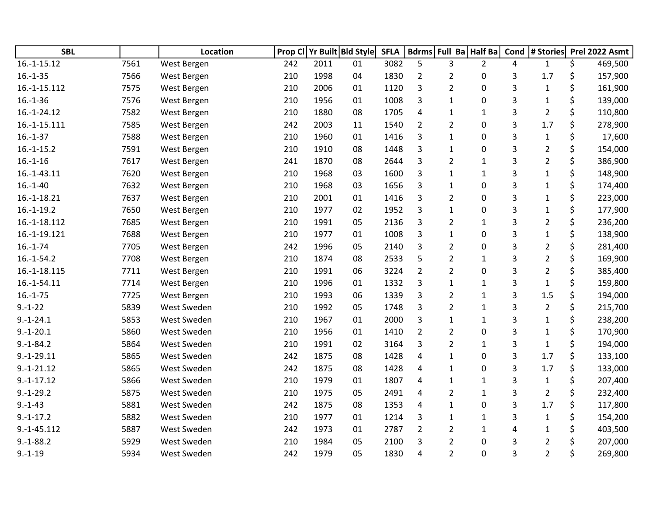| <b>SBL</b>    |      | Location    | Prop Cl |      | Yr Built Bld Style | <b>SFLA</b> | <b>Bdrms</b>   |                | Full Ba Half Ba | Cond | # Stories      | Prel 2022 Asmt |
|---------------|------|-------------|---------|------|--------------------|-------------|----------------|----------------|-----------------|------|----------------|----------------|
| $16.-1-15.12$ | 7561 | West Bergen | 242     | 2011 | 01                 | 3082        | 5              | 3              | $\overline{2}$  | 4    | $\mathbf{1}$   | \$<br>469,500  |
| $16.-1-35$    | 7566 | West Bergen | 210     | 1998 | 04                 | 1830        | $\overline{2}$ | $\overline{2}$ | 0               | 3    | 1.7            | \$<br>157,900  |
| 16.-1-15.112  | 7575 | West Bergen | 210     | 2006 | 01                 | 1120        | 3              | $\overline{2}$ | 0               | 3    | $\mathbf{1}$   | \$<br>161,900  |
| $16.-1-36$    | 7576 | West Bergen | 210     | 1956 | 01                 | 1008        | 3              | $\mathbf{1}$   | 0               | 3    | $\mathbf{1}$   | \$<br>139,000  |
| 16.-1-24.12   | 7582 | West Bergen | 210     | 1880 | 08                 | 1705        | 4              | $\mathbf{1}$   | $\mathbf{1}$    | 3    | $\overline{2}$ | \$<br>110,800  |
| 16.-1-15.111  | 7585 | West Bergen | 242     | 2003 | 11                 | 1540        | $\overline{2}$ | $\overline{2}$ | 0               | 3    | 1.7            | 278,900        |
| $16.-1-37$    | 7588 | West Bergen | 210     | 1960 | 01                 | 1416        | 3              | 1              | 0               | 3    | $\mathbf{1}$   | \$<br>17,600   |
| $16.-1-15.2$  | 7591 | West Bergen | 210     | 1910 | 08                 | 1448        | 3              | $\mathbf{1}$   | 0               | 3    | $\overline{2}$ | \$<br>154,000  |
| $16.-1-16$    | 7617 | West Bergen | 241     | 1870 | 08                 | 2644        | 3              | $\overline{2}$ | $\mathbf{1}$    | 3    | $\overline{2}$ | \$<br>386,900  |
| $16.-1-43.11$ | 7620 | West Bergen | 210     | 1968 | 03                 | 1600        | 3              | $\mathbf{1}$   | $\mathbf{1}$    | 3    | $\mathbf{1}$   | \$<br>148,900  |
| $16.-1-40$    | 7632 | West Bergen | 210     | 1968 | 03                 | 1656        | 3              | $\mathbf{1}$   | 0               | 3    | $\mathbf{1}$   | 174,400        |
| 16.-1-18.21   | 7637 | West Bergen | 210     | 2001 | 01                 | 1416        | 3              | $\overline{2}$ | 0               | 3    | $\mathbf{1}$   | \$<br>223,000  |
| $16.-1-19.2$  | 7650 | West Bergen | 210     | 1977 | 02                 | 1952        | 3              | $\mathbf{1}$   | 0               | 3    | $\mathbf{1}$   | \$<br>177,900  |
| 16.-1-18.112  | 7685 | West Bergen | 210     | 1991 | 05                 | 2136        | 3              | $\overline{2}$ | $\mathbf{1}$    | 3    | $\overline{2}$ | \$<br>236,200  |
| 16.-1-19.121  | 7688 | West Bergen | 210     | 1977 | 01                 | 1008        | 3              | $\mathbf{1}$   | 0               | 3    | $\mathbf{1}$   | \$<br>138,900  |
| $16.-1-74$    | 7705 | West Bergen | 242     | 1996 | 05                 | 2140        | 3              | $\overline{2}$ | 0               | 3    | $\overline{2}$ | 281,400        |
| $16.-1-54.2$  | 7708 | West Bergen | 210     | 1874 | 08                 | 2533        | 5              | $\overline{2}$ | 1               | 3    | $\overline{2}$ | \$<br>169,900  |
| 16.-1-18.115  | 7711 | West Bergen | 210     | 1991 | 06                 | 3224        | $\overline{2}$ | $\overline{2}$ | 0               | 3    | $\overline{2}$ | \$<br>385,400  |
| 16.-1-54.11   | 7714 | West Bergen | 210     | 1996 | 01                 | 1332        | 3              | $\mathbf{1}$   | $\mathbf{1}$    | 3    | $\mathbf{1}$   | \$<br>159,800  |
| $16.-1-75$    | 7725 | West Bergen | 210     | 1993 | 06                 | 1339        | 3              | $\overline{2}$ | $\mathbf{1}$    | 3    | 1.5            | \$<br>194,000  |
| $9.-1-22$     | 5839 | West Sweden | 210     | 1992 | 05                 | 1748        | 3              | $\overline{2}$ | $\mathbf{1}$    | 3    | $\overline{2}$ | 215,700        |
| $9.-1-24.1$   | 5853 | West Sweden | 210     | 1967 | 01                 | 2000        | 3              | $\mathbf{1}$   | $\mathbf{1}$    | 3    | $\mathbf{1}$   | \$<br>238,200  |
| $9.-1-20.1$   | 5860 | West Sweden | 210     | 1956 | 01                 | 1410        | $\overline{2}$ | $\overline{2}$ | 0               | 3    | $\mathbf{1}$   | \$<br>170,900  |
| $9.-1-84.2$   | 5864 | West Sweden | 210     | 1991 | 02                 | 3164        | 3              | $\overline{2}$ | $\mathbf{1}$    | 3    | $\mathbf{1}$   | \$<br>194,000  |
| $9.-1-29.11$  | 5865 | West Sweden | 242     | 1875 | 08                 | 1428        | 4              | $\mathbf{1}$   | 0               | 3    | 1.7            | \$<br>133,100  |
| $9.-1-21.12$  | 5865 | West Sweden | 242     | 1875 | 08                 | 1428        | 4              | $\mathbf{1}$   | $\mathbf{0}$    | 3    | 1.7            | 133,000        |
| $9.-1-17.12$  | 5866 | West Sweden | 210     | 1979 | 01                 | 1807        | 4              | 1              | $\mathbf{1}$    | 3    | $\mathbf{1}$   | \$<br>207,400  |
| $9.-1-29.2$   | 5875 | West Sweden | 210     | 1975 | 05                 | 2491        | 4              | $\overline{2}$ | $\mathbf{1}$    | 3    | $\overline{2}$ | \$<br>232,400  |
| $9.-1-43$     | 5881 | West Sweden | 242     | 1875 | 08                 | 1353        | 4              | $\mathbf{1}$   | 0               | 3    | 1.7            | \$<br>117,800  |
| $9.-1-17.2$   | 5882 | West Sweden | 210     | 1977 | 01                 | 1214        | 3              | $\mathbf{1}$   | $\mathbf{1}$    | 3    | $\mathbf{1}$   | \$<br>154,200  |
| $9.-1-45.112$ | 5887 | West Sweden | 242     | 1973 | 01                 | 2787        | $\overline{2}$ | 2              | $\mathbf{1}$    | 4    | $\mathbf{1}$   | 403,500        |
| $9.-1-88.2$   | 5929 | West Sweden | 210     | 1984 | 05                 | 2100        | 3              | 2              | 0               | 3    | 2              | 207,000        |
| $9. - 1 - 19$ | 5934 | West Sweden | 242     | 1979 | 05                 | 1830        | 4              | $\overline{2}$ | 0               | 3    | $\overline{2}$ | \$<br>269,800  |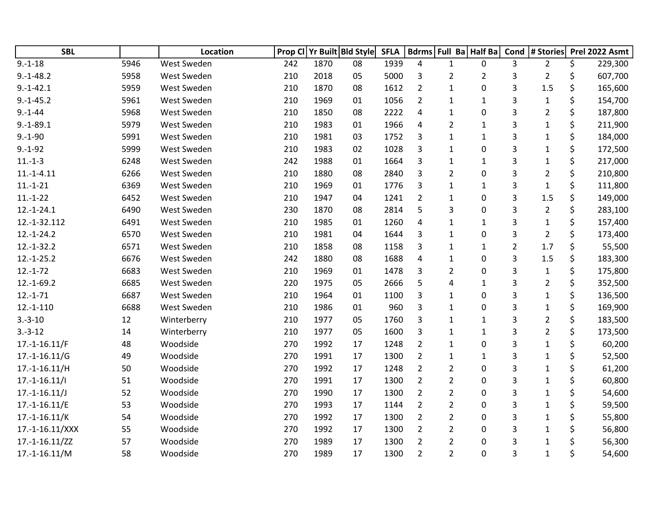| <b>SBL</b>      |      | Location    |     |      | Prop CI Yr Built Bld Style | <b>SFLA</b> |                | Bdrms Full Ba Half Ba |                | Cond           | # Stories      |    | Prel 2022 Asmt |
|-----------------|------|-------------|-----|------|----------------------------|-------------|----------------|-----------------------|----------------|----------------|----------------|----|----------------|
| $9. - 1 - 18$   | 5946 | West Sweden | 242 | 1870 | 08                         | 1939        | 4              | $\mathbf{1}$          | $\mathbf{0}$   | 3              | $\overline{2}$ | \$ | 229,300        |
| $9.-1-48.2$     | 5958 | West Sweden | 210 | 2018 | 05                         | 5000        | 3              | 2                     | $\overline{2}$ | 3              | $\overline{2}$ | \$ | 607,700        |
| $9.-1-42.1$     | 5959 | West Sweden | 210 | 1870 | 08                         | 1612        | $\overline{2}$ | $\mathbf{1}$          | 0              | 3              | 1.5            | \$ | 165,600        |
| $9.-1-45.2$     | 5961 | West Sweden | 210 | 1969 | 01                         | 1056        | $\overline{2}$ | 1                     | $\mathbf{1}$   | 3              | $\mathbf{1}$   | \$ | 154,700        |
| $9.-1-44$       | 5968 | West Sweden | 210 | 1850 | 08                         | 2222        | 4              | 1                     | 0              | 3              | $\overline{2}$ | \$ | 187,800        |
| $9.-1-89.1$     | 5979 | West Sweden | 210 | 1983 | 01                         | 1966        | 4              | 2                     | 1              | 3              | 1              |    | 211,900        |
| $9.-1-90$       | 5991 | West Sweden | 210 | 1981 | 03                         | 1752        | 3              | $\mathbf{1}$          | $\mathbf{1}$   | 3              | 1              | \$ | 184,000        |
| $9.-1-92$       | 5999 | West Sweden | 210 | 1983 | 02                         | 1028        | 3              | $\mathbf{1}$          | $\mathbf 0$    | 3              | $\mathbf{1}$   | \$ | 172,500        |
| $11.-1-3$       | 6248 | West Sweden | 242 | 1988 | 01                         | 1664        | 3              | 1                     | $\mathbf{1}$   | 3              | $\mathbf{1}$   | \$ | 217,000        |
| $11.-1-4.11$    | 6266 | West Sweden | 210 | 1880 | 08                         | 2840        | 3              | $\overline{2}$        | 0              | 3              | $\overline{2}$ | \$ | 210,800        |
| $11.-1-21$      | 6369 | West Sweden | 210 | 1969 | 01                         | 1776        | 3              | 1                     | 1              | 3              | $\mathbf 1$    |    | 111,800        |
| $11.-1-22$      | 6452 | West Sweden | 210 | 1947 | 04                         | 1241        | $\overline{2}$ | 1                     | 0              | 3              | 1.5            | \$ | 149,000        |
| $12.-1-24.1$    | 6490 | West Sweden | 230 | 1870 | 08                         | 2814        | 5              | 3                     | 0              | 3              | $\overline{2}$ | \$ | 283,100        |
| 12.-1-32.112    | 6491 | West Sweden | 210 | 1985 | 01                         | 1260        | $\overline{4}$ | 1                     | $\mathbf{1}$   | 3              | $\mathbf{1}$   |    | 157,400        |
| $12.-1-24.2$    | 6570 | West Sweden | 210 | 1981 | 04                         | 1644        | 3              | $\mathbf{1}$          | $\mathbf 0$    | 3              | $\overline{2}$ | \$ | 173,400        |
| $12.-1-32.2$    | 6571 | West Sweden | 210 | 1858 | 08                         | 1158        | 3              | $\mathbf{1}$          | $\mathbf{1}$   | $\overline{2}$ | 1.7            |    | 55,500         |
| $12.-1-25.2$    | 6676 | West Sweden | 242 | 1880 | 08                         | 1688        | 4              | 1                     | 0              | 3              | 1.5            | \$ | 183,300        |
| $12.-1-72$      | 6683 | West Sweden | 210 | 1969 | 01                         | 1478        | 3              | $\overline{2}$        | 0              | 3              | $\mathbf{1}$   | \$ | 175,800        |
| $12.-1-69.2$    | 6685 | West Sweden | 220 | 1975 | 05                         | 2666        | 5              | 4                     | $\mathbf{1}$   | 3              | $\overline{2}$ | \$ | 352,500        |
| $12.-1-71$      | 6687 | West Sweden | 210 | 1964 | 01                         | 1100        | 3              | $\mathbf{1}$          | 0              | 3              | 1              | \$ | 136,500        |
| $12.-1-110$     | 6688 | West Sweden | 210 | 1986 | 01                         | 960         | 3              | 1                     | 0              | 3              | $\mathbf{1}$   |    | 169,900        |
| $3.-3-10$       | 12   | Winterberry | 210 | 1977 | 05                         | 1760        | 3              | 1                     | 1              | 3              | 2              | Ś. | 183,500        |
| $3.-3-12$       | 14   | Winterberry | 210 | 1977 | 05                         | 1600        | 3              | 1                     | $1\,$          | 3              | $\overline{2}$ |    | 173,500        |
| $17.-1-16.11/F$ | 48   | Woodside    | 270 | 1992 | 17                         | 1248        | $\overline{2}$ | $\mathbf{1}$          | $\mathbf 0$    | 3              | $\mathbf{1}$   | \$ | 60,200         |
| $17.-1-16.11/G$ | 49   | Woodside    | 270 | 1991 | 17                         | 1300        | $\overline{2}$ | 1                     | $\mathbf{1}$   | 3              | $\mathbf{1}$   | \$ | 52,500         |
| 17.-1-16.11/H   | 50   | Woodside    | 270 | 1992 | 17                         | 1248        | $\overline{2}$ | $\overline{2}$        | 0              | 3              | $\mathbf 1$    |    | 61,200         |
| $17.-1-16.11/1$ | 51   | Woodside    | 270 | 1991 | 17                         | 1300        | $\overline{2}$ | $\overline{2}$        | 0              | 3              | 1              |    | 60,800         |
| $17.-1-16.11/J$ | 52   | Woodside    | 270 | 1990 | 17                         | 1300        | $\overline{2}$ | $\overline{2}$        | 0              | 3              | $\mathbf{1}$   |    | 54,600         |
| $17.-1-16.11/E$ | 53   | Woodside    | 270 | 1993 | 17                         | 1144        | $\overline{2}$ | $\overline{2}$        | 0              | 3              | $\mathbf{1}$   | \$ | 59,500         |
| $17.-1-16.11/K$ | 54   | Woodside    | 270 | 1992 | 17                         | 1300        | $\overline{2}$ | $\overline{2}$        | 0              | 3              | $\mathbf 1$    | \$ | 55,800         |
| 17.-1-16.11/XXX | 55   | Woodside    | 270 | 1992 | 17                         | 1300        | $\overline{2}$ | 2                     | 0              | 3              | 1              |    | 56,800         |
| 17.-1-16.11/ZZ  | 57   | Woodside    | 270 | 1989 | 17                         | 1300        | $\overline{2}$ | $\overline{2}$        | 0              | 3              | $\mathbf 1$    |    | 56,300         |
| $17.-1-16.11/M$ | 58   | Woodside    | 270 | 1989 | 17                         | 1300        | $\overline{2}$ | $\overline{2}$        | 0              | 3              | $\mathbf{1}$   | \$ | 54,600         |